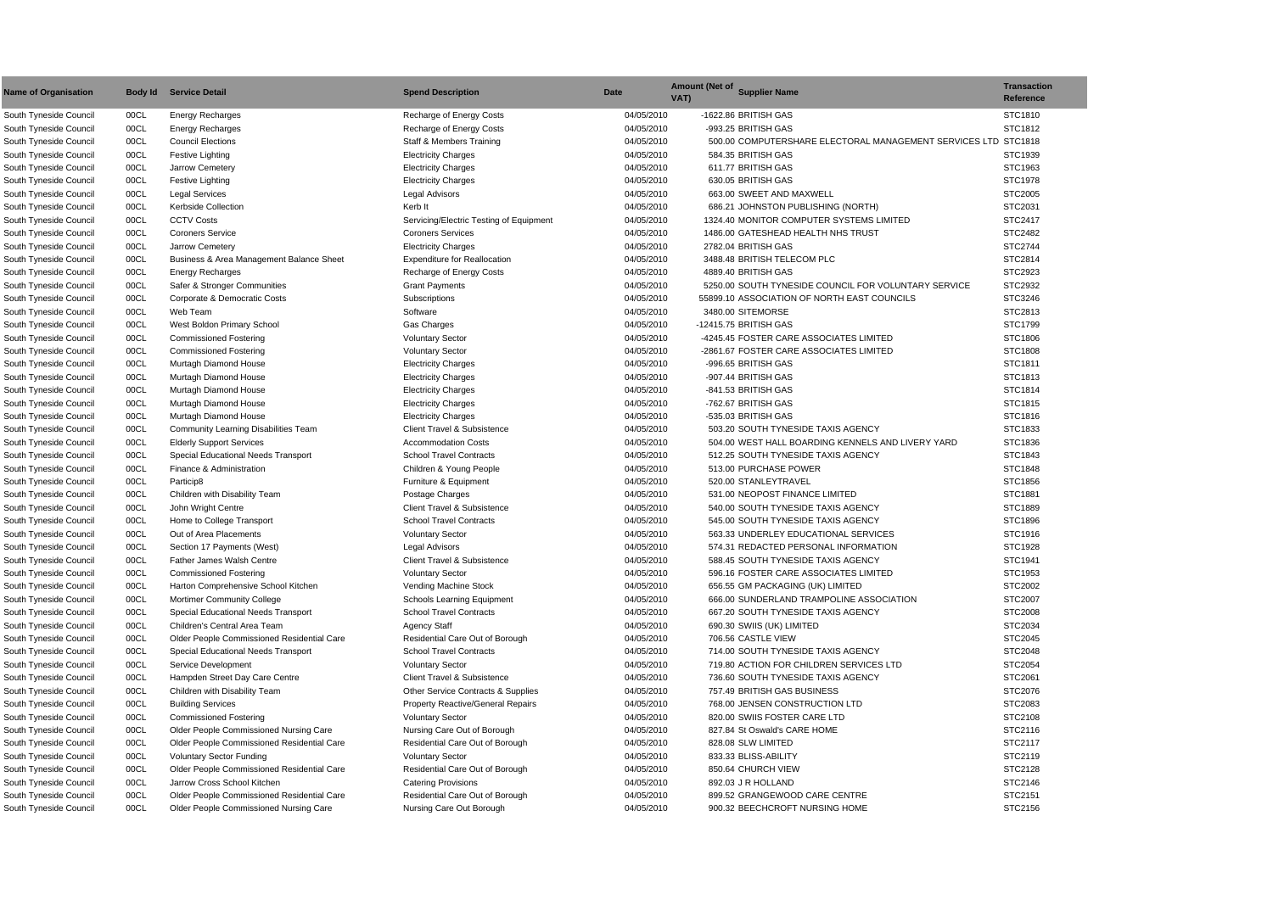| <b>Name of Organisation</b>                      | Body Id      | <b>Service Detail</b>                         | <b>Spend Description</b>                      | <b>Date</b>              | Amount (Net of Supplier Name<br>VAT)                                       | <b>Transaction</b><br>Reference |
|--------------------------------------------------|--------------|-----------------------------------------------|-----------------------------------------------|--------------------------|----------------------------------------------------------------------------|---------------------------------|
| South Tyneside Council                           | 00CL         | <b>Energy Recharges</b>                       | Recharge of Energy Costs                      | 04/05/2010               | -1622.86 BRITISH GAS                                                       | STC1810                         |
| South Tyneside Council                           | 00CL         | <b>Energy Recharges</b>                       | Recharge of Energy Costs                      | 04/05/2010               | -993.25 BRITISH GAS                                                        | STC1812                         |
| South Tyneside Council                           | 00CL         | <b>Council Elections</b>                      | <b>Staff &amp; Members Training</b>           | 04/05/2010               | 500.00 COMPUTERSHARE ELECTORAL MANAGEMENT SERVICES LTD STC1818             |                                 |
| South Tyneside Council                           | 00CL         | Festive Lighting                              | <b>Electricity Charges</b>                    | 04/05/2010               | 584.35 BRITISH GAS                                                         | STC1939                         |
| South Tyneside Council                           | 00CL         | Jarrow Cemetery                               | <b>Electricity Charges</b>                    | 04/05/2010               | 611.77 BRITISH GAS                                                         | STC1963                         |
| South Tyneside Council                           | 00CL         | Festive Lighting                              | <b>Electricity Charges</b>                    | 04/05/2010               | 630.05 BRITISH GAS                                                         | STC1978                         |
| South Tyneside Council                           | 00CL         | <b>Legal Services</b>                         | <b>Legal Advisors</b>                         | 04/05/2010               | 663.00 SWEET AND MAXWELL                                                   | STC2005                         |
| South Tyneside Council                           | 00CL         | <b>Kerbside Collection</b>                    | Kerb It                                       | 04/05/2010               | 686.21 JOHNSTON PUBLISHING (NORTH)                                         | STC2031                         |
| South Tyneside Council                           | 00CL         | <b>CCTV Costs</b>                             | Servicing/Electric Testing of Equipment       | 04/05/2010               | 1324.40 MONITOR COMPUTER SYSTEMS LIMITED                                   | STC2417                         |
| South Tyneside Council                           | 00CL         | <b>Coroners Service</b>                       | <b>Coroners Services</b>                      | 04/05/2010               | 1486.00 GATESHEAD HEALTH NHS TRUST                                         | STC2482                         |
| South Tyneside Council                           | 00CL         | Jarrow Cemetery                               | <b>Electricity Charges</b>                    | 04/05/2010               | 2782.04 BRITISH GAS                                                        | STC2744                         |
| South Tyneside Council                           | 00CL         | Business & Area Management Balance Sheet      | <b>Expenditure for Reallocation</b>           | 04/05/2010               | 3488.48 BRITISH TELECOM PLC                                                | STC2814                         |
| South Tyneside Council                           | 00CL         | <b>Energy Recharges</b>                       | Recharge of Energy Costs                      | 04/05/2010               | 4889.40 BRITISH GAS                                                        | STC2923                         |
| South Tyneside Council                           | 00CL         | Safer & Stronger Communities                  | <b>Grant Payments</b>                         | 04/05/2010               | 5250.00 SOUTH TYNESIDE COUNCIL FOR VOLUNTARY SERVICE                       | STC2932                         |
| South Tyneside Council                           | 00CL         | Corporate & Democratic Costs                  | Subscriptions                                 | 04/05/2010               | 55899.10 ASSOCIATION OF NORTH EAST COUNCILS                                | STC3246                         |
| South Tyneside Council                           | 00CL         | Web Team                                      | Software                                      | 04/05/2010               | 3480.00 SITEMORSE                                                          | STC2813                         |
| South Tyneside Council                           | 00CL         | West Boldon Primary School                    | <b>Gas Charges</b>                            | 04/05/2010               | -12415.75 BRITISH GAS                                                      | STC1799                         |
| South Tyneside Council                           | 00CL         | <b>Commissioned Fostering</b>                 | <b>Voluntary Sector</b>                       | 04/05/2010               | -4245.45 FOSTER CARE ASSOCIATES LIMITED                                    | STC1806                         |
| South Tyneside Council                           | 00CL         | <b>Commissioned Fostering</b>                 | <b>Voluntary Sector</b>                       | 04/05/2010               | -2861.67 FOSTER CARE ASSOCIATES LIMITED                                    | STC1808                         |
| South Tyneside Council                           | 00CL         | Murtagh Diamond House                         | <b>Electricity Charges</b>                    | 04/05/2010               | -996.65 BRITISH GAS                                                        | STC1811                         |
| South Tyneside Council                           | 00CL         | Murtagh Diamond House                         | <b>Electricity Charges</b>                    | 04/05/2010               | -907.44 BRITISH GAS                                                        | STC1813                         |
| South Tyneside Council                           | 00CL         | Murtagh Diamond House                         | <b>Electricity Charges</b>                    | 04/05/2010               | -841.53 BRITISH GAS                                                        | STC1814                         |
| South Tyneside Council                           | 00CL         | Murtagh Diamond House                         | <b>Electricity Charges</b>                    | 04/05/2010               | -762.67 BRITISH GAS                                                        | STC1815                         |
| South Tyneside Council                           | 00CL         | Murtagh Diamond House                         | <b>Electricity Charges</b>                    | 04/05/2010               | -535.03 BRITISH GAS                                                        | STC1816                         |
| South Tyneside Council                           | 00CL         | <b>Community Learning Disabilities Team</b>   | <b>Client Travel &amp; Subsistence</b>        | 04/05/2010               | 503.20 SOUTH TYNESIDE TAXIS AGENCY                                         | STC1833                         |
| South Tyneside Council                           | 00CL         | <b>Elderly Support Services</b>               | <b>Accommodation Costs</b>                    | 04/05/2010               | 504.00 WEST HALL BOARDING KENNELS AND LIVERY YARD                          | STC1836                         |
| South Tyneside Council                           | 00CL         | <b>Special Educational Needs Transport</b>    | <b>School Travel Contracts</b>                | 04/05/2010               | 512.25 SOUTH TYNESIDE TAXIS AGENCY                                         | STC1843                         |
| South Tyneside Council                           | 00CL         | Finance & Administration                      | Children & Young People                       | 04/05/2010               | 513.00 PURCHASE POWER                                                      | STC1848                         |
| South Tyneside Council                           | 00CL         | Particip8                                     | Furniture & Equipment                         | 04/05/2010               | 520.00 STANLEYTRAVEL                                                       | STC1856                         |
| South Tyneside Council                           | 00CL         | Children with Disability Team                 | Postage Charges                               | 04/05/2010               | 531.00 NEOPOST FINANCE LIMITED                                             | STC1881                         |
| South Tyneside Council                           | 00CL         | John Wright Centre                            | <b>Client Travel &amp; Subsistence</b>        | 04/05/2010               | 540.00 SOUTH TYNESIDE TAXIS AGENCY                                         | STC1889                         |
| South Tyneside Council                           | 00CL         | Home to College Transport                     | <b>School Travel Contracts</b>                | 04/05/2010               | 545.00 SOUTH TYNESIDE TAXIS AGENCY                                         | STC1896                         |
|                                                  | 00CL         | Out of Area Placements                        |                                               | 04/05/2010               | 563.33 UNDERLEY EDUCATIONAL SERVICES                                       | STC1916                         |
| South Tyneside Council                           |              | Section 17 Payments (West)                    | <b>Voluntary Sector</b>                       |                          |                                                                            |                                 |
| South Tyneside Council<br>South Tyneside Council | 00CL<br>00CL | Father James Walsh Centre                     | Legal Advisors<br>Client Travel & Subsistence | 04/05/2010<br>04/05/2010 | 574.31 REDACTED PERSONAL INFORMATION<br>588.45 SOUTH TYNESIDE TAXIS AGENCY | STC1928<br>STC1941              |
| South Tyneside Council                           |              |                                               |                                               |                          |                                                                            |                                 |
|                                                  | 00CL         | <b>Commissioned Fostering</b>                 | <b>Voluntary Sector</b>                       | 04/05/2010               | 596.16 FOSTER CARE ASSOCIATES LIMITED                                      | STC1953                         |
| South Tyneside Council                           | 00CL         | Harton Comprehensive School Kitchen           | Vending Machine Stock                         | 04/05/2010               | 656.55 GM PACKAGING (UK) LIMITED                                           | STC2002                         |
| South Tyneside Council                           | 00CL         | <b>Mortimer Community College</b>             | Schools Learning Equipment                    | 04/05/2010               | 666.00 SUNDERLAND TRAMPOLINE ASSOCIATION                                   | STC2007                         |
| South Tyneside Council                           | 00CL         | Special Educational Needs Transport           | <b>School Travel Contracts</b>                | 04/05/2010               | 667.20 SOUTH TYNESIDE TAXIS AGENCY                                         | STC2008                         |
| South Tyneside Council                           | 00CL         | Children's Central Area Team                  | <b>Agency Staff</b>                           | 04/05/2010               | 690.30 SWIIS (UK) LIMITED                                                  | STC2034                         |
| South Tyneside Council                           | 00CL         | Older People Commissioned Residential Care    | Residential Care Out of Borough               | 04/05/2010               | 706.56 CASTLE VIEW                                                         | STC2045                         |
| South Tyneside Council                           | 00CL         | Special Educational Needs Transport           | <b>School Travel Contracts</b>                | 04/05/2010               | 714.00 SOUTH TYNESIDE TAXIS AGENCY                                         | STC2048                         |
| South Tyneside Council                           | 00CL         | Service Development                           | <b>Voluntary Sector</b>                       | 04/05/2010               | 719.80 ACTION FOR CHILDREN SERVICES LTD                                    | STC2054                         |
| South Tyneside Council                           | 00CL         | Hampden Street Day Care Centre                | <b>Client Travel &amp; Subsistence</b>        | 04/05/2010               | 736.60 SOUTH TYNESIDE TAXIS AGENCY                                         | STC2061                         |
| South Tyneside Council                           | 00CL         | Children with Disability Team                 | Other Service Contracts & Supplies            | 04/05/2010               | 757.49 BRITISH GAS BUSINESS                                                | STC2076                         |
| South Tyneside Council                           | 00CL         | <b>Building Services</b>                      | <b>Property Reactive/General Repairs</b>      | 04/05/2010               | 768.00 JENSEN CONSTRUCTION LTD                                             | STC2083                         |
| South Tyneside Council                           | 00CL         | <b>Commissioned Fostering</b>                 | <b>Voluntary Sector</b>                       | 04/05/2010               | 820.00 SWIIS FOSTER CARE LTD                                               | STC2108                         |
| South Tyneside Council                           | 00CL         | <b>Older People Commissioned Nursing Care</b> | Nursing Care Out of Borough                   | 04/05/2010               | 827.84 St Oswald's CARE HOME                                               | STC2116                         |
| South Tyneside Council                           | 00CL         | Older People Commissioned Residential Care    | Residential Care Out of Borough               | 04/05/2010               | 828.08 SLW LIMITED                                                         | STC2117                         |
| South Tyneside Council                           | 00CL         | <b>Voluntary Sector Funding</b>               | <b>Voluntary Sector</b>                       | 04/05/2010               | 833.33 BLISS-ABILITY                                                       | STC2119                         |
| South Tyneside Council                           | 00CL         | Older People Commissioned Residential Care    | Residential Care Out of Borough               | 04/05/2010               | 850.64 CHURCH VIEW                                                         | STC2128                         |
| South Tyneside Council                           | 00CL         | Jarrow Cross School Kitchen                   | <b>Catering Provisions</b>                    | 04/05/2010               | 892.03 J R HOLLAND                                                         | STC2146                         |
| South Tyneside Council                           | 00CL         | Older People Commissioned Residential Care    | Residential Care Out of Borough               | 04/05/2010               | 899.52 GRANGEWOOD CARE CENTRE                                              | STC2151                         |
| South Tyneside Council                           | 00CL         | Older People Commissioned Nursing Care        | Nursing Care Out Borough                      | 04/05/2010               | 900.32 BEECHCROFT NURSING HOME                                             | STC2156                         |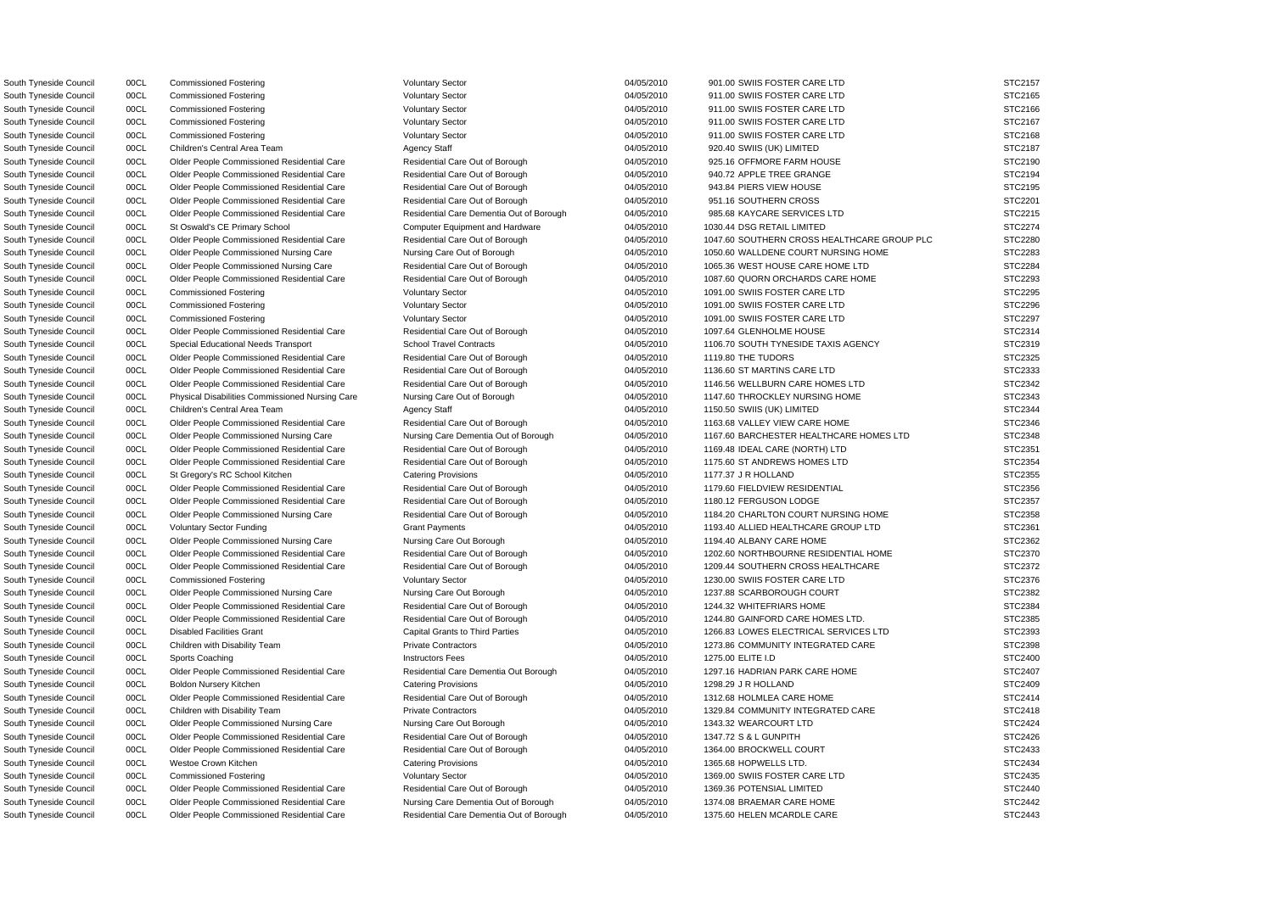South Tyneside Council 00CL Commissioned Fostering Voluntary Sector Voluntary Sector 04/05/2010 901.00 SWIIS FOSTER CARE LTD STC2157 South Tyneside Council 00CL Commissioned Fostering Voluntary Sector Voluntary Sector 04/05/2010 911.00 SWIIS FOSTER CARE LTD STC2165 South Tyneside Council 00CL Commissioned Fostering Voluntary Sector Voluntary Sector 04/05/2010 911.00 SWIIS FOSTER CARE LTD STC2166 South Tyneside Council 00CL Commissioned Fostering Voluntary Sector Voluntary Sector 04/05/2010 911.00 SWIIS FOSTER CARE LTD STC2167 South Tyneside Council 00CL Commissioned Fostering Voluntary Sector Voluntary Sector 04/05/2010 911.00 SWIIS FOSTER CARE LTD STC2168 South Tyneside Council 00CL Children's Central Area Team Agency Staff Agency Staff 04/05/2010 920.40 SWIIS (UK) LIMITED STC2187 South Tyneside Council 00CL Older People Commissioned Residential Care Residential Care Residential Care Out of Borough 04/05/2010 925.16 OFFMORE FARM HOUSE STC2190 South Tyneside Council 00CL Older People Commissioned Residential Care Residential Care Out of Borough 04/05/2010 940.72 APPLE TREE GRANGE STC2194 South Tyneside Council oncl Older People Commissioned Residential Care Residential Care Out of Borough 04/05/2010 943.84 PIERS VIEW HOUSE STC2195 South Tyneside Council 00CL Older People Commissioned Residential Care Residential Care Out of Borough 04/05/2010 951.16 SOUTHERN CROSS STC2201 South Tyneside Council 00CL Older People Commissioned Residential Care Residential Care Dementia Out of Borough 04/05/2010 985.68 KAYCARE SERVICES LTD STC2215 South Tyneside Council 00CL St Oswald's CE Primary School Computer Equipment and Hardware 04/05/2010 1030.44 DSG RETAIL LIMITED STC2274 South Tyneside Council 00CL Older People Commissioned Residential Care Residential Care Residential Care Out of Borough 04/05/2010 1047.60 SOUTHERN CROSS HEALTHCARE GROUP PLC STC2280 South Tyneside Council 00CL Older People Commissioned Nursing Care Nursing Care Out of Borough 04/05/2010 1050.60 WALLDENE COURT NURSING HOME STC2283 South Tyneside Council 00CL Older People Commissioned Nursing Care Residential Care Out of Borough 04/05/2010 1065.36 WEST HOUSE CARE HOME LTD STC2284 South Tyneside Council 00CL Older People Commissioned Residential Care Residential Care Residential Care Out of Borough 04/05/2010 1087.60 QUORN ORCHARDS CARE HOME STC2293 South Tyneside Council 00CL Commissioned Fostering values of Voluntary Sector 04/05/2010 1091.00 SWIIS FOSTER CARE LTD STC2295 South Tyneside Council 00CL Commissioned Fostering Voluntary Sector Voluntary Sector 04/05/2010 1091.00 SWIIS FOSTER CARE LTD STC2296 South Tyneside Council 00CL Commissioned Fostering voluntary Sector Voluntary Sector 04/05/2010 1091.00 SWIIS FOSTER CARE LTD STC2297 South Tyneside Council oo Dubler People Commissioned Residential Care Residential Care Out of Borough 04/05/2010 1097.64 GLENHOLME HOUSE STC2314 South Tyneside Council 00CL Special Educational Needs Transport School Travel Contracts 04/05/2010 1106.70 SOUTH TYNESIDE TAXIS AGENCY STC2319 South Tyneside Council oncluition on the People Commissioned Residential Care Residential Care Out of Borough 04/05/2010 1119.80 THE TUDORS STC2325 South Tyneside Council 00CL Older People Commissioned Residential Care Residential Care Out of Borough 04/05/2010 1136.60 ST MARTINS CARE LTD STC2333 South Tyneside Council 00CL Older People Commissioned Residential Care Residential Care Out of Borough 04/05/2010 1146.56 WELLBURN CARE HOMES LTD STC2342 South Tyneside Council 00CL Physical Disabilities Commissioned Nursing Care Nursing Care Out of Borough 04/05/2010 1147.60 THROCKLEY NURSING HOME STC2343 South Tyneside Council 00CL Children's Central Area Team Agency Staff Agency Staff 04/05/2010 1150.50 SWIIS (UK) LIMITED STC2344 South Tyneside Council 00CL Older People Commissioned Residential Care Residential Care Out of Borough 04/05/2010 1163.68 VALLEY VIEW CARE HOME STC2346 South Tyneside Council 00CL Older People Commissioned Nursing Care Nursing Care Dementia Out of Borough 04/05/2010 1167.60 BARCHESTER HEALTHCARE HOMES LTD STC2348 South Tyneside Council 00CL Older People Commissioned Residential Care Residential Care Out of Borough 04/05/2010 1169.48 IDEAL CARE (NORTH) LTD STC2351 South Tyneside Council 00CL Older People Commissioned Residential Care Residential Care Out of Borough 04/05/2010 1175.60 ST ANDREWS HOMES LTD STC2354 South Tyneside Council 00CL St Gregory's RC School Kitchen Catering Provisions 04/05/2010 1177.37 J R HOLLAND STC2355 South Tyneside Council 00CL Older People Commissioned Residential Care Residential Care Out of Borough 04/05/2010 1179.60 FIELDVIEW RESIDENTIAL STC2356 South Tyneside Council 00CL Older People Commissioned Residential Care Residential Care Out of Borough 04/05/2010 1180.12 FERGUSON LODGE STC2357 South Tyneside Council 00CL Older People Commissioned Nursing Care Residential Care Out of Borough 04/05/2010 1184.20 CHARLTON COURT NURSING HOME STC2358 South Tyneside Council 00CL Voluntary Sector Funding Grant Payments Grant Payments 04/05/2010 1193.40 ALLIED HEALTHCARE GROUP LTD STC2361 South Tyneside Council 00CL Older People Commissioned Nursing Care Nursing Care Out Borough 04/05/2010 1194.40 ALBANY CARE HOME STC2362 South Tyneside Council 00CL Older People Commissioned Residential Care Residential Care Out of Borough 04/05/2010 1202.60 NORTHBOURNE RESIDENTIAL HOME STC2370 South Tyneside Council 00CL Older People Commissioned Residential Care Residential Care Out of Borough 04/05/2010 1209.44 SOUTHERN CROSS HEALTHCARE STC2372 South Tyneside Council 00CL Commissioned Fostering Voluntary Sector Voluntary Sector 04/05/2010 1230.00 SWIIS FOSTER CARE LTD STC2376 South Tyneside Council 00CL Older People Commissioned Nursing Care Nursing Care Out Borough 04/05/2010 1237.88 SCARBOROUGH COURT STC2382 South Tyneside Council 00CL Older People Commissioned Residential Care Residential Care Out of Borough 04/05/2010 1244.32 WHITEFRIARS HOME STC2384 South Tyneside Council 00CL Older People Commissioned Residential Care Residential Care Out of Borough 04/05/2010 1244.80 GAINFORD CARE HOMES LTD. STC2385 South Tyneside Council 00CL Disabled Facilities Grant Capital Grants to Third Parties 04/05/2010 1266.83 LOWES ELECTRICAL SERVICES LTD STC2393 South Tyneside Council 00CL Children with Disability Team Private Contractors Private Contractors 04/05/2010 1273.86 COMMUNITY INTEGRATED CARE STC2398 South Tyneside Council 00CL Sports Coaching Instructors Fees 04/05/2010 1275.00 ELITE I.D STC2400 South Tyneside Council 00CL Older People Commissioned Residential Care Residential Care Dementia Out Borough 04/05/2010 1297.16 HADRIAN PARK CARE HOME STC2407 South Tyneside Council 00CL Boldon Nursery Kitchen Catering Provisions 1298.29 J R HOLLAND STC2409 South Tyneside Council 00CL Older People Commissioned Residential Care Residential Care Out of Borough 04/05/2010 1312.68 HOLMLEA CARE HOME STC2414 South Tyneside Council 00CL Children with Disability Team Private Contractors Private Contractors 04/05/2010 1329.84 COMMUNITY INTEGRATED CARE STC2418 South Tyneside Council 00CL Older People Commissioned Nursing Care Nursing Care Out Borough 04/05/2010 1343.32 WEARCOURT LTD STC2424 South Tyneside Council 00CL Older People Commissioned Residential Care Residential Care Out of Borough 04/05/2010 1347.72 S & L GUNPITH STC2426 South Tyneside Council 00CL Older People Commissioned Residential Care Residential Care Out of Borough 04/05/2010 1364.00 BROCKWELL COURT STC2433 South Tyneside Council 00CL Westoe Crown Kitchen Catering Provisions 1365.68 HOPWELLS LTD. STC2434 South Tyneside Council 00CL Commissioned Fostering Voluntary Sector Voluntary Sector 04/05/2010 1369.00 SWIIS FOSTER CARE LTD STC2435 South Tyneside Council ouclecture Council ouclecture Commissioned Residential Care Residential Care Out of Borough 04/05/2010 1369.36 POTENSIAL LIMITED STC2440 South Tyneside Council 00CL Older People Commissioned Residential Care Nursing Care Dementia Out of Borough 04/05/2010 1374.08 BRAEMAR CARE HOME STC2442 South Tyneside Council 00CL Older People Commissioned Residential Care Residential Care Dementia Out of Borough 04/05/2010 1375.60 HELEN MCARDLE CARE STC2443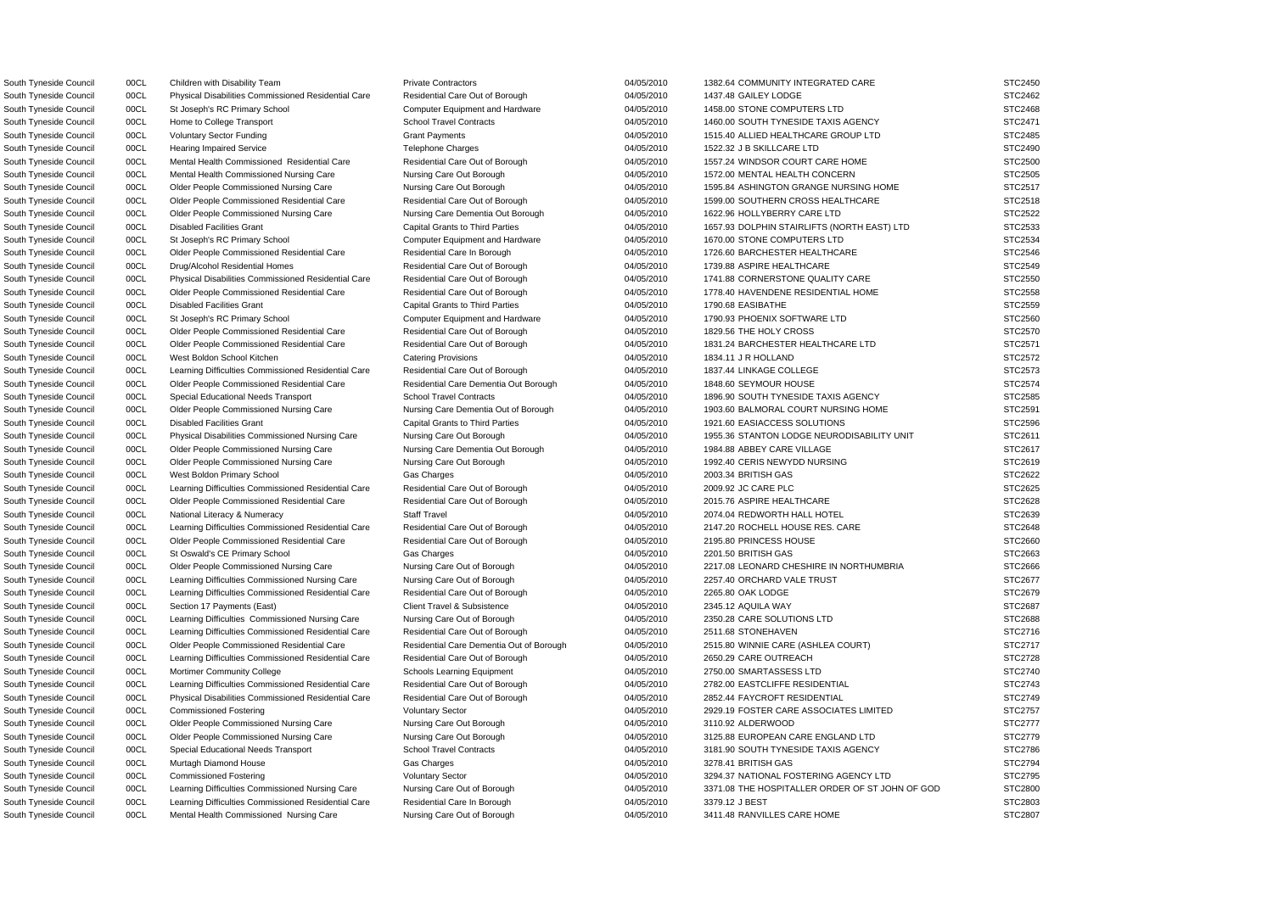South Tyneside Council 00CL Children with Disability Team Private Contractors Private Contractors 04/05/2010 1382.64 COMMUNITY INTEGRATED CARE STC2450 South Tyneside Council 00CL Physical Disabilities Commissioned Residential Care Residential Care Out of Borough 04/05/2010 1437.48 GAILEY LODGE STC2462 South Tyneside Council 00CL St Joseph's RC Primary School Computer Equipment and Hardware 04/05/2010 1458.00 STONE COMPUTERS LTD STC2468 South Tyneside Council 00CL Home to College Transport School Travel Contracts 6 04/05/2010 1460.00 SOUTH TYNESIDE TAXIS AGENCY STC2471 South Tyneside Council 00CL Voluntary Sector Funding Grant Payments Grant Payments 04/05/2010 1515.40 ALLIED HEALTHCARE GROUP LTD STC2485 South Tyneside Council 00CL Hearing Impaired Service Telephone Charges 04/05/2010 1522.32 J B SKILLCARE LTD STC2490 South Tyneside Council 00CL Mental Health Commissioned Residential Care Residential Care Residential Care Out of Borough 04/05/2010 1557.24 WINDSOR COURT CARE HOME STC2500 South Tyneside Council 00CL Mental Health Commissioned Nursing Care Nursing Care Out Borough 04/05/2010 1572.00 MENTAL HEALTH CONCERN STC2505 South Tyneside Council 00CL Older People Commissioned Nursing Care Nursing Care Out Borough 04/05/2010 1595.84 ASHINGTON GRANGE NURSING HOME STC2517 South Tyneside Council 00CL Older People Commissioned Residential Care Residential Care Out of Borough 04/05/2010 1599.00 SOUTHERN CROSS HEALTHCARE STC2518 South Tyneside Council 00CL Older People Commissioned Nursing Care Nursing Care Dementia Out Borough 04/05/2010 1622.96 HOLLYBERRY CARE LTD STC2522 South Tyneside Council 00CL Disabled Facilities Grant Capital Grants to Third Parties 04/05/2010 1657.93 DOLPHIN STAIRLIFTS (NORTH EAST) LTD STC2533 South Tyneside Council 00CL St Joseph's RC Primary School Computer Equipment and Hardware 04/05/2010 1670.00 STONE COMPUTERS LTD STC2534 South Tyneside Council 00CL Older People Commissioned Residential Care Residential Care In Borough 04/05/2010 1726.60 BARCHESTER HEALTHCARE STC2546 South Tyneside Council 00CL Drug/Alcohol Residential Homes Residential Care Out of Borough 04/05/2010 1739.88 ASPIRE HEALTHCARE STC2549 South Tyneside Council 00CL Physical Disabilities Commissioned Residential Care Residential Care Out of Borough 04/05/2010 1741.88 CORNERSTONE QUALITY CARE STC2550 South Tyneside Council 00CL Older People Commissioned Residential Care Residential Care Out of Borough 04/05/2010 1778.40 HAVENDENE RESIDENTIAL HOME STC2558 South Tyneside Council 00CL Disabled Facilities Grant Capital Grants to Third Parties 04/05/2010 1790.68 EASIBATHE STC2559 STC2559 South Tyneside Council 00CL St Joseph's RC Primary School Computer Equipment and Hardware 04/05/2010 1790.93 PHOENIX SOFTWARE LTD STC2560 South Tyneside Council 00CL Older People Commissioned Residential Care Residential Care Out of Borough 04/05/2010 1829.56 THE HOLY CROSS STC2570 South Tyneside Council 00CL Older People Commissioned Residential Care Residential Care Out of Borough 04/05/2010 1831.24 BARCHESTER HEALTHCARE LTD STC2571 South Tyneside Council 00CL West Boldon School Kitchen Catering Provisions 04/05/2010 1834.11 J R HOLLAND STC2572 South Tyneside Council 00CL Learning Difficulties Commissioned Residential Care Residential Care Out of Borough 04/05/2010 1837.44 LINKAGE COLLEGE STC2573 South Tyneside Council **Concil Concept Commissioned Residential Care** Residential Care Dementia Out Borough 04/05/2010 1848.60 SEYMOUR HOUSE STC2574 South Tyneside Council 00CL Special Educational Needs Transport School Travel Contracts 04/05/2010 1896.90 SOUTH TYNESIDE TAXIS AGENCY STC2585 South Tyneside Council 00CL Older People Commissioned Nursing Care Nursing Care Dementia Out of Borough 04/05/2010 1903.60 BALMORAL COURT NURSING HOME STC2591 South Tyneside Council 00CL Disabled Facilities Grant Capital Grants to Third Parties 04/05/2010 1921.60 EASIACCESS SOLUTIONS STC2596 South Tyneside Council 00CL Physical Disabilities Commissioned Nursing Care Nursing Care Out Borough 04/05/2010 1955.36 STANTON LODGE NEURODISABILITY UNIT STC2611 South Tyneside Council 00CL Older People Commissioned Nursing Care Nursing Care Dementia Out Borough 04/05/2010 1984.88 ABBEY CARE VILLAGE STC2617 South Tyneside Council 00CL Older People Commissioned Nursing Care Nursing Care Out Borough 04/05/2010 1992.40 CERIS NEWYDD NURSING STC2619 South Tyneside Council 00CL West Boldon Primary School Gas Charges 04/05/2010 2003.34 BRITISH GAS STC2622 South Tyneside Council 00CL Learning Difficulties Commissioned Residential Care Residential Care Out of Borough 04/05/2010 2009.92 JC CARE PLC STC2625 South Tyneside Council 00CL Older People Commissioned Residential Care Residential Care Out of Borough 04/05/2010 2015.76 ASPIRE HEALTHCARE STC2628 South Tyneside Council 00CL National Literacy & Numeracy Staff Travel Staff Travel 04/05/2010 2074.04 REDWORTH HALL HOTEL STC2639 South Tyneside Council 00CL Learning Difficulties Commissioned Residential Care Residential Care Out of Borough 04/05/2010 2147.20 ROCHELL HOUSE RES. CARE STC2648 South Tyneside Council 00CL Older People Commissioned Residential Care Residential Care Out of Borough 04/05/2010 2195.80 PRINCESS HOUSE STC2660 South Tyneside Council 00CL St Oswald's CE Primary School Gas Charges Gas Charges 04/05/2010 2201.50 BRITISH GAS STC2663 South Tyneside Council 00CL Older People Commissioned Nursing Care Nursing Care Out of Borough 04/05/2010 2217.08 LEONARD CHESHIRE IN NORTHUMBRIA STC2666 South Tyneside Council 00CL Learning Difficulties Commissioned Nursing Care Nursing Care Out of Borough 04/05/2010 2257.40 ORCHARD VALE TRUST STC2677 South Tyneside Council **Contra Contra Connect Commissioned Residential Care** Residential Care Out of Borough 04/05/2010 2265.80 OAK LODGE STC2679 STC2679 South Tyneside Council 00CL Section 17 Payments (East) Client Travel & Subsistence 2345.12 AQUILA WAY STC2687 South Tyneside Council 00CL Learning Difficulties Commissioned Nursing Care Nursing Care Out of Borough 04/05/2010 2350.28 CARE SOLUTIONS LTD STC2688 South Tyneside Council 00CL Learning Difficulties Commissioned Residential Care Residential Care Out of Borough 04/05/2010 2511.68 STONEHAVEN STC2716 South Tyneside Council 00CL Older People Commissioned Residential Care Residential Care Dementia Out of Borough 04/05/2010 2515.80 WINNIE CARE (ASHLEA COURT) STC2717 South Tyneside Council 00CL Learning Difficulties Commissioned Residential Care Residential Care Out of Borough 04/05/2010 2650.29 CARE OUTREACH STC2728 South Tyneside Council 00CL Mortimer Community College Schools Learning Equipment 04/05/2010 2750.00 SMARTASSESS LTD STC2740 South Tyneside Council 00CL Learning Difficulties Commissioned Residential Care Residential Care Out of Borough 04/05/2010 2782.00 EASTCLIFFE RESIDENTIAL STC2743 South Tyneside Council 00CL Physical Disabilities Commissioned Residential Care Residential Care Out of Borough 04/05/2010 2852.44 FAYCROFT RESIDENTIAL STC2749 South Tyneside Council 00CL Commissioned Fostering Voluntary Sector Voluntary Sector 04/05/2010 2929.19 FOSTER CARE ASSOCIATES LIMITED STC2757 South Tyneside Council and Docume Commissioned Nursing Care Nursing Care Out Borough 04/05/2010 3110.92 ALDERWOOD STC2777 South Tyneside Council 00CL Older People Commissioned Nursing Care Nursing Care Out Borough 04/05/2010 3125.88 EUROPEAN CARE ENGLAND LTD STC2779 South Tyneside Council 00CL Special Educational Needs Transport School Travel Contracts 04/05/2010 3181.90 SOUTH TYNESIDE TAXIS AGENCY STC2786 South Tyneside Council 00CL Murtagh Diamond House Gas Charges 04/05/2010 3278.41 BRITISH GAS STC2794 South Tyneside Council 00CL Commissioned Fostering Voluntary Sector Voluntary Sector 04/05/2010 3294.37 NATIONAL FOSTERING AGENCY LTD STC2795 South Tyneside Council 00CL Learning Difficulties Commissioned Nursing Care Nursing Care Out of Borough 04/05/2010 3371.08 THE HOSPITALLER ORDER OF ST JOHN OF GOD STC2800 South Tyneside Council 00CL Learning Difficulties Commissioned Residential Care Residential Care In Borough 04/05/2010 3379.12 J BEST South Tyneside Council 00CL Mental Health Commissioned Nursing Care Nursing Care Out of Borough 04/05/2010 3411.48 RANVILLES CARE HOME STC2807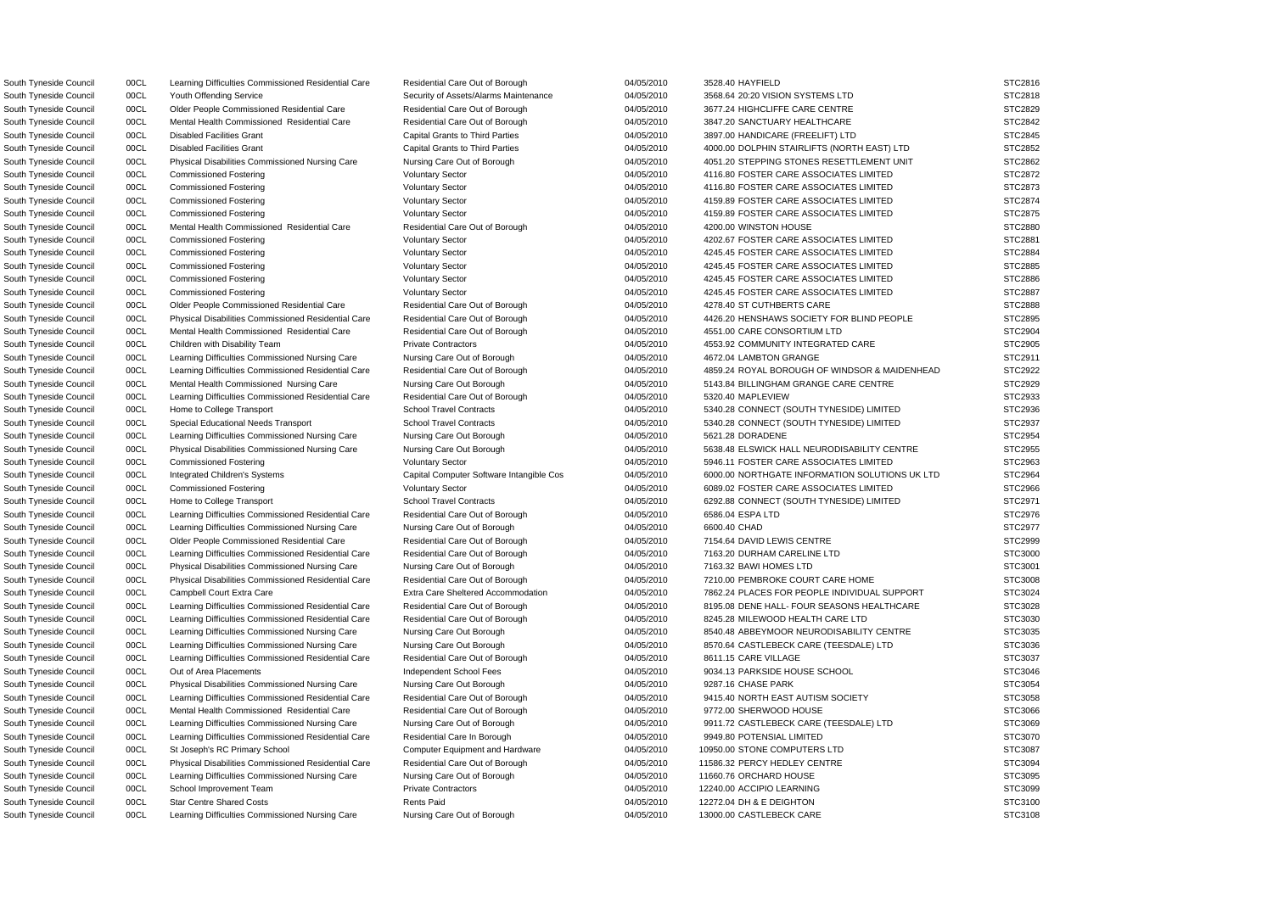South Tyneside Council 00CL Learning Difficulties Commissioned Residential Care Residential Care Out of Borough 04/05/2010 3528.40 HAYFIELD STC2816 South Tyneside Council 00CL Youth Offending Service Security of Assets/Alarms Maintenance 04/05/2010 3568.64 20:20 VISION SYSTEMS LTD STC2818 South Tyneside Council 00CL Older People Commissioned Residential Care Residential Care Out of Borough 04/05/2010 3677.24 HIGHCLIFFE CARE CENTRE STC2829 South Tyneside Council 00CL Mental Health Commissioned Residential Care Residential Care Residential Care Dut of Borough 04/05/2010 3847.20 SANCTUARY HEALTHCARE STC2842 South Tyneside Council 00CL Disabled Facilities Grant Capital Grants to Third Parties 04/05/2010 3897.00 HANDICARE (FREELIFT) LTD STC2845 South Tyneside Council 00CL Disabled Facilities Grant Capital Grants to Third Parties 04/05/2010 4000.00 DOLPHIN STAIRLIFTS (NORTH EAST) LTD STC2852 South Tyneside Council 00CL Physical Disabilities Commissioned Nursing Care Nursing Care Out of Borough 04/05/2010 4051.20 STEPPING STONES RESETTLEMENT UNIT STC2862 South Tyneside Council 00CL Commissioned Fostering Voluntary Sector Voluntary Sector 04/05/2010 4116.80 FOSTER CARE ASSOCIATES LIMITED STC2872 South Tyneside Council 00CL Commissioned Fostering Voluntary Sector Voluntary Sector 04/05/2010 4116.80 FOSTER CARE ASSOCIATES LIMITED STC2873 South Tyneside Council 00CL Commissioned Fostering verbation of Voluntary Sector 04/05/2010 4159.89 FOSTER CARE ASSOCIATES LIMITED STC2874 South Tyneside Council 00CL Commissioned Fostering Voluntary Sector Voluntary Sector 04/05/2010 4159.89 FOSTER CARE ASSOCIATES LIMITED STC2875 South Tyneside Council 00CL Mental Health Commissioned Residential Care Residential Care Residential Care Dut of Borough 04/05/2010 4200.00 WINSTON HOUSE STC2880 South Tyneside Council 00CL Commissioned Fostering Voluntary Sector Voluntary Sector 04/05/2010 4202.67 FOSTER CARE ASSOCIATES LIMITED STC2881 South Tyneside Council 00CL Commissioned Fostering Voluntary Sector Voluntary Sector 04/05/2010 4245.45 FOSTER CARE ASSOCIATES LIMITED STC2884 South Tyneside Council 00CL Commissioned Fostering Voluntary Sector Voluntary Sector 04/05/2010 4245.45 FOSTER CARE ASSOCIATES LIMITED STC2885 South Tyneside Council 00CL Commissioned Fostering voluntary Sector Voluntary Sector 04/05/2010 4245.45 FOSTER CARE ASSOCIATES LIMITED STC2886 South Tyneside Council 00CL Commissioned Fostering Voluntary Sector Voluntary Sector 04/05/2010 4245.45 FOSTER CARE ASSOCIATES LIMITED STC2887 South Tyneside Council 00CL Older People Commissioned Residential Care Residential Care Out of Borough 04/05/2010 4278.40 ST CUTHBERTS CARE STC2888 South Tyneside Council 00CL Physical Disabilities Commissioned Residential Care Residential Care Out of Borough 04/05/2010 4426.20 HENSHAWS SOCIETY FOR BLIND PEOPLE STC2895 South Tyneside Council 00CL Mental Health Commissioned Residential Care Residential Care Residential Care Out of Borough 04/05/2010 4551.00 CARE CONSORTIUM LTD STC2904 South Tyneside Council 00CL Children with Disability Team Private Contractors Private Contractors 04/05/2010 4553.92 COMMUNITY INTEGRATED CARE STC2905 South Tyneside Council 00CL Learning Difficulties Commissioned Nursing Care Nursing Care Out of Borough 04/05/2010 4672.04 LAMBTON GRANGE STC2911 South Tyneside Council 00CL Learning Difficulties Commissioned Residential Care Residential Care Out of Borough 04/05/2010 4859.24 ROYAL BOROUGH OF WINDSOR & MAIDENHEAD STC2922 South Tyneside Council 00CL Mental Health Commissioned Nursing Care Nursing Care Out Borough 04/05/2010 5143.84 BILLINGHAM GRANGE CARE CENTRE STC2929 South Tyneside Council 00CL Learning Difficulties Commissioned Residential Care Residential Care Out of Borough 04/05/2010 5320.40 MAPLEVIEW STC2933 South Tyneside Council 00CL Home to College Transport School Travel Contracts 6 04/05/2010 5340.28 CONNECT (SOUTH TYNESIDE) LIMITED STC2936 South Tyneside Council 00CL Special Educational Needs Transport School Travel Contracts 04/05/2010 5340.28 CONNECT (SOUTH TYNESIDE) LIMITED STC2937 South Tyneside Council 00CL Learning Difficulties Commissioned Nursing Care Nursing Care Out Borough 04/05/2010 5621.28 DORADENE STC2954 South Tyneside Council 00CL Physical Disabilities Commissioned Nursing Care Nursing Care Out Borough 04/05/2010 5638.48 ELSWICK HALL NEURODISABILITY CENTRE STC2955 South Tyneside Council 00CL Commissioned Fostering Voluntary Sector Voluntary Sector 04/05/2010 5946.11 FOSTER CARE ASSOCIATES LIMITED STC2963 South Tyneside Council 00CL Integrated Children's Systems Capital Computer Software Intangible Cos 04/05/2010 6000.00 NORTHGATE INFORMATION SOLUTIONS UK LTD STC2964 South Tyneside Council 00CL Commissioned Fostering Voluntary Sector Voluntary Sector 04/05/2010 6089.02 FOSTER CARE ASSOCIATES LIMITED STC2966 South Tyneside Council 00CL Home to College Transport School Travel Contracts 604/05/2010 6292.88 CONNECT (SOUTH TYNESIDE) LIMITED STC2971 South Tyneside Council oo Dubble Council Cearning Difficulties Commissioned Residential Care Residential Care Out of Borough 04/05/2010 6586.04 ESPA LTD STC2976 South Tyneside Council 00CL Learning Difficulties Commissioned Nursing Care Nursing Care Out of Borough 04/05/2010 6600.40 CHAD STC2977 South Tyneside Council 00CL Older People Commissioned Residential Care Residential Care Out of Borough 04/05/2010 7154.64 DAVID LEWIS CENTRE STC2999 South Tyneside Council 00CL Learning Difficulties Commissioned Residential Care Residential Care Out of Borough 04/05/2010 7163.20 DURHAM CARELINE LTD STC3000 South Tyneside Council 00CL Physical Disabilities Commissioned Nursing Care Nursing Care Out of Borough 04/05/2010 7163.32 BAWI HOMES LTD STC3001 South Tyneside Council 00CL Physical Disabilities Commissioned Residential Care Residential Care Out of Borough 04/05/2010 7210.00 PEMBROKE COURT CARE HOME STC3008 South Tyneside Council 00CL Campbell Court Extra Care Extra Care Extra Care Sheltered Accommodation 04/05/2010 7862.24 PLACES FOR PEOPLE INDIVIDUAL SUPPORT STC3024 South Tyneside Council 00CL Learning Difficulties Commissioned Residential Care Residential Care Out of Borough 04/05/2010 8195.08 DENE HALL- FOUR SEASONS HEALTHCARE STC3028 South Tyneside Council 00CL Learning Difficulties Commissioned Residential Care Residential Care Out of Borough 04/05/2010 8245.28 MILEWOOD HEALTH CARE LTD STC3030 South Tyneside Council 00CL Learning Difficulties Commissioned Nursing Care Nursing Care Out Borough 04/05/2010 8540.48 ABBEYMOOR NEURODISABILITY CENTRE STC3035 South Tyneside Council 00CL Learning Difficulties Commissioned Nursing Care Nursing Care Out Borough 04/05/2010 8570.64 CASTLEBECK CARE (TEESDALE) LTD STC3036 South Tyneside Council 00CL Learning Difficulties Commissioned Residential Care Residential Care Out of Borough 04/05/2010 8611.15 CARE VILLAGE STC3037 South Tyneside Council 00CL Out of Area Placements Changendent School Fees 04/05/2010 9034.13 PARKSIDE HOUSE SCHOOL STC3046 South Tyneside Council 00CL Physical Disabilities Commissioned Nursing Care Nursing Care Out Borough 04/05/2010 9287.16 CHASE PARK STC3054 South Tyneside Council 00CL Learning Difficulties Commissioned Residential Care Residential Care Out of Borough 04/05/2010 9415.40 NORTH EAST AUTISM SOCIETY STC3058 South Tyneside Council **OOCL** Mental Health Commissioned Residential Care Residential Care Out of Borough 04/05/2010 9772.00 SHERWOOD HOUSE STC3066 South Tyneside Council 00CL Learning Difficulties Commissioned Nursing Care Nursing Care Out of Borough 04/05/2010 9911.72 CASTLEBECK CARE (TEESDALE) LTD STC3069 South Tyneside Council **Contrary Contrary Difficulties Commissioned Residential Care** Residential Care In Borough 04/05/2010 9949.80 POTENSIAL LIMITED STC3070 South Tyneside Council 00CL St Joseph's RC Primary School Computer Equipment and Hardware 04/05/2010 10950.00 STONE COMPUTERS LTD STC3087 South Tyneside Council 00CL Physical Disabilities Commissioned Residential Care Residential Care Out of Borough 04/05/2010 11586.32 PERCY HEDLEY CENTRE STC3094 South Tyneside Council 00CL Learning Difficulties Commissioned Nursing Care Nursing Care Out of Borough 04/05/2010 11660.76 ORCHARD HOUSE STC3095 South Tyneside Council 00CL School Improvement Team Private Contractors **04/05/2010 12240.00 ACCIPIO LEARNING** STC3099 South Tyneside Council 00CL Star Centre Shared Costs Rents Paid 12272.04 DH & E DEIGHTON STC3100 South Tyneside Council 00CL Learning Difficulties Commissioned Nursing Care Nursing Care Out of Borough 04/05/2010 13000.00 CASTLEBECK CARE STC3108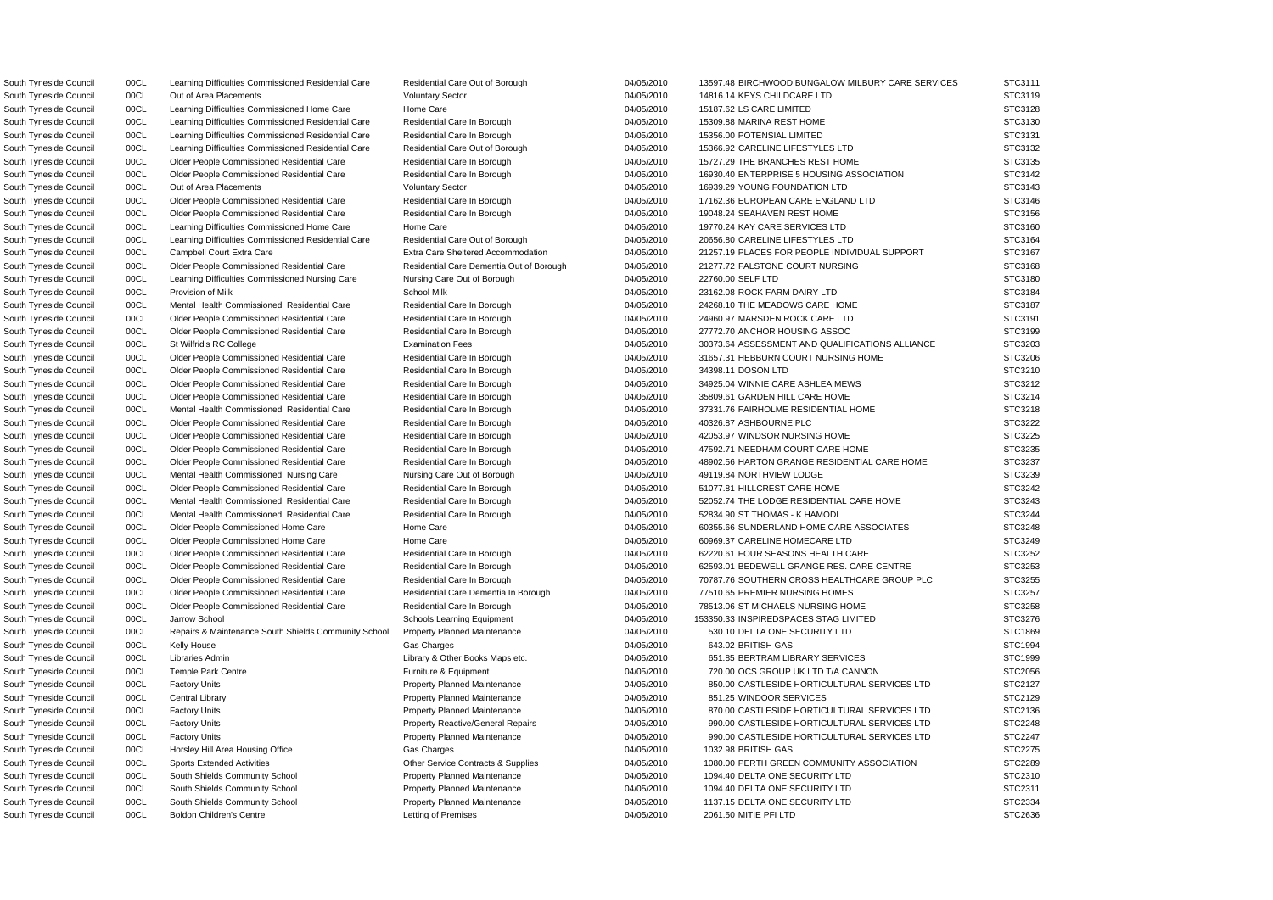South Tyneside Council 00CL Out of Area Placements Company Sector Voluntary Sector 04/05/2010 14816.14 KEYS CHILDCARE LTD STC3119 South Tyneside Council 00CL Learning Difficulties Commissioned Home Care Home Care Care 04/05/2010 15187.62 LS CARE LIMITED South Tyneside Council **OOCL** Learning Difficulties Commissioned Residential Care Residential Care In Borough 04/05/2010 15309.88 MARINA REST HOME South Tyneside Council **2000 Difficulties Commissioned Residential Care** Residential Care Residential Care In Borough 04/05/2010 15356.00 POTENSIAL LIMITED South Tyneside Council 00CL Learning Difficulties Commissioned Residential Care Residential Care Out of Borough 04/05/2010 15366.92 CARELINE LIFESTYLES LTD South Tyneside Council 00CL Out of Area Placements COUNDATION COUntary Sector 04/05/2010 16939.29 YOUNG FOUNDATION LTD South Tyneside Council **OOCL** Older People Commissioned Residential Care Residential Care In Borough 04/05/2010 19048.24 SEAHAVEN REST HOME South Tyneside Council 00CL Learning Difficulties Commissioned Home Care Home Care 19770.24 KAY CARE SERVICES LTD South Tyneside Council 00CL Learning Difficulties Commissioned Residential Care Residential Care Out of Borough 04/05/2010 20656.80 CARELINE LIFESTYLES LTD South Tyneside Council and COCL and Learning Difficulties Commissioned Nursing Care Nursing Care Out of Borough 04/05/2010 22760.00 SELF LTD South Tyneside Council 00CL Older People Commissioned Residential Care Residential Care In Borough 04/05/2010 24960.97 MARSDEN ROCK CARE LTD South Tyneside Council 00CL Older People Commissioned Residential Care Residential Care In Borough 04/05/2010 27772.70 ANCHOR HOUSING ASSOC South Tyneside Council **2008 00CL** Older People Commissioned Residential Care Residential Care In Borough 24/05/2010 34398.11 DOSON LTD South Tyneside Council 00CL Older People Commissioned Residential Care Residential Care In Borough 04/05/2010 35809.61 GARDEN HILL CARE HOME South Tyneside Council **2000 OD CL Commissioned Residential Care** Residential Care Residential Care In Borough 04/05/2010 40326.87 ASHBOURNE PLC South Tyneside Council **COL Colder People Commissioned Residential Care** Residential Care In Borough 04/05/2010 42053.97 WINDSOR NURSING HOME South Tyneside Council **OOCL** Mental Health Commissioned Nursing Care Nursing Care Out of Borough 04/05/2010 49119.84 NORTHVIEW LODGE South Tyneside Council 00CL Older People Commissioned Residential Care Residential Care In Borough 04/05/2010 51077.81 HILLCREST CARE HOME South Tyneside Council **1998** OOCL Mental Health Commissioned Residential Care Residential Care In Borough 04/05/2010 52834.90 ST THOMAS - K HAMODI South Tyneside Council 00CL Older People Commissioned Home Care Home Care Home Care 04/05/2010 60969.37 CARELINE HOMECARE LTD South Tyneside Council 00CL Older People Commissioned Residential Care Residential Care Dementia In Borough 04/05/2010 77510.65 PREMIER NURSING HOMES South Tyneside Council **OOCL** Repairs & Maintenance South Shields Community School Property Planned Maintenance **04/05/2010** 530.10 DELTA ONE SECURITY LTD South Tyneside Council 00CL Central Library **Property Planned Maintenance** 04/05/2010 851.25 WINDOOR SERVICES South Tyneside Council and Docume Hill Area Housing Office Cas Charges Charges Charges 204/05/2010 1032.98 BRITISH GAS STRITISH GAS STRITISH GAS STRITISH GAS STRITISH GAS STRITISH GAS STRITISH GAS STRITISH GAS STRITISH GAS South Tyneside Council 00CL South Shields Community School Property Planned Maintenance 04/05/2010 1094.40 DELTA ONE SECURITY LTD South Tyneside Council **2000 00CL** South Shields Community School Property Planned Maintenance 20105/2010 1094.40 DELTA ONE SECURITY LTD South Tyneside Council 00CL South Shields Community School Property Planned Maintenance 04/05/2010 1137.15 DELTA ONE SECURITY LTD

South Tyneside Council 00CL Learning Difficulties Commissioned Residential Care Residential Care Out of Borough 04/05/2010 13597.48 BIRCHWOOD BUNGALOW MILBURY CARE SERVICES South Tyneside Council 00CL Older People Commissioned Residential Care Residential Care In Borough 04/05/2010 15727.29 THE BRANCHES REST HOME South Tyneside Council 00CL Older People Commissioned Residential Care Residential Care In Borough 04/05/2010 16930.40 ENTERPRISE 5 HOUSING ASSOCIATION South Tyneside Council 00CL Older People Commissioned Residential Care Residential Care In Borough 04/05/2010 17162.36 EUROPEAN CARE ENGLAND LTD South Tyneside Council 00CL Campbell Court Extra Care **Extra Care** Extra Care Extra Care Sheltered Accommodation 04/05/2010 21257.19 PLACES FOR PEOPLE INDIVIDUAL SUPPORT South Tyneside Council 00CL Older People Commissioned Residential Care Residential Care Dementia Out of Borough 04/05/2010 21277.72 FALSTONE COURT NURSING South Tyneside Council 00CL Provision of Milk School Milk 04/05/2010 23162.08 ROCK FARM DAIRY LTD STC3184 South Tyneside Council **1998** OOCL Mental Health Commissioned Residential Care Residential Care Residential Care In Borough 04/05/2010 24268.10 THE MEADOWS CARE HOME South Tyneside Council 00CL St Wilfrid's RC College Examination Fees 6 04/05/2010 30373.64 ASSESSMENT AND QUALIFICATIONS ALLIANCE South Tyneside Council 00CL Older People Commissioned Residential Care Residential Care In Borough 04/05/2010 31657.31 HEBBURN COURT NURSING HOME South Tyneside Council **OOCL** Older People Commissioned Residential Care Residential Care In Borough 04/05/2010 34925.04 WINNIE CARE ASHLEA MEWS South Tyneside Council **1998 OCL Mental Health Commissioned Residential Care** Residential Care In Borough 04/05/2010 37331.76 FAIRHOLME RESIDENTIAL HOME South Tyneside Council 00CL Older People Commissioned Residential Care Residential Care In Borough 04/05/2010 47592.71 NEEDHAM COURT CARE HOME South Tyneside Council 00CL Older People Commissioned Residential Care Residential Care In Borough 04/05/2010 48902.56 HARTON GRANGE RESIDENTIAL CARE HOME South Tyneside Council 00CL Mental Health Commissioned Residential Care Residential Care Residential Care Residential Care Residential Care In Borough 04/05/2010 52052.74 THE LODGE RESIDENTIAL CARE HOME South Tyneside Council 00CL Older People Commissioned Home Care Home Care Home Care 194/05/2010 60355.66 SUNDERLAND HOME CARE ASSOCIATES South Tyneside Council 00CL Older People Commissioned Residential Care Residential Care In Borough 04/05/2010 62220.61 FOUR SEASONS HEALTH CARE South Tyneside Council 00CL Older People Commissioned Residential Care Residential Care Residential Care Residential Care Residential Care Residential Care 1n Borough 04/05/2010 62593.01 BEDEWELL GRANGE RES. CARE CENTRE South Tyneside Council 00CL Older People Commissioned Residential Care Residential Care In Borough 04/05/2010 70787.76 SOUTHERN CROSS HEALTHCARE GROUP PLC South Tyneside Council 00CL Older People Commissioned Residential Care Residential Care In Borough 04/05/2010 78513.06 ST MICHAELS NURSING HOME South Tyneside Council 00CL Jarrow School School Schools Learning Equipment 04/05/2010 153350.33 INSPIREDSPACES STAG LIMITED South Tyneside Council 00CL Kelly House Gas Charges 04/05/2010 643.02 BRITISH GAS STC1994 South Tyneside Council 00CL Libraries Admin 2000 100 Library & Other Books Maps etc. 2008/2010 651.85 BERTRAM LIBRARY SERVICES South Tyneside Council 00CL Temple Park Centre **Funniture & Equipment** 6 Equipment 04/05/2010 720.00 OCS GROUP UK LTD T/A CANNON South Tyneside Council 00CL Factory Units **Property Planned Maintenance Property Planned Maintenance** 04/05/2010 850.00 CASTLESIDE HORTICULTURAL SERVICES LTD South Tyneside Council 00CL Factory Units **Property Planned Maintenance Property Planned Maintenance** 04/05/2010 870.00 CASTLESIDE HORTICULTURAL SERVICES LTD South Tyneside Council 00CL Factory Units Council Property Reactive/General Repairs 04/05/2010 990.00 CASTLESIDE HORTICULTURAL SERVICES LTD South Tyneside Council 00CL Factory Units **Property Planned Maintenance Property Planned Maintenance** 04/05/2010 990.00 CASTLESIDE HORTICULTURAL SERVICES LTD South Tyneside Council 00CL Sports Extended Activities Contracts & Supplies 00ther Service Contracts & Supplies 04/05/2010 1080.00 PERTH GREEN COMMUNITY ASSOCIATION South Tyneside Council 00CL Boldon Children's Centre Letting of Premises 04/05/2010 2061.50 MITIE PFI LTD STC2636

| S              |   | ГС3111 |       |  |  |
|----------------|---|--------|-------|--|--|
| S.             |   | TC3119 |       |  |  |
| S.             |   | TC3128 |       |  |  |
| 3              |   | TC3130 |       |  |  |
| S              |   | TC3131 |       |  |  |
| S.             |   | TC3132 |       |  |  |
| S              |   | TC3135 |       |  |  |
|                |   |        |       |  |  |
| S              | T | C3142  |       |  |  |
| S              | Ţ | C3143  |       |  |  |
| ؟<br>š         | T | Ć      | 3146  |  |  |
| S              | T | C3156  |       |  |  |
| ؟<br>š         | T | C3160  |       |  |  |
| S              | T | C3164  |       |  |  |
| S              | Ţ | Ϊ      | 3167: |  |  |
| ć<br>š         | Ţ | C3168  |       |  |  |
| ć<br>š         |   | TC3180 |       |  |  |
| S              |   | ТC     | 3184  |  |  |
|                |   |        |       |  |  |
| S              |   | ТC     | 3187  |  |  |
| S              |   | TC3191 |       |  |  |
| S              |   | TC3199 |       |  |  |
| S              | т |        | 3203  |  |  |
| ؟<br>š         |   | TC3206 |       |  |  |
| ؟<br>ì         |   | TC3210 |       |  |  |
| S              |   | TC3212 |       |  |  |
| S              | Ī | C3214  |       |  |  |
| S              | I | C3218  |       |  |  |
| S              | T | C3222  |       |  |  |
|                |   | C3225  |       |  |  |
| 3              | T |        |       |  |  |
| 3              | Ī | C3235  |       |  |  |
| S              | I | C3237  |       |  |  |
| S              | I | C3239  |       |  |  |
| S              | I | C3242  |       |  |  |
| S              | Ţ | C3243  |       |  |  |
| ć<br>š         | T | Ό      | 3244: |  |  |
| ؟<br>š         | T | C3248  |       |  |  |
| S              | T | C3249  |       |  |  |
| ï<br>؟         | T | C3252  |       |  |  |
| STC3253        |   |        |       |  |  |
| š<br>ć         |   | TC3255 |       |  |  |
|                |   | TC3257 |       |  |  |
| š<br>s         |   |        |       |  |  |
| S              |   | TC3258 |       |  |  |
| STC3276        |   |        |       |  |  |
| STC1869        |   |        |       |  |  |
| STC1994        |   |        |       |  |  |
| STC1999        |   |        |       |  |  |
| STC2056        |   |        |       |  |  |
| STC2127        |   |        |       |  |  |
| STC2129        |   |        |       |  |  |
| STC2136        |   |        |       |  |  |
|                |   |        |       |  |  |
| STC2248        |   |        |       |  |  |
| STC2247        |   |        |       |  |  |
| STC2275        |   |        |       |  |  |
| STC2289        |   |        |       |  |  |
| STC2310        |   |        |       |  |  |
| STC2311        |   |        |       |  |  |
| STC2334        |   |        |       |  |  |
| <b>STC2636</b> |   |        |       |  |  |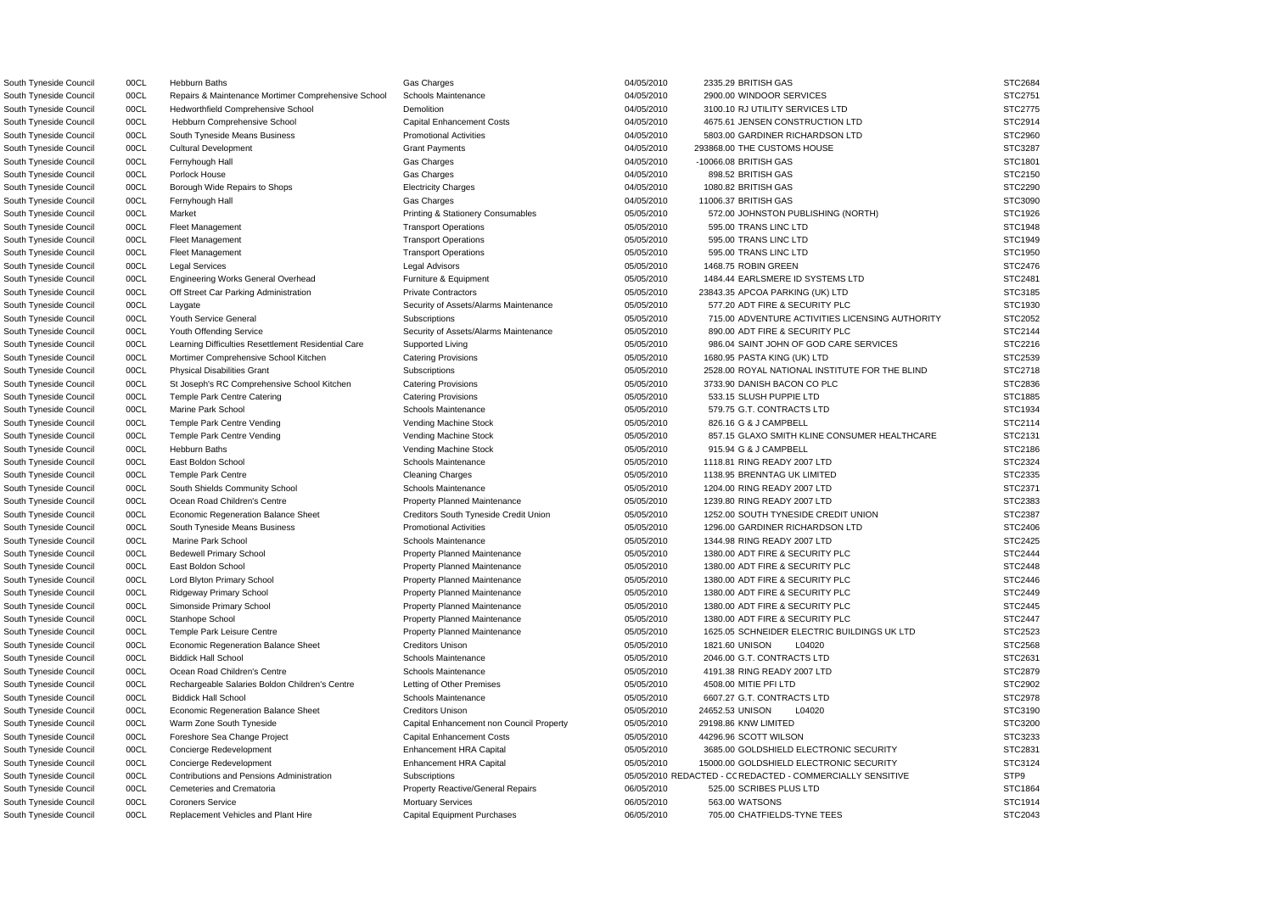South Tyneside Council **2900.00 WINDOOR SERVICES** 30 Naintenance Mortimer Comprehensive School Schools Maintenance **04/05/2010** 2900.00 WINDOOR SERVICES South Tyneside Council 00CL Hedworthfield Comprehensive School Demolition Demolition 04/05/2010 3100.10 RJ UTILITY SERVICES LTD South Tyneside Council 00CL Cultural Development Crant Grant Payments Crant Payments 04/05/2010 293868.00 THE CUSTOMS HOUSE South Tyneside Council 00CL Borough Wide Repairs to Shops Electricity Charges 04/05/2010 1080.82 BRITISH GAS South Tyneside Council 00CL Off Street Car Parking Administration Private Contractors 05/05/2010 23843.35 APCOA PARKING (UK) LTD South Tyneside Council 00CL Laygate Security of Assets/Alarms Maintenance 05/05/2010 577.20 ADT FIRE & SECURITY PLC South Tyneside Council 00CL Youth Offending Service Security of Assets/Alarms Maintenance 05/05/2010 890.00 ADT FIRE & SECURITY PLC South Tyneside Council 00CL Mortimer Comprehensive School Kitchen Catering Provisions 05/05/2010 1680.95 PASTA KING (UK) LTD South Tyneside Council 00CL St Joseph's RC Comprehensive School Kitchen Catering Provisions 05/05/2010 3733.90 DANISH BACON CO PLC South Tyneside Council 00CL Marine Park School **School Schools Maintenance** 65/05/2010 579.75 G.T. CONTRACTS LTD South Tyneside Council 00CL East Boldon School School Schools Maintenance **15/05/2010** 1118.81 RING READY 2007 LTD South Tyneside Council 00CL Temple Park Centre Cleaning Charges Cleaning Charges 05/05/2010 1138.95 BRENNTAG UK LIMITED South Tyneside Council 00CL South Shields Community School Schools Maintenance 05/05/2010 1204.00 RING READY 2007 LTD South Tyneside Council 00CL Bedewell Primary School **Property Planned Maintenance** 05/05/2010 1380.00 ADT FIRE & SECURITY PLC South Tyneside Council 00CL East Boldon School **Property Planned Maintenance Property Planned Maintenance** 05/05/2010 1380.00 ADT FIRE & SECURITY PLC South Tyneside Council 00CL Lord Blyton Primary School Property Planned Maintenance 05/05/2010 1380.00 ADT FIRE & SECURITY PLC South Tyneside Council 00CL Ridgeway Primary School Property Planned Maintenance 05/05/2010 1380.00 ADT FIRE & SECURITY PLC South Tyneside Council 00CL Simonside Primary School Property Planned Maintenance 05/05/2010 1380.00 ADT FIRE & SECURITY PLC South Tyneside Council 00CL Stanhope School **Property Planned Maintenance 1380.00 ADT FIRE & SECURITY PLC** Stanhope School **Property Planned Maintenance** 1380.00 ADT FIRE & SECURITY PLC South Tyneside Council 00CL Economic Regeneration Balance Sheet Creditors Unison Creditors Unison 05/05/2010 1821.60 UNISON L04020 South Tyneside Council 00CL Biddick Hall School School Schools Maintenance 05/05/2010 2046.00 G.T. CONTRACTS LTD South Tyneside Council 00CL Ocean Road Children's Centre Schools Maintenance 65/05/2010 4191.38 RING READY 2007 LTD South Tyneside Council 00CL Rechargeable Salaries Boldon Children's Centre Letting of Other Premises 05/05/2010 4508.00 MITIE PFI LTD South Tyneside Council 00CL Biddick Hall School School Schools Maintenance 05/05/2010 6607.27 G.T. CONTRACTS LTD South Tyneside Council 00CL Economic Regeneration Balance Sheet Creditors Unison Creditors Unison 05/05/2010 24652.53 UNISON L04020 South Tyneside Council and Document of Capital Enhancement non Council Property and Dos of the Capital Enhancement non Council Property and Dos of the 29198.86 KNW LIMITED South Tyneside Council 00CL Foreshore Sea Change Project Capital Enhancement Costs 05/05/2010 44296.96 SCOTT WILSON South Tyneside Council 00CL Cemeteries and Crematoria Computer Property Reactive/General Repairs 06/05/2010 525.00 SCRIBES PLUS LTD South Tyneside Council 00CL Replacement Vehicles and Plant Hire Capital Equipment Purchases 06/05/2010 705.00 CHATFIELDS-TYNE TEES

O South Tyneside Council 00CL Contributions and Pensions Administration Subscriptions 05/05/2010 REDACTED - C REDACTED - COMMERCIALLY SENSITIVE STP9 South Tyneside Council 00CL Hebburn Baths Gas Charges 24/05/2010 2335.29 BRITISH GAS STC2684 South Tyneside Council 00CL Hebburn Comprehensive School Capital Enhancement Costs 04/05/2010 4675.61 JENSEN CONSTRUCTION LTD South Tyneside Council 00CL South Tyneside Means Business Promotional Activities 04/05/2010 5803.00 GARDINER RICHARDSON LTD South Tyneside Council 00CL Fernyhough Hall Gas Charges 04/05/2010 -10066.08 BRITISH GAS STC1801 South Tyneside Council 00CL Porlock House Gas Charges 04/05/2010 898.52 BRITISH GAS STC2150 South Tyneside Council 00CL Fernyhough Hall Gas Charges 04/05/2010 11006.37 BRITISH GAS STC3090 STC3090 South Tyneside Council 00CL Market **Printing & Stationery Consumables** 05/05/2010 572.00 JOHNSTON PUBLISHING (NORTH) South Tyneside Council 00CL Fleet Management 2000 1999 Transport Operations 2000 1999 05/05/2010 595.00 TRANS LINC LTD STC1948 South Tyneside Council 00CL Fleet Management Transport Operations Transport Operations 05/05/2010 595.00 TRANS LINC LTD STC1949 South Tyneside Council 00CL Fleet Management 2000 1999 Transport Operations 2000 1999 05/05/2010 595.00 TRANS LINC LTD STC1950 South Tyneside Council 00CL Legal Services Legal Advisors 05/05/2010 1468.75 ROBIN GREEN STC2476 South Tyneside Council 00CL Engineering Works General Overhead Furniture & Equipment 05/05/2010 1484.44 EARLSMERE ID SYSTEMS LTD South Tyneside Council 00CL Youth Service General Subscriptions Subscriptions of the Council of the Council of the Subscriptions of the Council of the Council of the Subscriptions of the Subscriptions of the Council of the South Tyneside Council oncluit dearning Difficulties Resettlement Residential Care Supported Living 05/05/2010 986.04 SAINT JOHN OF GOD CARE SERVICES South Tyneside Council 00CL Physical Disabilities Grant Subscriptions Subscriptions 05/05/2010 2528.00 ROYAL NATIONAL INSTITUTE FOR THE BLIND South Tyneside Council 00CL Temple Park Centre Catering Catering Provisions Catering Provisions 65/05/2010 533.15 SLUSH PUPPIE LTD STC1885 South Tyneside Council 00CL Temple Park Centre Vending Vending Machine Stock 05/05/2010 826.16 G & J CAMPBELL STC2114 South Tyneside Council 00CL Temple Park Centre Vending variable vending Vending Machine Stock 05/05/2010 857.15 GLAXO SMITH KLINE CONSUMER HEALTHCARE South Tyneside Council 00CL Hebburn Baths Vending Machine Stock 05/05/2010 915.94 G & J CAMPBELL STC2186 South Tyneside Council 00CL Ocean Road Children's Centre Property Planned Maintenance 05/05/2010 1239.80 RING READY 2007 LTD STC2383 South Tyneside Council 00CL Economic Regeneration Balance Sheet Creditors South Tyneside Credit Union 05/05/2010 1252.00 SOUTH TYNESIDE CREDIT UNION South Tyneside Council 00CL South Tyneside Means Business Promotional Activities 05/05/2010 1296.00 GARDINER RICHARDSON LTD South Tyneside Council 00CL Marine Park School Schools Maintenance 05/05/2010 1344.98 RING READY 2007 LTD STC2425 South Tyneside Council 00CL Temple Park Leisure Centre **Property Planned Maintenance** 05/05/2010 1625.05 SCHNEIDER ELECTRIC BUILDINGS UK LTD South Tyneside Council 00CL Concierge Redevelopment Cometa Concierge Redevelopment Enhancement HRA Capital 65/05/2010 3685.00 GOLDSHIELD ELECTRONIC SECURITY South Tyneside Council 00CL Concierge Redevelopment Concierge Redevelopment Enhancement HRA Capital 65/05/2010 15000.00 GOLDSHIELD ELECTRONIC SECURITY South Tyneside Council **OOCL Coroners Service Company Control** Mortuary Services 06/05/2010 563.00 WATSONS STC1914

| STC2684                               |
|---------------------------------------|
| STC2751                               |
| STC2775                               |
| STC2914                               |
| STC2960                               |
| STC3287<br>s                          |
| STC1801                               |
| STC2150                               |
|                                       |
| STC2290                               |
| STC3090                               |
| C1926<br>ì<br>؟<br>T                  |
| C1948<br>ì<br>؟<br>T                  |
| TC1949<br>S                           |
| TC1950<br>š<br>؟                      |
| TC2476<br>S                           |
| TC2481<br>š<br>ຸ                      |
| TC3185<br>؟<br>š                      |
| TC1930<br>ć<br>š                      |
| 2052<br>ТC<br>S                       |
| 2144<br>S<br>ТC                       |
| TC2216                                |
| S                                     |
| TC2539<br>S.                          |
| STC2718                               |
| STC2836<br>؟                          |
| STC1885                               |
| STC1934                               |
| C2114<br>S.<br>I                      |
| C2131<br>ST                           |
| C2186<br>ST                           |
| C2324<br>S.<br>Ţ                      |
| C2335<br>S.<br>Ţ                      |
| ST<br>C2371                           |
| C2383<br>S1                           |
| C2387<br>ST                           |
| C2406<br>ST                           |
| C2425                                 |
| $\overline{\mathsf{5}}$<br>؟<br>C2444 |
| ST                                    |
| STC2448                               |
| STC2446                               |
|                                       |
| STC2449                               |
| <b>STC2445</b>                        |
| STC2447<br>s                          |
| STC2523                               |
| STC2568                               |
| STC2631                               |
|                                       |
| STC2879                               |
| STC2902                               |
| STC2978                               |
| STC3190                               |
| STC3200                               |
| STC3233                               |
| STC2831                               |
| STC3124                               |
| STP9                                  |
| STC1864                               |
| STC1914<br>STC2043                    |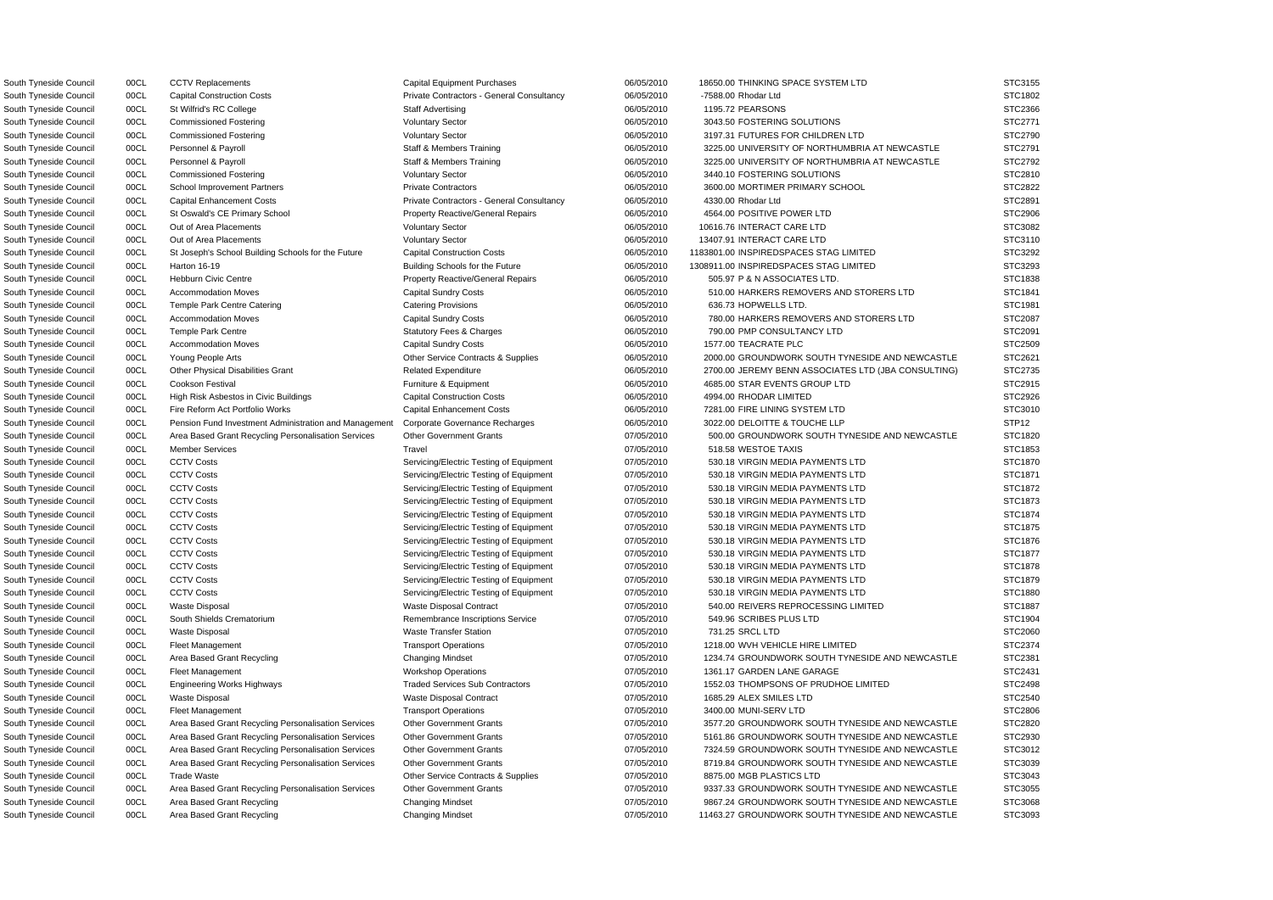South Tyneside Council 00CL CCTV Replacements Capital Equipment Purchases 06/05/2010 18650.00 THINKING SPACE SYSTEM LTD STC3155 South Tyneside Council 00CL Capital Construction Costs Private Contractors - General Consultancy 06/05/2010 -7588.00 Rhodar Ltd STC1802 South Tyneside Council 00CL St Wilfrid's RC College Staff Advertising 1195.72 PEARSONS STC2366 South Tyneside Council 00CL Commissioned Fostering Voluntary Sector Voluntary Sector 06/05/2010 3043.50 FOSTERING SOLUTIONS STC2771 South Tyneside Council 00CL Commissioned Fostering Voluntary Sector Voluntary Sector 06/05/2010 3197.31 FUTURES FOR CHILDREN LTD STC2790 South Tyneside Council 00CL Personnel & Payroll Staff & Members Training 66/05/2010 3225.00 UNIVERSITY OF NORTHUMBRIA AT NEWCASTLE STC2791 South Tyneside Council 00CL Personnel & Payroll Staff & Members Training 66/05/2010 3225.00 UNIVERSITY OF NORTHUMBRIA AT NEWCASTLE STC2792 South Tyneside Council 00CL Commissioned Fostering Voluntary Sector Voluntary Sector 06/05/2010 3440.10 FOSTERING SOLUTIONS STC2810 South Tyneside Council 00CL School Improvement Partners Private Contractors Private Contractors 06/05/2010 3600.00 MORTIMER PRIMARY SCHOOL STC2822 South Tyneside Council 00CL Capital Enhancement Costs Private Contractors - General Consultancy 06/05/2010 4330.00 Rhodar Ltd STC2891 South Tyneside Council 00CL St Oswald's CE Primary School Property Reactive/General Repairs 06/05/2010 4564.00 POSITIVE POWER LTD STC2906 South Tyneside Council 00CL Out of Area Placements Carea Voluntary Sector CARE 06/05/2010 10616.76 INTERACT CARE LTD STC3082 South Tyneside Council 00CL Out of Area Placements Carea Voluntary Sector CARE 06/05/2010 13407.91 INTERACT CARE LTD STC3110 South Tyneside Council 00CL St Joseph's School Building Schools for the Future Capital Construction Costs 06/05/2010 1183801.00 INSPIREDSPACES STAG LIMITED STC3292 South Tyneside Council 00CL Harton 16-19 **Building Schools for the Future** 06/05/2010 1308911.00 INSPIREDSPACES STAG LIMITED STC3293 South Tyneside Council 00CL Hebburn Civic Centre **Property Reactive/General Repairs** 06/05/2010 505.97 P & N ASSOCIATES LTD. STC1838 South Tyneside Council 00CL Accommodation Moves Capital Sundry Costs Capital Sundry Costs 06/05/2010 510.00 HARKERS REMOVERS AND STORERS LTD STC1841 South Tyneside Council 00CL Temple Park Centre Catering Catering Provisions Catering Provisions 06/05/2010 636.73 HOPWELLS LTD. STC1981 South Tyneside Council 00CL Accommodation Moves Capital Sundry Costs Capital Sundry Costs 06/05/2010 780.00 HARKERS REMOVERS AND STORERS LTD STC2087 South Tyneside Council 00CL Temple Park Centre Statutory Fees & Charges 06/05/2010 790.00 PMP CONSULTANCY LTD STC2091 South Tyneside Council 00CL Accommodation Moves Capital Sundry Costs 06/05/2010 1577.00 TEACRATE PLC STC2509 South Tyneside Council 00CL Young People Arts Contracts Other Service Contracts & Supplies 06/05/2010 2000.00 GROUNDWORK SOUTH TYNESIDE AND NEWCASTLE STC2621 South Tyneside Council 00CL Other Physical Disabilities Grant Related Expenditure Related Expenditure 06/05/2010 2700.00 JEREMY BENN ASSOCIATES LTD (JBA CONSULTING) STC2735 South Tyneside Council 00CL Cookson Festival **Furniture & Equipment** 6 Council 06/05/2010 4685.00 STAR EVENTS GROUP LTD STC2915 South Tyneside Council concluit and the High Risk Asbestos in Civic Buildings Capital Construction Costs Capital Construction Costs 06/05/2010 4994.00 RHODAR LIMITED STC2926 South Tyneside Council 00CL Fire Reform Act Portfolio Works Capital Enhancement Costs 06/05/2010 7281.00 FIRE LINING SYSTEM LTD STC3010 South Tyneside Council 00CL Pension Fund Investment Administration and Management Corporate Governance Recharges 06/05/2010 3022.00 DELOITTE & TOUCHE LLP STP12 South Tyneside Council 00CL Area Based Grant Recycling Personalisation Services Other Government Grants 07/05/2010 500.00 GROUNDWORK SOUTH TYNESIDE AND NEWCASTLE STC1820 South Tyneside Council 00CL Member Services Travel 07/05/2010 518.58 WESTOE TAXIS STC1853 South Tyneside Council 00CL CCTV Costs Servicing/Electric Testing of Equipment 07/05/2010 530.18 VIRGIN MEDIA PAYMENTS LTD STC1870 South Tyneside Council 00CL CCTV Costs Servicing/Electric Testing of Equipment 07/05/2010 530.18 VIRGIN MEDIA PAYMENTS LTD STC1871 South Tyneside Council 00CL CCTV Costs Servicing/Electric Testing of Equipment 07/05/2010 530.18 VIRGIN MEDIA PAYMENTS LTD STC1872 South Tyneside Council 00CL CCTV Costs Servicing/Electric Testing of Equipment 07/05/2010 530.18 VIRGIN MEDIA PAYMENTS LTD STC1873 South Tyneside Council 00CL CCTV Costs Servicing/Electric Testing of Equipment 07/05/2010 530.18 VIRGIN MEDIA PAYMENTS LTD STC1874 South Tyneside Council 00CL CCTV Costs Servicing/Electric Testing of Equipment 07/05/2010 530.18 VIRGIN MEDIA PAYMENTS LTD STC1875 South Tyneside Council 00CL CCTV Costs Servicing/Electric Testing of Equipment 07/05/2010 530.18 VIRGIN MEDIA PAYMENTS LTD STC1876 South Tyneside Council 00CL CCTV Costs Servicing/Electric Testing of Equipment 07/05/2010 530.18 VIRGIN MEDIA PAYMENTS LTD STC1877 South Tyneside Council 00CL CCTV Costs Servicing/Electric Testing of Equipment 07/05/2010 530.18 VIRGIN MEDIA PAYMENTS LTD STC1878 South Tyneside Council 00CL CCTV Costs Servicing/Electric Testing of Equipment 07/05/2010 530.18 VIRGIN MEDIA PAYMENTS LTD STC1879 South Tyneside Council 00CL CCTV Costs Servicing/Electric Testing of Equipment 07/05/2010 530.18 VIRGIN MEDIA PAYMENTS LTD STC1880 South Tyneside Council 00CL Waste Disposal Waste Disposal Contract 007/05/2010 540.00 REIVERS REPROCESSING LIMITED STC1887 South Tyneside Council 00CL South Shields Crematorium Remembrance Inscriptions Service 07/05/2010 549.96 SCRIBES PLUS LTD STC1904 South Tyneside Council 00CL Waste Disposal Waste Transfer Station 07/05/2010 731.25 SRCL LTD STC2060 South Tyneside Council 00CL Fleet Management Council Transport Operations Council 07/05/2010 1218.00 WVH VEHICLE HIRE LIMITED STC2374 South Tyneside Council 00CL Area Based Grant Recycling Changing Mindset Changing Mindset 07/05/2010 1234.74 GROUNDWORK SOUTH TYNESIDE AND NEWCASTLE STC2381 South Tyneside Council 00CL Fleet Management COUNTER Workshop Operations 07/05/2010 1361.17 GARDEN LANE GARAGE STC2431 South Tyneside Council **COUL Comparise Contracts** Traded Services Sub Contractors 07/05/2010 1552.03 THOMPSONS OF PRUDHOE LIMITED STC2498 South Tyneside Council 00CL Waste Disposal Waste Disposal Contract 07/05/2010 1685.29 ALEX SMILES LTD STC2540 South Tyneside Council 00CL Fleet Management Transport Operations 07/05/2010 3400.00 MUNI-SERV LTD STC2806 South Tyneside Council 00CL Area Based Grant Recycling Personalisation Services Other Government Grants 07/05/2010 3577.20 GROUNDWORK SOUTH TYNESIDE AND NEWCASTLE STC2820 South Tyneside Council 00CL Area Based Grant Recycling Personalisation Services Other Government Grants 07/05/2010 5161.86 GROUNDWORK SOUTH TYNESIDE AND NEWCASTLE STC2930 South Tyneside Council 00CL Area Based Grant Recycling Personalisation Services Other Government Grants 07/05/2010 7324.59 GROUNDWORK SOUTH TYNESIDE AND NEWCASTLE STC3012 South Tyneside Council 00CL Area Based Grant Recycling Personalisation Services Other Government Grants 07/05/2010 8719.84 GROUNDWORK SOUTH TYNESIDE AND NEWCASTLE STC3039 South Tyneside Council 00CL Trade Waste Contracts Contracts & Supplies 07/05/2010 8875.00 MGB PLASTICS LTD STC3043 South Tyneside Council 00CL Area Based Grant Recycling Personalisation Services Other Government Grants 07/05/2010 9337.33 GROUNDWORK SOUTH TYNESIDE AND NEWCASTLE STC3055 South Tyneside Council 00CL Area Based Grant Recycling Changing Mindset Changing Mindset 07/05/2010 9867.24 GROUNDWORK SOUTH TYNESIDE AND NEWCASTLE STC3068 South Tyneside Council 00CL Area Based Grant Recycling Changing Mindset Changing Mindset 07/05/2010 11463.27 GROUNDWORK SOUTH TYNESIDE AND NEWCASTLE STC3093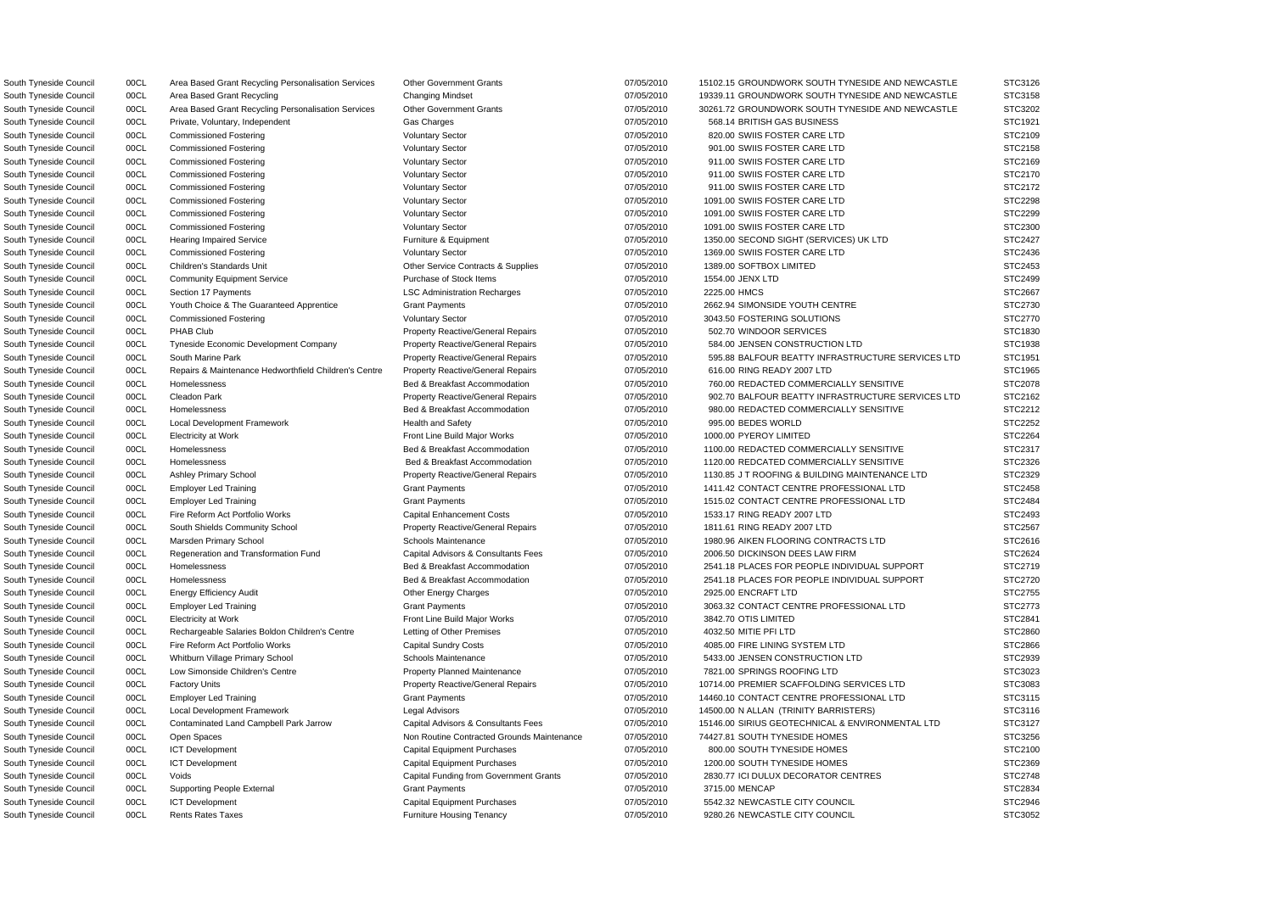South Tyneside Council 00CL Private, Voluntary, Independent Gas Charges 69.14 BRITISH GAS BUSINESS STC1910 568.14 BRITISH GAS BUSINESS South Tyneside Council 00CL Commissioned Fostering Voluntary Sector 07/05/2010 820.00 SWIIS FOSTER CARE LTD South Tyneside Council 00CL Commissioned Fostering COVID-100 Voluntary Sector CARE COMPUS COVID-100 SWIIS FOSTER CARE LTD STC2010 South Tyneside Council 00CL Commissioned Fostering Commissioned Fostering Voluntary Sector Commissioned Fostering State Council State LTD State LTD State LTD STC2010 911.00 SWIIS FOSTER CARE LTD STC2016 South Tyneside Council 00CL Commissioned Fostering COVID-100 Voluntary Sector CARE COVID-100 SWIIS FOSTER CARE LTD STC2010 South Tyneside Council 00CL Commissioned Fostering Voluntary Sector 07/05/2010 911.00 SWIIS FOSTER CARE LTD South Tyneside Council 00CL Commissioned Fostering Commissioned Fostering Voluntary Sector Commissioned Fostering COVIDS Voluntary Sector 07/05/2010 1091.00 SWIIS FOSTER CARE LTD South Tyneside Council 00CL Commissioned Fostering COVID-100 Voluntary Sector CARE COVID-1091.00 SWIIS FOSTER CARE LTD South Tyneside Council 00CL Commissioned Fostering Voluntary Sector Voluntary Sector 07/05/2010 1091.00 SWIIS FOSTER CARE LTD South Tyneside Council 00CL Commissioned Fostering Voluntary Sector Voluntary Sector 07/05/2010 1369.00 SWIIS FOSTER CARE LTD South Tyneside Council 00CL Children's Standards Unit Children Contracts & Supplies 07/05/2010 1389.00 SOFTBOX LIMITED South Tyneside Council 00CL Section 17 Payments **LSC Administration Recharges** 07/05/2010 2225.00 HMCS South Tyneside Council 00CL Youth Choice & The Guaranteed Apprentice Grant Payments 07/05/2010 2662.94 SIMONSIDE YOUTH CENTRE South Tyneside Council 00CL Commissioned Fostering Commissioned Fostering Voluntary Sector Commissioned Fostering SOLUTIONS STC2010 3043.50 FOSTERING SOLUTIONS South Tyneside Council 00CL PHAB Club **Property Reactive/General Repairs** 07/05/2010 502.70 WINDOOR SERVICES South Tyneside Council 00CL Tyneside Economic Development Company Property Reactive/General Repairs 07/05/2010 584.00 JENSEN CONSTRUCTION LTD South Tyneside Council 00CL Repairs & Maintenance Hedworthfield Children's Centre Property Reactive/General Repairs 07/05/2010 616.00 RING READY 2007 LTD South Tyneside Council 00CL Local Development Framework Health and Safety CHO COVID 07/05/2010 995.00 BEDES WORLD South Tyneside Council 00CL Electricity at Work Front Line Build Major Works 07/05/2010 1000.00 PYEROY LIMITED South Tyneside Council **OOCL** Fire Reform Act Portfolio Works Capital Enhancement Costs 07/05/2010 1533.17 RING READY 2007 LTD South Tyneside Council **200CL** South Shields Community School Property Reactive/General Repairs 07/05/2010 1811.61 RING READY 2007 LTD South Tyneside Council **COCL** Regeneration and Transformation Fund Capital Advisors & Consultants Fees 07/05/2010 2006.50 DICKINSON DEES LAW FIRM South Tyneside Council 00CL Rechargeable Salaries Boldon Children's Centre Letting of Other Premises 07/05/2010 4032.50 MITIE PFI LTD South Tyneside Council 00CL Fire Reform Act Portfolio Works Capital Sundry Costs 07/05/2010 4085.00 FIRE LINING SYSTEM LTD South Tyneside Council 00CL Whitburn Village Primary School Schools Maintenance 00000 07/05/2010 5433.00 JENSEN CONSTRUCTION LTD South Tyneside Council **2008 Development Connect Accounce** Property Planned Maintenance **Property Planned Maintenance** by the STC302010 7821.00 SPRINGS ROOFING LTD South Tyneside Council 00CL Open Spaces 1986 1997 1998 Non Routine Contracted Grounds Maintenance 07/05/2010 74427.81 SOUTH TYNESIDE HOMES South Tyneside Council 00CL ICT Development Capital Capital Equipment Purchases 07/05/2010 800.00 SOUTH TYNESIDE HOMES South Tyneside Council 00CL ICT Development Capital Capital Equipment Purchases 07/05/2010 1200.00 SOUTH TYNESIDE HOMES South Tyneside Council 00CL ICT Development Capital Capital Equipment Purchases 07/05/2010 5542.32 NEWCASTLE CITY COUNCIL South Tyneside Council 00CL Rents Rates Taxes **Furniture Housing Tenancy 50**7/05/2010 9280.26 NEWCASTLE CITY COUNCIL

South Tyneside Council 00CL Area Based Grant Recycling Personalisation Services Other Government Grants 07/05/2010 15102.15 GROUNDWORK SOUTH TYNESIDE AND NEWCASTLE South Tyneside Council 00CL Area Based Grant Recycling Changing Mindset Changing Mindset 07/05/2010 19339.11 GROUNDWORK SOUTH TYNESIDE AND NEWCASTLE South Tyneside Council 00CL Area Based Grant Recycling Personalisation Services Other Government Grants 07/05/2010 30261.72 GROUNDWORK SOUTH TYNESIDE AND NEWCASTLE South Tyneside Council 00CL Hearing Impaired Service Furniture & Equipment 6 Furniture & Equipment 07/05/2010 1350.00 SECOND SIGHT (SERVICES) UK LTD South Tyneside Council 00CL Community Equipment Service Purchase of Stock Items 07/05/2010 1554.00 JENX LTD STC2499 South Tyneside Council 00CL South Marine Park **Property Reactive/General Repairs** 07/05/2010 595.88 BALFOUR BEATTY INFRASTRUCTURE SERVICES LTD South Tyneside Council 00CL Homelessness Sand Bed & Breakfast Accommodation 07/05/2010 760.00 REDACTED COMMERCIALLY SENSITIVE South Tyneside Council 00CL Cleadon Park **Property Reactive/General Repairs** 07/05/2010 902.70 BALFOUR BEATTY INFRASTRUCTURE SERVICES LTD South Tyneside Council 00CL Homelessness Secretive Bed & Breakfast Accommodation 07/05/2010 980.00 REDACTED COMMERCIALLY SENSITIVE South Tyneside Council 00CL Homelessness exception by the Bed & Breakfast Accommodation 07/05/2010 1100.00 REDACTED COMMERCIALLY SENSITIVE South Tyneside Council 00CL Homelessness Commodum Bed & Breakfast Accommodation 07/05/2010 1120.00 REDCATED COMMERCIALLY SENSITIVE South Tyneside Council 00CL Ashley Primary School **Property Reactive/General Repairs** 07/05/2010 1130.85 J T ROOFING & BUILDING MAINTENANCE LTD South Tyneside Council 00CL Employer Led Training Carries Crant Payments Carries Council 207/05/2010 1411.42 CONTACT CENTRE PROFESSIONAL LTD South Tyneside Council 00CL Employer Led Training Carries Crant Payments Carries and Critics of the Contract CENTRE PROFESSIONAL LTD State 1515.02 CONTACT CENTRE PROFESSIONAL LTD South Tyneside Council 00CL Marsden Primary School School Schools Maintenance 00000 07/05/2010 1980.96 AIKEN FLOORING CONTRACTS LTD South Tyneside Council 00CL Homelessness **Bed & Breakfast Accommodation** 07/05/2010 2541.18 PLACES FOR PEOPLE INDIVIDUAL SUPPORT South Tyneside Council 00CL Homelessness **Bed & Breakfast Accommodation** 07/05/2010 2541.18 PLACES FOR PEOPLE INDIVIDUAL SUPPORT South Tyneside Council 00CL Energy Efficiency Audit Other Energy Charges 07/05/2010 2925.00 ENCRAFT LTD STC2755 South Tyneside Council 00CL Employer Led Training Crant Payments Crant Payments 6 and Structure of the State of the State of Training State of Grant Payments 6 and Structure 3063.32 CONTACT CENTRE PROFESSIONAL LTD State of South Tyneside Council 00CL Electricity at Work Front Line Build Major Works 07/05/2010 3842.70 OTIS LIMITED STC2841 South Tyneside Council 00CL Factory Units **Property Reactive/General Repairs** 07/05/2010 10714.00 PREMIER SCAFFOLDING SERVICES LTD South Tyneside Council 00CL Employer Led Training Cases of Cases of Cases of Cases of Cases of Contract CENTRE PROFESSIONAL LTD State 14460.10 CONTACT CENTRE PROFESSIONAL LTD South Tyneside Council 00CL Local Development Framework Legal Advisors Legal Advisors 67/05/2010 14500.00 N ALLAN (TRINITY BARRISTERS) South Tyneside Council 00CL Contaminated Land Campbell Park Jarrow Capital Advisors & Consultants Fees 07/05/2010 15146.00 SIRIUS GEOTECHNICAL & ENVIRONMENTAL LTD South Tyneside Council 00CL Voids Capital Funding from Government Grants 07/05/2010 2830.77 ICI DULUX DECORATOR CENTRES South Tyneside Council 00CL Supporting People External Grant Payments 3715.00 MENCAP STC2834

| STC3126            |
|--------------------|
| STC3158            |
| STC3202            |
| STC1921            |
| STC2109            |
| STC2158            |
| STC2169            |
|                    |
| STC2170            |
| STC2172            |
| STC2298<br>s       |
| TC2299<br>S        |
| STC2300            |
| TC2427<br>S        |
| TC2436<br>S        |
| TC2453<br>s<br>š   |
| TC2499<br>s<br>š   |
| 2667<br>ТC<br>S.   |
| STC2730            |
|                    |
| STC2770            |
| TC1830<br>S        |
| STC1938            |
| STC1951<br>؟       |
| STC1965<br>s       |
| STC2078            |
| TC2162<br>S.       |
| TC2212<br>S.       |
| STC2252            |
| TC2264<br>S.       |
| STC2317            |
|                    |
| STC2326            |
| STC2329            |
| STC2458            |
| STC2484            |
| STC2493<br>s       |
| STC2567<br>s       |
| STC2616            |
| STC2624            |
| STC2719            |
| TC2720<br>S.       |
| STC2755<br>؟       |
| STC2773            |
| STC2841            |
| STC2860            |
|                    |
| STC2866            |
| STC2939            |
| STC3023            |
| STC3083            |
| STC3115            |
| STC3116            |
| STC3127            |
| STC3256            |
| STC2100            |
| STC2369            |
| STC2748            |
|                    |
| STC2834            |
| STC2946<br>STC3052 |
|                    |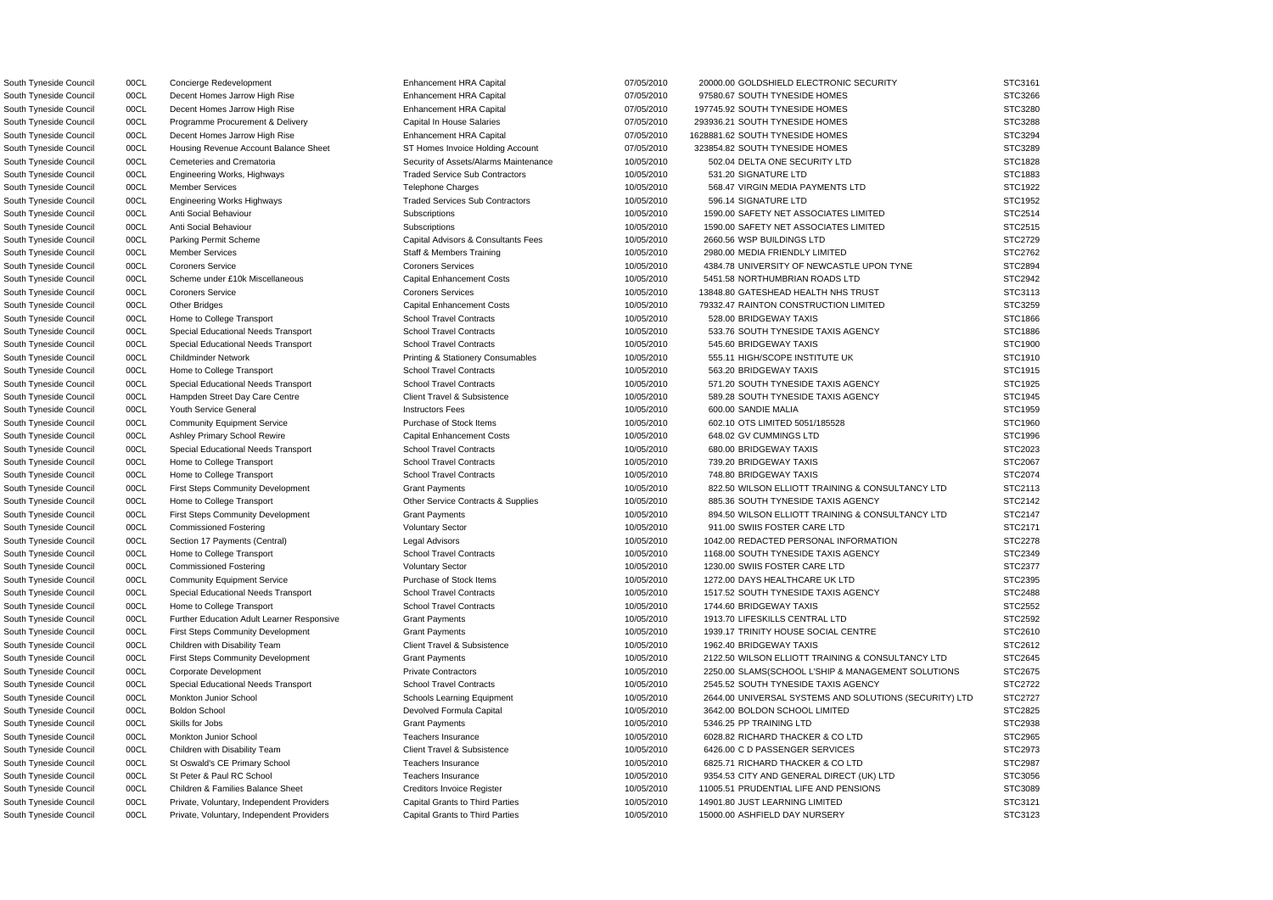South Tyneside Council **1998** OOCL Engineering Works, Highways Traded Service Sub Contractors 10/05/2010 531.20 SIGNATURE LTD South Tyneside Council 00CL Engineering Works Highways Traded Services Sub Contractors 10/05/2010 596.14 SIGNATURE LTD South Tyneside Council 00CL Special Educational Needs Transport School Travel Contracts 10/05/2010 545.60 BRIDGEWAY TAXIS South Tyneside Council 00CL Special Educational Needs Transport School Travel Contracts 10/05/2010 680.00 BRIDGEWAY TAXIS

South Tyneside Council 00CL Concierge Redevelopment examples and Enhancement HRA Capital 07/05/2010 20000.00 GOLDSHIELD ELECTRONIC SECURITY South Tyneside Council 00CL Decent Homes Jarrow High Rise **Enhancement HRA Capital 67/05/2010** 97580.67 SOUTH TYNESIDE HOMES South Tyneside Council **2000 ODCL COUNCIDE HOMES** Britain Mess arrow High Rise **Council 2001** Enhancement HRA Capital 2000 07/05/2010 197745.92 SOUTH TYNESIDE HOMES South Tyneside Council 00CL Programme Procurement & Delivery Capital In House Salaries 07/05/2010 293936.21 SOUTH TYNESIDE HOMES South Tyneside Council **2000 ODCL COUNCIL COUNCIL ACCL** Decent Homes Jarrow High Rise **Enhancement HRA Capital 2000** COUNCIL 07/05/2010 1628881.62 SOUTH TYNESIDE HOMES South Tyneside Council **1998** OOCL Housing Revenue Account Balance Sheet ST Homes Invoice Holding Account **67/05/2010** 323854.82 SOUTH TYNESIDE HOMES South Tyneside Council 00CL Cemeteries and Crematoria Security of Assets/Alarms Maintenance 10/05/2010 502.04 DELTA ONE SECURITY LTD South Tyneside Council 00CL Member Services Telephone Charges Telephone Charges 10/05/2010 568.47 VIRGIN MEDIA PAYMENTS LTD South Tyneside Council 00CL Anti Social Behaviour Subscriptions Subscriptions 10/05/2010 1590.00 SAFETY NET ASSOCIATES LIMITED South Tyneside Council 00CL Anti Social Behaviour Subscriptions Subscriptions 10/05/2010 1590.00 SAFETY NET ASSOCIATES LIMITED South Tyneside Council 00CL Parking Permit Scheme Capital Advisors & Consultants Fees 10/05/2010 2660.56 WSP BUILDINGS LTD South Tyneside Council 00CL Member Services Staff & Members Training 10/05/2010 2980.00 MEDIA FRIENDLY LIMITED South Tyneside Council 00CL Coroners Service Coroners Services Coroners Services Coroners Services and the Coroners Services and the Manual Coroners Services and the Manual Coroners Services and the Manual Coroners Service South Tyneside Council 00CL Scheme under £10k Miscellaneous Capital Enhancement Costs 10/05/2010 5451.58 NORTHUMBRIAN ROADS LTD South Tyneside Council 00CL Coroners Service Coroners Coroners Services Coroners Services 20/05/2010 13848.80 GATESHEAD HEALTH NHS TRUST South Tyneside Council 00CL Other Bridges Capital Enhancement Costs 10/05/2010 79332.47 RAINTON CONSTRUCTION LIMITED South Tyneside Council 00CL Home to College Transport School Travel Contracts School Travel Contracts 30/05/2010 528.00 BRIDGEWAY TAXIS STC1866 South Tyneside Council **1998 OCL Special Educational Needs Transport** School Travel Contracts 10/05/2010 533.76 SOUTH TYNESIDE TAXIS AGENCY South Tyneside Council 00CL Childminder Network **Printing & Stationery Consumables** 10/05/2010 555.11 HIGH/SCOPE INSTITUTE UK South Tyneside Council 00CL Home to College Transport STC1915 School Travel Contracts 10/05/2010 563.20 BRIDGEWAY TAXIS STC1915 South Tyneside Council 00CL Special Educational Needs Transport School Travel Contracts 10/05/2010 571.20 SOUTH TYNESIDE TAXIS AGENCY South Tyneside Council 00CL Hampden Street Day Care Centre Client Travel & Subsistence 10/05/2010 589.28 SOUTH TYNESIDE TAXIS AGENCY South Tyneside Council 00CL Youth Service General Instructors Fees 10/05/2010 600.00 SANDIE MALIA STC1959 South Tyneside Council 00CL Community Equipment Service Purchase of Stock Items 10/05/2010 602.10 OTS LIMITED 5051/185528 South Tyneside Council 00CL Ashley Primary School Rewire Capital Enhancement Costs 10/05/2010 648.02 GV CUMMINGS LTD STC1996 South Tyneside Council 00CL Home to College Transport School Travel Contracts School Travel Contracts 30/05/2010 739.20 BRIDGEWAY TAXIS STC2067 South Tyneside Council 00CL Home to College Transport School Travel Contracts School Travel Contracts 30/05/2010 748.80 BRIDGEWAY TAXIS STC2074 South Tyneside Council 00CL First Steps Community Development Grant Payments Grant Payments 10/05/2010 822.50 WILSON ELLIOTT TRAINING & CONSULTANCY LTD South Tyneside Council and Docume to College Transport and Manual Contracts & Supplies and Manual Contracts & Supplies and Manual Contracts & Supplies and Manual Contracts & Supplies and Manual Contracts & Supplies and Man South Tyneside Council on Dubble Council on First Steps Community Development Grant Payments Grant Payments and the metal of the state of the state of the state of the state of the state of the state of the state of the st South Tyneside Council 00CL Commissioned Fostering Voluntary Sector 10/05/2010 911.00 SWIIS FOSTER CARE LTD South Tyneside Council 00CL Section 17 Payments (Central) Legal Advisors Legal Advisors 10/05/2010 1042.00 REDACTED PERSONAL INFORMATION South Tyneside Council 00CL Home to College Transport School Travel Contracts 10/05/2010 1168.00 SOUTH TYNESIDE TAXIS AGENCY South Tyneside Council 00CL Commissioned Fostering Voluntary Sector 10/05/2010 1230.00 SWIIS FOSTER CARE LTD South Tyneside Council 00CL Community Equipment Service Purchase of Stock Items 10/05/2010 1272.00 DAYS HEALTHCARE UK LTD South Tyneside Council 00CL Special Educational Needs Transport School Travel Contracts 10/05/2010 1517.52 SOUTH TYNESIDE TAXIS AGENCY South Tyneside Council 00CL Home to College Transport School Travel Contracts 30/05/2010 1744.60 BRIDGEWAY TAXIS STC2552 South Tyneside Council **1918.70** OOCL Further Education Adult Learner Responsive Grant Payments 1978-1992 CENTRAL LTD State 10/05/2010 1913.70 LIFESKILLS CENTRAL LTD South Tyneside Council 00CL First Steps Community Development Grant Payments Grant Payments 10/05/2010 1939.17 TRINITY HOUSE SOCIAL CENTRE South Tyneside Council 00CL Children with Disability Team Client Travel & Subsistence 10/05/2010 1962.40 BRIDGEWAY TAXIS STC2612 South Tyneside Council 00CL First Steps Community Development Grant Payments Grant Payments 10/05/2010 2122.50 WILSON ELLIOTT TRAINING & CONSULTANCY LTD South Tyneside Council 00CL Corporate Development Private Contractors Private Contractors 10/05/2010 2250.00 SLAMS(SCHOOL L'SHIP & MANAGEMENT SOLUTIONS South Tyneside Council 00CL Special Educational Needs Transport School Travel Contracts 10/05/2010 2545.52 SOUTH TYNESIDE TAXIS AGENCY South Tyneside Council 00CL Monkton Junior School School Schools Learning Equipment 10/05/2010 2644.00 UNIVERSAL SYSTEMS AND SOLUTIONS (SECURITY) LTD South Tyneside Council 00CL Boldon School Devolved Formula Capital 2001 2006/2010 3642.00 BOLDON SCHOOL LIMITED South Tyneside Council 00CL Skills for Jobs Grant Payments 10/05/2010 5346.25 PP TRAINING LTD STC2938 South Tyneside Council 00CL Monkton Junior School 1000 Teachers Insurance 10/05/2010 6028.82 RICHARD THACKER & CO LTD South Tyneside Council 00CL Children with Disability Team Client Travel & Subsistence 10/05/2010 6426.00 C D PASSENGER SERVICES South Tyneside Council 00CL St Oswald's CE Primary School Teachers Insurance 10/05/2010 6825.71 RICHARD THACKER & CO LTD South Tyneside Council 00CL St Peter & Paul RC School Teachers Insurance 10/05/2010 9354.53 CITY AND GENERAL DIRECT (UK) LTD South Tyneside Council 00CL Children & Families Balance Sheet Creditors Invoice Register 10/05/2010 11005.51 PRUDENTIAL LIFE AND PENSIONS South Tyneside Council 00CL Private, Voluntary, Independent Providers Capital Grants to Third Parties 10/05/2010 14901.80 JUST LEARNING LIMITED South Tyneside Council 00CL Private, Voluntary, Independent Providers Capital Grants to Third Parties 10/05/2010 15000.00 ASHFIELD DAY NURSERY STC3123

| STC3266     |
|-------------|
| STC3280     |
| STC3288     |
| STC3294     |
| STC3289     |
| STC1828     |
| STC1883     |
|             |
| STC1922     |
| STC1952     |
| STC2514     |
| STC2515     |
| STC2729     |
| ST<br>C2762 |
| STC2894     |
| STC2942     |
| STC3113     |
| STC3259     |
|             |
| STC1866     |
| STC1886     |
| STC1900     |
| STC1910     |
| STC1915     |
| STC1925     |
| STC1945     |
| STC1959     |
| STC1960     |
| STC1996     |
|             |
| STC2023     |
| STC2067     |
|             |
| STC2074     |
| STC2113     |
| STC2142     |
| C2147<br>ST |
|             |
| STC2171     |
| STC2278     |
| STC2349     |
| STC2377     |
| STC2395     |
| STC2488     |
| STC2552     |
| STC2592     |
| STC2610     |
| STC2612     |
| STC2645     |
|             |
| STC2675     |
| STC2722     |
| STC2727     |
| STC2825     |
| STC2938     |
| STC2965     |
| STC2973     |
| STC2987     |
| STC3056     |
| STC3089     |
| STC3121     |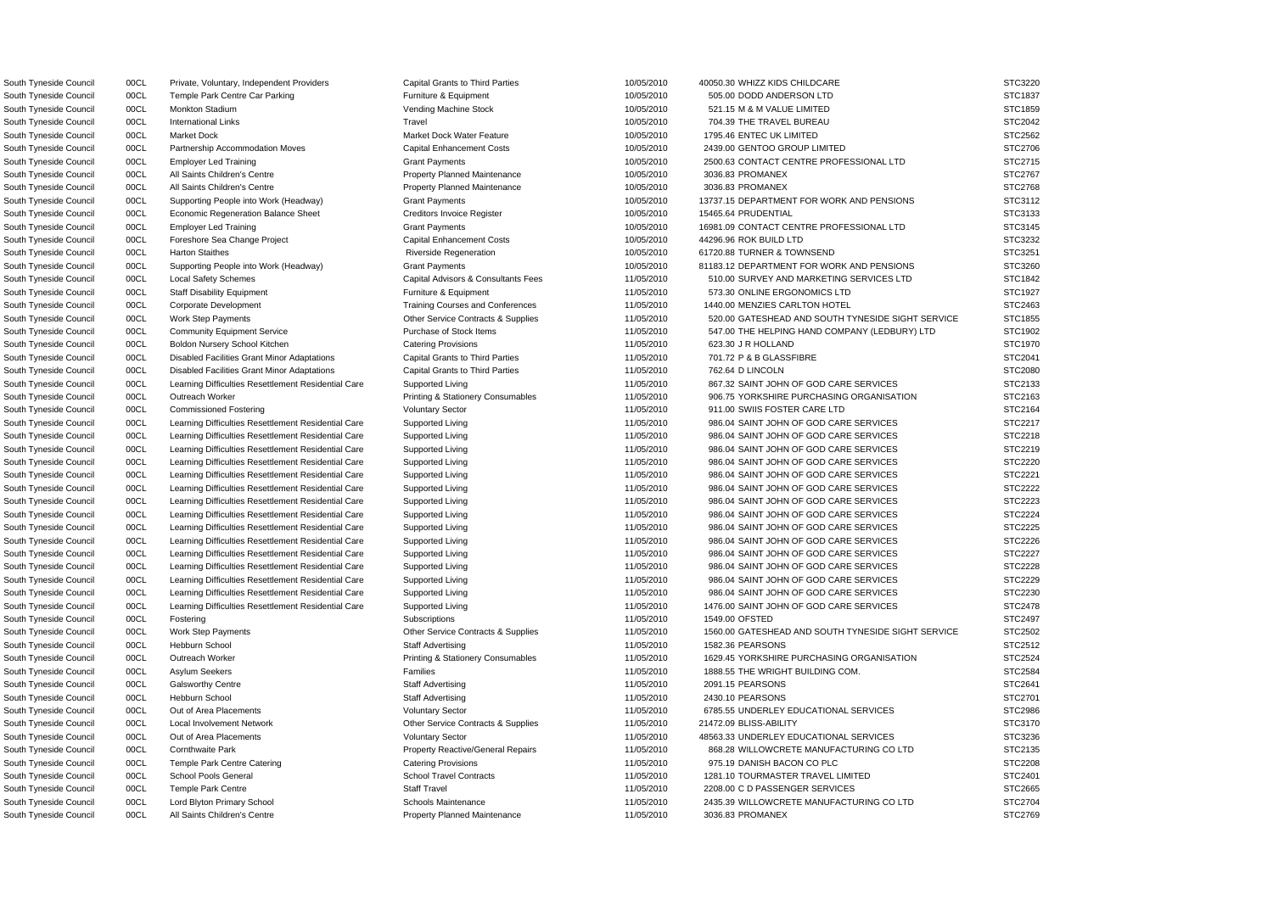South Tyneside Council 00CL Private, Voluntary, Independent Providers Capital Grants to Third Parties 10/05/2010 40050.30 WHIZZ KIDS CHILDCARE STC3220 South Tyneside Council 00CL Temple Park Centre Car Parking Furniture & Equipment 10/05/2010 505.00 DODD ANDERSON LTD South Tyneside Council and DOCL international Links and Travel Travel Travel and Travel 10/05/2010 704.39 THE TRAVEL BUREAU South Tyneside Council **2439.00 CL Partnership Accommodation Moves** Capital Enhancement Costs 10/05/2010 2439.00 GENTOO GROUP LIMITED South Tyneside Council 00CL All Saints Children's Centre **Property Planned Maintenance** 10/05/2010 3036.83 PROMANEX South Tyneside Council **2008** 00CL All Saints Children's Centre **Property Planned Maintenance** 10/05/2010 3036.83 PROMANEX South Tyneside Council **2008 COU** Economic Regeneration Balance Sheet Creditors Invoice Register 10/05/2010 15465.64 PRUDENTIAL South Tyneside Council 00CL Foreshore Sea Change Project Capital Enhancement Costs 10/05/2010 44296.96 ROK BUILD LTD South Tyneside Council 00CL Harton Staithes **Riverside Regeneration** Riverside Regeneration 10/05/2010 61720.88 TURNER & TOWNSEND South Tyneside Council 00CL Boldon Nursery School Kitchen Catering Provisions 11/05/2010 623.30 J R HOLLAND South Tyneside Council 00CL Disabled Facilities Grant Minor Adaptations Capital Grants to Third Parties 11/05/2010 701.72 P & B GLASSFIBRE South Tyneside Council **2008** 00CL Disabled Facilities Grant Minor Adaptations Capital Grants to Third Parties **2008** 11/05/2010 762.64 D LINCOLN South Tyneside Council 00CL Commissioned Fostering Voluntary Sector 11/05/2010 911.00 SWIIS FOSTER CARE LTD South Tyneside Council 00CL Local Involvement Network Contracts Contracts & Supplies 211/05/2010 21472.09 BLISS-ABILITY South Tyneside Council 00CL Temple Park Centre Catering Catering Catering Provisions 11/05/2010 975.19 DANISH BACON CO PLC

South Tyneside Council 00CL Monkton Stadium Vending Machine Stock 10/05/2010 521.15 M & M VALUE LIMITED STC1859 South Tyneside Council 00CL Market Dock Market Dock Market Dock Water Feature 10/05/2010 1795.46 ENTEC UK LIMITED STC2562 South Tyneside Council 00CL Employer Led Training Carries Crant Payments Carries and the Council of the Contract CENTRE PROFESSIONAL LTD State 10/05/2010 2500.63 CONTACT CENTRE PROFESSIONAL LTD South Tyneside Council 00CL Supporting People into Work (Headway) Grant Payments 10/05/2010 13737.15 DEPARTMENT FOR WORK AND PENSIONS South Tyneside Council 00CL Employer Led Training Cases Council Cases of Grant Payments Cases and DV05/2010 16981.09 CONTACT CENTRE PROFESSIONAL LTD South Tyneside Council 00CL Supporting People into Work (Headway) Grant Payments 10/05/2010 81183.12 DEPARTMENT FOR WORK AND PENSIONS South Tyneside Council 00CL Local Safety Schemes Capital Advisors & Consultants Fees 11/05/2010 510.00 SURVEY AND MARKETING SERVICES LTD South Tyneside Council 00CL Staff Disability Equipment Furniture & Equipment Furniture & Equipment 573.30 ONLINE ERGONOMICS LTD South Tyneside Council 00CL Corporate Development Training Courses and Conferences 11/05/2010 1440.00 MENZIES CARLTON HOTEL South Tyneside Council 00CL Work Step Payments Currents Contracts & Supplies 6 and 11/05/2010 520.00 GATESHEAD AND SOUTH TYNESIDE SIGHT SERVICE South Tyneside Council 00CL Community Equipment Service Purchase of Stock Items 11/05/2010 547.00 THE HELPING HAND COMPANY (LEDBURY) LTD South Tyneside Council 00CL Learning Difficulties Resettlement Residential Care Supported Living 11/05/2010 867.32 SAINT JOHN OF GOD CARE SERVICES South Tyneside Council 00CL Outreach Worker **Printing & Stationery Consumables** 11/05/2010 906.75 YORKSHIRE PURCHASING ORGANISATION South Tyneside Council 00CL Learning Difficulties Resettlement Residential Care Supported Living 11/05/2010 986.04 SAINT JOHN OF GOD CARE SERVICES South Tyneside Council 00CL Learning Difficulties Resettlement Residential Care Supported Living 11/05/2010 986.04 SAINT JOHN OF GOD CARE SERVICES South Tyneside Council **1998.04 SAINT JOHN OF GOD CARE SERVICES** Supported Living 11/05/2010 986.04 SAINT JOHN OF GOD CARE SERVICES South Tyneside Council 00CL Learning Difficulties Resettlement Residential Care Supported Living 11/05/2010 986.04 SAINT JOHN OF GOD CARE SERVICES South Tyneside Council **1998**.04 SAINT JOHN OF GOD CARE SERVICES (Supported Living 11/05/2010 986.04 SAINT JOHN OF GOD CARE SERVICES South Tyneside Council 00CL Learning Difficulties Resettlement Residential Care Supported Living 11/05/2010 986.04 SAINT JOHN OF GOD CARE SERVICES South Tyneside Council 00CL Learning Difficulties Resettlement Residential Care Supported Living 11/05/2010 986.04 SAINT JOHN OF GOD CARE SERVICES South Tyneside Council 00CL Learning Difficulties Resettlement Residential Care Supported Living 11/05/2010 986.04 SAINT JOHN OF GOD CARE SERVICES South Tyneside Council 00CL Learning Difficulties Resettlement Residential Care Supported Living 11/05/2010 986.04 SAINT JOHN OF GOD CARE SERVICES South Tyneside Council 00CL Learning Difficulties Resettlement Residential Care Supported Living 11/05/2010 986.04 SAINT JOHN OF GOD CARE SERVICES South Tyneside Council 00CL Learning Difficulties Resettlement Residential Care Supported Living 11/05/2010 986.04 SAINT JOHN OF GOD CARE SERVICES South Tyneside Council 00CL Learning Difficulties Resettlement Residential Care Supported Living 11/05/2010 986.04 SAINT JOHN OF GOD CARE SERVICES South Tyneside Council 00CL Learning Difficulties Resettlement Residential Care Supported Living 11/05/2010 986.04 SAINT JOHN OF GOD CARE SERVICES South Tyneside Council 00CL Learning Difficulties Resettlement Residential Care Supported Living 11/05/2010 986.04 SAINT JOHN OF GOD CARE SERVICES South Tyneside Council 00CL Learning Difficulties Resettlement Residential Care Supported Living 11/05/2010 1476.00 SAINT JOHN OF GOD CARE SERVICES South Tyneside Council 00CL Fostering Subscriptions 11/05/2010 1549.00 OFSTED STC2497 South Tyneside Council 00CL Work Step Payments Contracts Other Service Contracts & Supplies 11/05/2010 1560.00 GATESHEAD AND SOUTH TYNESIDE SIGHT SERVICE South Tyneside Council 00CL Hebburn School 11/05/2010 1582.36 PEARSONS STC2512 South Tyneside Council 00CL Outreach Worker **Printing & Stationery Consumables** 11/05/2010 1629.45 YORKSHIRE PURCHASING ORGANISATION South Tyneside Council 00CL Asylum Seekers **Families** Families Families 11/05/2010 1888.55 THE WRIGHT BUILDING COM. South Tyneside Council 00CL Galsworthy Centre Staff Advertising 11/05/2010 2091.15 PEARSONS STC2641 South Tyneside Council 00CL Hebburn School Staff Advertising 11/05/2010 2430.10 PEARSONS STC2701 South Tyneside Council 00CL Out of Area Placements Council 11/05/2010 6785.55 UNDERLEY EDUCATIONAL SERVICES South Tyneside Council 00CL Out of Area Placements Voluntary Sector Voluntary Sector 11/05/2010 48563.33 UNDERLEY EDUCATIONAL SERVICES South Tyneside Council 00CL Cornthwaite Park **Property Reactive/General Repairs** 11/05/2010 868.28 WILLOWCRETE MANUFACTURING CO LTD South Tyneside Council 00CL School Pools General School Travel Contracts 11/05/2010 1281.10 TOURMASTER TRAVEL LIMITED South Tyneside Council 00CL Temple Park Centre Staff Travel Staff Travel 11/05/2010 2208.00 C D PASSENGER SERVICES South Tyneside Council 00CL Lord Blyton Primary School School Schools Maintenance 1986 11/05/2010 2435.39 WILLOWCRETE MANUFACTURING CO LTD South Tyneside Council **2000 DEL All Saints Children's Centre** 2001 Council Property Planned Maintenance 2001 11/05/2010 3036.83 PROMANEX 3036.87 PROMANEX STC2769

| STC3220        |
|----------------|
| STC1837        |
| STC1859        |
| STC2042        |
| STC2562        |
| STC2706        |
|                |
| STC2715        |
| <b>STC2767</b> |
| STC2768        |
| STC3112        |
| STC3133<br>ຸ   |
| STC3145<br>؟   |
| STC3232        |
| STC3251<br>s   |
| STC3260        |
| ؟              |
| STC1842        |
| STC1927        |
| STC2463<br>ξ   |
| STC1855        |
| STC1902        |
| STC1970        |
| STC2041        |
| STC2080        |
| STC2133<br>؟   |
| STC2163        |
|                |
| TC2164<br>S.   |
| TC2217<br>S.   |
| TC2218<br>S.   |
| TC2219<br>S.   |
| TC2220<br>S.   |
| STC2221        |
| STC2222        |
| STC2223        |
| <b>STC2224</b> |
| STC2225        |
| STC2226<br>؟   |
|                |
| <b>STC2227</b> |
| <b>STC2228</b> |
| <b>STC2229</b> |
| STC2230        |
| STC2478        |
| STC2497        |
| STC2502        |
| STC2512        |
| STC2524        |
| STC2584        |
|                |
| STC2641        |
| STC2701        |
| STC2986        |
| STC3170        |
| STC3236        |
| STC2135        |
| STC2208        |
| STC2401        |
| STC2665        |
| STC2704        |
|                |
| STC2769        |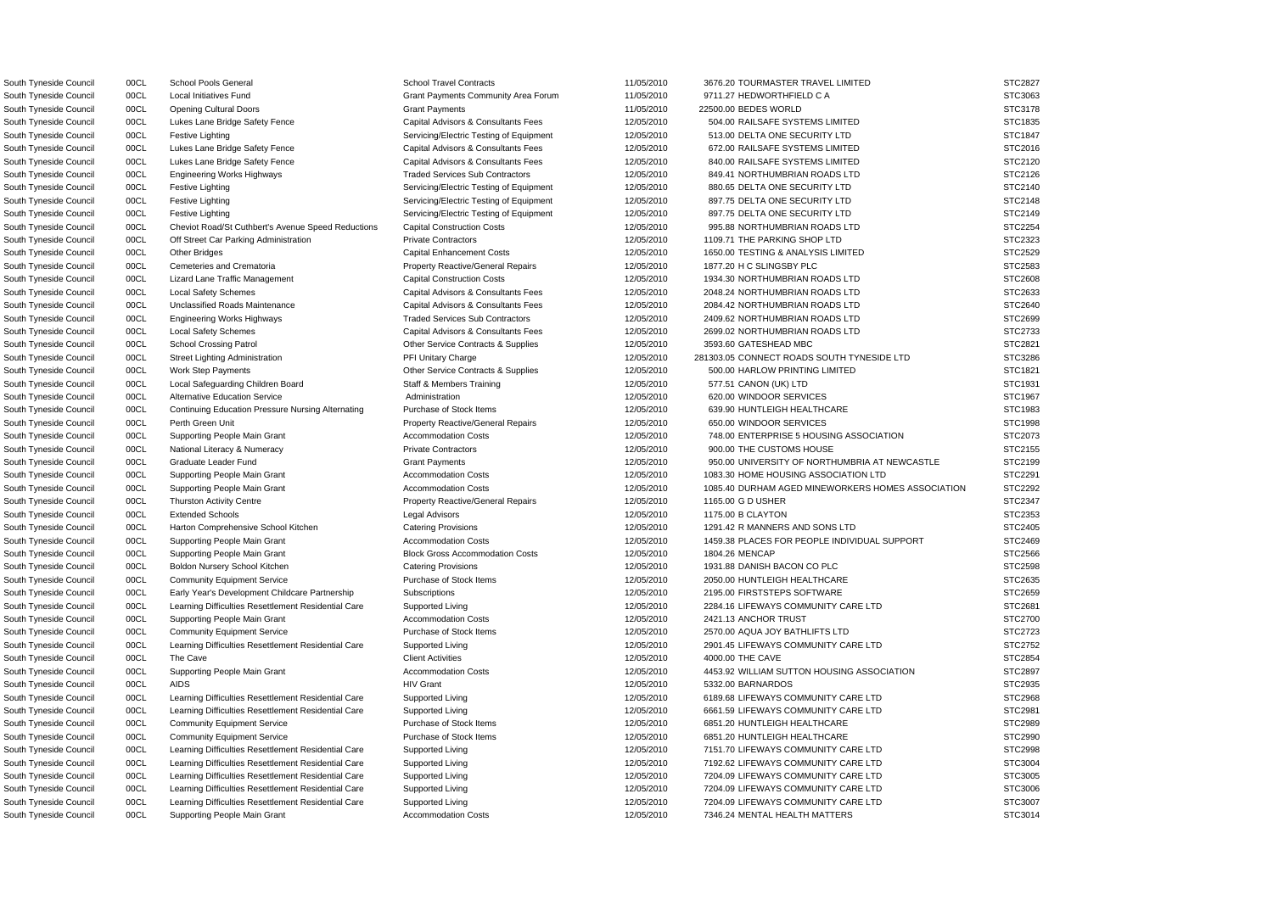South Tyneside Council 00CL Local Initiatives Fund Grant Payments Community Area Forum 11/05/2010 9711.27 HEDWORTHFIELD C A South Tyneside Council **2006** 00CL Lukes Lane Bridge Safety Fence Capital Advisors & Consultants Fees 2010/5/2010 504.00 RAILSAFE SYSTEMS LIMITED South Tyneside Council 00CL Festive Lighting Servicing/Electric Testing of Equipment 12/05/2010 513.00 DELTA ONE SECURITY LTD South Tyneside Council **Consultant Consultant Capital Advisors & Consultants Fees** 672.00 RAILSAFE SYSTEMS LIMITED South Tyneside Council 00CL Lukes Lane Bridge Safety Fence Capital Advisors & Consultants Fees 612/05/2010 840.00 RAILSAFE SYSTEMS LIMITED South Tyneside Council and DOCL Engineering Works Highways Traded Services Sub Contractors 12/05/2010 849.41 NORTHUMBRIAN ROADS LTD South Tyneside Council 00CL Festive Lighting Servicing/Electric Testing of Equipment 12/05/2010 880.65 DELTA ONE SECURITY LTD South Tyneside Council 00CL Festive Lighting Servicing/Electric Testing of Equipment 12/05/2010 897.75 DELTA ONE SECURITY LTD South Tyneside Council 00CL Festive Lighting Servicing/Electric Testing of Equipment 12/05/2010 897.75 DELTA ONE SECURITY LTD South Tyneside Council **200CL** Cheviot Road/St Cuthbert's Avenue Speed Reductions Capital Construction Costs 12/05/2010 995.88 NORTHUMBRIAN ROADS LTD South Tyneside Council 00CL Off Street Car Parking Administration Private Contractors 12/05/2010 1109.71 THE PARKING SHOP LTD South Tyneside Council 00CL Cemeteries and Crematoria **Property Reactive/General Repairs** 12/05/2010 1877.20 H C SLINGSBY PLC South Tyneside Council 00CL Lizard Lane Traffic Management Capital Construction Costs 12/05/2010 1934.30 NORTHUMBRIAN ROADS LTD South Tyneside Council and DOCL Local Safety Schemes Capital Advisors & Consultants Fees 2048.24 NORTHUMBRIAN ROADS LTD State of the State of the Capital Advisors & Consultants Fees 2048.24 NORTHUMBRIAN ROADS LTD State of South Tyneside Council **200CL** Unclassified Roads Maintenance Capital Advisors & Consultants Fees 12/05/2010 2084.42 NORTHUMBRIAN ROADS LTD South Tyneside Council and DOCL Engineering Works Highways Traded Services Sub Contractors 12/05/2010 2409.62 NORTHUMBRIAN ROADS LTD South Tyneside Council **OOCL** Local Safety Schemes **CAPITAL CAPITAL CAPITAL Advisors & Consultants Fees** 12/05/2010 2699.02 NORTHUMBRIAN ROADS LTD South Tyneside Council 00CL School Crossing Patrol Contracts Contracts & Supplies 12/05/2010 3593.60 GATESHEAD MBC South Tyneside Council 00CL Work Step Payments Culture Contracts & Supplies 12/05/2010 500.00 HARLOW PRINTING LIMITED South Tyneside Council 00CL Local Safeguarding Children Board Staff & Members Training 12/05/2010 577.51 CANON (UK) LTD South Tyneside Council **COL Continuing Education Pressure Nursing Alternating** Purchase of Stock Items 12/05/2010 639.90 HUNTLEIGH HEALTHCARE South Tyneside Council 00CL Perth Green Unit Property Reactive/General Repairs 12/05/2010 650.00 WINDOOR SERVICES South Tyneside Council 00CL National Literacy & Numeracy Private Contractors 12/05/2010 900.00 THE CUSTOMS HOUSE South Tyneside Council 00CL Thurston Activity Centre **Property Reactive/General Repairs** 12/05/2010 1165.00 G D USHER South Tyneside Council **1291.42 R MANNERS AND SONS LTD** Catering Provisions 12/05/2010 1291.42 R MANNERS AND SONS LTD South Tyneside Council 00CL Supporting People Main Grant Block Gross Accommodation Costs 12/05/2010 1804.26 MENCAP South Tyneside Council 00CL Boldon Nursery School Kitchen Catering Provisions 12/05/2010 1931.88 DANISH BACON CO PLC South Tyneside Council 00CL Community Equipment Service Purchase of Stock Items 12/05/2010 2050.00 HUNTLEIGH HEALTHCARE South Tyneside Council and DOCL Early Year's Development Childcare Partnership Subscriptions 12/05/2010 12/05/2010 2195.00 FIRSTSTEPS SOFTWARE South Tyneside Council 00CL Supporting People Main Grant Accommodation Costs 12/05/2010 2421.13 ANCHOR TRUST South Tyneside Council 00CL Community Equipment Service Purchase of Stock Items 12/05/2010 2570.00 AQUA JOY BATHLIFTS LTD South Tyneside Council 00CL Community Equipment Service **Purchase of Stock Items** 12/05/2010 6851.20 HUNTLEIGH HEALTHCARE South Tyneside Council 00CL Community Equipment Service Purchase of Stock Items 12/05/2010 6851.20 HUNTLEIGH HEALTHCARE South Tyneside Council 00CL Supporting People Main Grant Accommodation Costs 12/05/2010 7346.24 MENTAL HEALTH MATTERS

South Tyneside Council 00CL School Pools General School Travel Contracts 31/05/2010 3676.20 TOURMASTER TRAVEL LIMITED South Tyneside Council 00CL Opening Cultural Doors Grant Payments 11/05/2010 22500.00 BEDES WORLD STC3178 South Tyneside Council 00CL Other Bridges Capital Enhancement Costs 12/05/2010 1650.00 TESTING & ANALYSIS LIMITED South Tyneside Council 00CL Street Lighting Administration **PFI Unitary Charge 12/05/2010** 281303.05 CONNECT ROADS SOUTH TYNESIDE LTD South Tyneside Council 00CL Alternative Education Service Administration Administration 12/05/2010 620.00 WINDOOR SERVICES STC1967 South Tyneside Council 00CL Supporting People Main Grant Accommodation Costs 12/05/2010 748.00 ENTERPRISE 5 HOUSING ASSOCIATION South Tyneside Council 00CL Graduate Leader Fund Grant Payments Grant Payments Crant Payments 12/05/2010 950.00 UNIVERSITY OF NORTHUMBRIA AT NEWCASTLE South Tyneside Council and DOCL and Supporting People Main Grant and Accommodation Costs and Accommodation Costs control of the 12/05/2010 1083.30 HOME HOUSING ASSOCIATION LTD South Tyneside Council 00CL Supporting People Main Grant Accommodation Costs 12/05/2010 1085.40 DURHAM AGED MINEWORKERS HOMES ASSOCIATION South Tyneside Council 00CL Extended Schools 12/05/2010 1175.00 B CLAYTON STC2353 STC2353 South Tyneside Council 00CL Supporting People Main Grant Accommodation Costs 12/05/2010 1459.38 PLACES FOR PEOPLE INDIVIDUAL SUPPORT South Tyneside Council oo Dubble Council Cearning Difficulties Resettlement Residential Care Supported Living 12/05/2010 12/05/2010 2284.16 LIFEWAYS COMMUNITY CARE LTD South Tyneside Council 00CL Learning Difficulties Resettlement Residential Care Supported Living 19705/2010 2901.45 LIFEWAYS COMMUNITY CARE LTD South Tyneside Council 00CL The Cave Client Activities 12/05/2010 4000.00 THE CAVE STC2854 South Tyneside Council 00CL Supporting People Main Grant Accommodation Costs 12/05/2010 4453.92 WILLIAM SUTTON HOUSING ASSOCIATION South Tyneside Council 00CL AIDS HIV Grant 12/05/2010 5332.00 BARNARDOS STC2935 South Tyneside Council **1998** 00CL Learning Difficulties Resettlement Residential Care Supported Living 19/05/2010 6189.68 LIFEWAYS COMMUNITY CARE LTD South Tyneside Council **1998** OOCL Learning Difficulties Resettlement Residential Care Supported Living 19/05/2010 6661.59 LIFEWAYS COMMUNITY CARE LTD South Tyneside Council 00CL Learning Difficulties Resettlement Residential Care Supported Living 12/05/2010 7151.70 LIFEWAYS COMMUNITY CARE LTD STC2998 South Tyneside Council 00CL Learning Difficulties Resettlement Residential Care Supported Living 12/05/2010 7192.62 LIFEWAYS COMMUNITY CARE LTD STC3004 South Tyneside Council 00CL Learning Difficulties Resettlement Residential Care Supported Living 12/05/2010 7204.09 LIFEWAYS COMMUNITY CARE LTD South Tyneside Council 00CL Learning Difficulties Resettlement Residential Care Supported Living 12/05/2010 7204.09 LIFEWAYS COMMUNITY CARE LTD South Tyneside Council 00CL Learning Difficulties Resettlement Residential Care Supported Living 12/05/2010 7204.09 LIFEWAYS COMMUNITY CARE LTD

| STC3063                   |
|---------------------------|
| STC3178                   |
| STC1835                   |
| STC1847                   |
| STC2016                   |
| STC2120                   |
| STC2126                   |
|                           |
| STC2140                   |
| STC2148                   |
| STC2149<br>ć              |
| STC2254                   |
| STC2323                   |
| STC2529                   |
| STC2583                   |
| STC2608                   |
| STC2633                   |
| STC2640                   |
| STC2699                   |
| STC2733                   |
| STC2821                   |
|                           |
| STC3286                   |
| STC1821                   |
| STC1931                   |
| STC1967                   |
| STC1983                   |
| STC1998                   |
| STC2073                   |
| STC2155                   |
| STC2199                   |
|                           |
| STC2291                   |
|                           |
| <b>STC2292</b><br>STC2347 |
| STC2353                   |
| s                         |
| STC2405                   |
| STC2469<br>ž.<br>؟        |
| TC2566                    |
| STC2598                   |
| STC2635                   |
| STC2659                   |
| STC2681                   |
| STC2700<br>؟              |
| STC2723                   |
| STC2752                   |
| STC2854                   |
| STC2897                   |
| STC2935                   |
| STC2968                   |
| STC2981                   |
| STC2989                   |
| STC2990                   |
| <b>STC2998</b>            |
| STC3004                   |
| STC3005                   |
| STC3006                   |
| STC3007                   |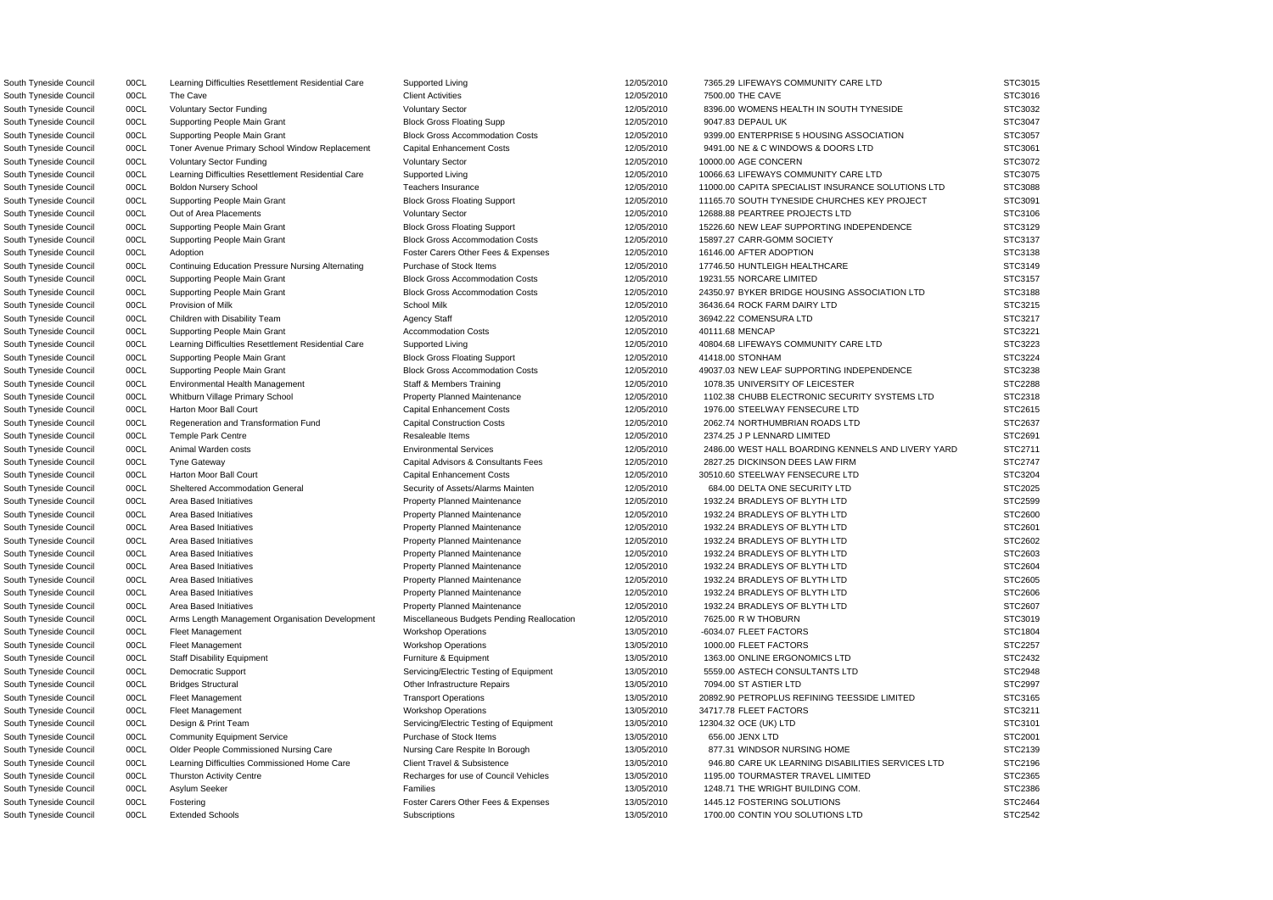South Tyneside Council 00CL Supporting People Main Grant Block Gross Floating Supp 12/05/2010 9047.83 DEPAUL UK South Tyneside Council 00CL Toner Avenue Primary School Window Replacement Capital Enhancement Costs 12/05/2010 9491.00 NE & C WINDOWS & DOORS LTD South Tyneside Council 00CL Out of Area Placements 12/05/2010 12/05/2010 12/05/2010 12688.88 PEARTREE PROJECTS LTD South Tyneside Council **2008 OCL Supporting People Main Grant** 2014 Block Gross Accommodation Costs 21/05/2010 15897.27 CARR-GOMM SOCIETY South Tyneside Council 00CL Adoption **For a Council Adoption** Foster Carers Other Fees & Expenses 12/05/2010 16146.00 AFTER ADOPTION South Tyneside Council **200CL Continuing Education Pressure Nursing Alternating** Purchase of Stock Items 12/05/2010 17746.50 HUNTLEIGH HEALTHCARE South Tyneside Council 00CL Supporting People Main Grant Block Gross Accommodation Costs 12/05/2010 19231.55 NORCARE LIMITED South Tyneside Council 00CL Provision of Milk Chronic School Milk School Milk School Milk 12/05/2010 36436.64 ROCK FARM DAIRY LTD South Tyneside Council 00CL Supporting People Main Grant Accommodation Costs 12/05/2010 40111.68 MENCAP South Tyneside Council **1998** OOCL Environmental Health Management Staff & Members Training 12/05/2010 1078.35 UNIVERSITY OF LEICESTER South Tyneside Council 00CL Harton Moor Ball Court Capital Enhancement Costs 12/05/2010 1976.00 STEELWAY FENSECURE LTD South Tyneside Council 00CL Regeneration and Transformation Fund Capital Construction Costs 12/05/2010 2062.74 NORTHUMBRIAN ROADS LTD South Tyneside Council 00CL Tyne Gateway Capital Advisors & Consultants Fees 12/05/2010 2827.25 DICKINSON DEES LAW FIRM South Tyneside Council 00CL Harton Moor Ball Court Capital Enhancement Costs 12/05/2010 30510.60 STEELWAY FENSECURE LTD South Tyneside Council 00CL Sheltered Accommodation General Security of Assets/Alarms Mainten 12/05/2010 684.00 DELTA ONE SECURITY LTD South Tyneside Council **2006** 00CL Area Based Initiatives **Property Planned Maintenance** 2005/2010 1932.24 BRADLEYS OF BLYTH LTD South Tyneside Council **2006** 00CL Area Based Initiatives **Property Planned Maintenance** 2005/2010 1932.24 BRADLEYS OF BLYTH LTD South Tyneside Council 00CL Area Based Initiatives **Property Planned Maintenance** 12/05/2010 1932.24 BRADLEYS OF BLYTH LTD South Tyneside Council 00CL Area Based Initiatives **Property Planned Maintenance** 12/05/2010 1932.24 BRADLEYS OF BLYTH LTD South Tyneside Council 00CL Area Based Initiatives **Property Planned Maintenance** 12/05/2010 1932.24 BRADLEYS OF BLYTH LTD South Tyneside Council 00CL Area Based Initiatives **Property Planned Maintenance** 12/05/2010 1932.24 BRADLEYS OF BLYTH LTD South Tyneside Council 00CL Area Based Initiatives **Property Planned Maintenance** 12/05/2010 1932.24 BRADLEYS OF BLYTH LTD South Tyneside Council and DOCL Area Based Initiatives **Property Planned Maintenance Property Planned Maintenance** 12/05/2010 1932.24 BRADLEYS OF BLYTH LTD South Tyneside Council 00CL Area Based Initiatives **Property Planned Maintenance** 12/05/2010 1932.24 BRADLEYS OF BLYTH LTD South Tyneside Council **00CL** Arms Length Management Organisation Development Miscellaneous Budgets Pending Reallocation 12/05/2010 7625.00 R W THOBURN South Tyneside Council 00CL Staff Disability Equipment Furniture & Equipment Furniture & Equipment 13/05/2010 1363.00 ONLINE ERGONOMICS LTD South Tyneside Council 00CL Democratic Support Servicing/Electric Testing of Equipment 13/05/2010 5559.00 ASTECH CONSULTANTS LTD South Tyneside Council 00CL Design & Print Team Servicing/Electric Testing of Equipment 13/05/2010 12304.32 OCE (UK) LTD South Tyneside Council and COCL Community Equipment Service **Purchase of Stock Items** 13/05/2010 656.00 JENX LTD South Tyneside Council **OOCL** Older People Commissioned Nursing Care Nursing Care Respite In Borough 13/05/2010 877.31 WINDSOR NURSING HOME South Tyneside Council 00CL Thurston Activity Centre **Recharges for use of Council Vehicles** 13/05/2010 1195.00 TOURMASTER TRAVEL LIMITED South Tyneside Council and DOCL Asylum Seeker Families Families Families Families 13/05/2010 1248.71 THE WRIGHT BUILDING COM. South Tyneside Council 00CL Fostering Fostering Foster Carers Other Fees & Expenses 13/05/2010 1445.12 FOSTERING SOLUTIONS

South Tyneside Council 00CL Learning Difficulties Resettlement Residential Care Supported Living 12/05/2010 7365.29 LIFEWAYS COMMUNITY CARE LTD South Tyneside Council 00CL The Cave Client Activities 12/05/2010 7500.00 THE CAVE STC3016 South Tyneside Council 00CL Voluntary Sector Funding Voluntary Sector 12/05/2010 8396.00 WOMENS HEALTH IN SOUTH TYNESIDE South Tyneside Council 00CL Supporting People Main Grant Block Gross Accommodation Costs 12/05/2010 9399.00 ENTERPRISE 5 HOUSING ASSOCIATION South Tyneside Council 00CL Voluntary Sector Funding Voluntary Sector 12/05/2010 10000.00 AGE CONCERN STC3072 South Tyneside Council 00CL Learning Difficulties Resettlement Residential Care Supported Living 12/05/2010 10066.63 LIFEWAYS COMMUNITY CARE LTD STC3075 South Tyneside Council 00CL Boldon Nursery School 12/05/2010 12/05/2010 11000.00 CAPITA SPECIALIST INSURANCE SOLUTIONS LTD South Tyneside Council 00CL Supporting People Main Grant Block Gross Floating Support 12/05/2010 11165.70 SOUTH TYNESIDE CHURCHES KEY PROJECT South Tyneside Council 00CL Supporting People Main Grant Block Gross Floating Support 12/05/2010 15226.60 NEW LEAF SUPPORTING INDEPENDENCE South Tyneside Council 00CL Supporting People Main Grant Block Gross Accommodation Costs 12/05/2010 24350.97 BYKER BRIDGE HOUSING ASSOCIATION LTD South Tyneside Council 00CL Children with Disability Team Agency Staff 12/05/2010 36942.22 COMENSURA LTD STC3217 South Tyneside Council **1998** 00CL Learning Difficulties Resettlement Residential Care Supported Living 12/05/2010 40804.68 LIFEWAYS COMMUNITY CARE LTD South Tyneside Council concluit of the Supporting People Main Grant Cast Block Gross Floating Support the man build be a stream of the stream of the stream STC3224 South Tyneside Council 00CL Supporting People Main Grant Block Gross Accommodation Costs 12/05/2010 49037.03 NEW LEAF SUPPORTING INDEPENDENCE South Tyneside Council 00CL Whitburn Village Primary School Property Planned Maintenance 12/05/2010 1102.38 CHUBB ELECTRONIC SECURITY SYSTEMS LTD South Tyneside Council 00CL Temple Park Centre Resaleable Items 12/05/2010 2374.25 J P LENNARD LIMITED STC2691 South Tyneside Council 00CL Animal Warden costs **Environmental Services** Environmental Services 12/05/2010 2486.00 WEST HALL BOARDING KENNELS AND LIVERY YARD South Tyneside Council oo OCL Fleet Management www.community.com/workshop Operations www.community.com/workshop Operations and the management of the STC1804 STC1804 South Tyneside Council 00CL Fleet Management Workshop Operations Workshop Operations 13/05/2010 1000.00 FLEET FACTORS STC2257 South Tyneside Council 00CL Bridges Structural Other Annual Other Infrastructure Repairs 13/05/2010 7094.00 ST ASTIER LTD STC2997 South Tyneside Council 00CL Fleet Management Transport Operations Transport Operations 13/05/2010 20892.90 PETROPLUS REFINING TEESSIDE LIMITED South Tyneside Council 00CL Fleet Management Workshop Operations 13/05/2010 34717.78 FLEET FACTORS STC3211 South Tyneside Council 00CL Learning Difficulties Commissioned Home Care Client Travel & Subsistence 13/05/2010 946.80 CARE UK LEARNING DISABILITIES SERVICES LTD South Tyneside Council 00CL Extended Schools Subscriptions Subscriptions 13/05/2010 1700.00 CONTIN YOU SOLUTIONS LTD STC2542

| S<br>TC3015                 |
|-----------------------------|
| TC3016<br>S.                |
| TC3032<br>S.                |
| C3047<br>S<br>Г             |
| C3057<br>3<br>T             |
| C3061<br>5<br>T             |
| C3072<br>S                  |
| Ī                           |
| S<br>C3075<br>T             |
| S.<br>C3088<br>I            |
| C3091<br>S<br>T             |
| C3106<br>ì.<br>ຸ<br>T       |
| C3129<br>؟<br>š<br>T        |
| C3137<br>S<br>T             |
| C3138<br>S.<br>ຸ<br>T       |
| C3149<br>S<br>T             |
| 3157<br>š<br>ί<br>؟<br>T    |
| TC3188<br>؟<br>š            |
|                             |
| TC3215<br>؟<br>š            |
| 3217<br>S<br>ТC             |
| S<br>ТC<br>3221             |
| TC3223<br>S                 |
| 3224<br>S<br>Т              |
| 3238<br>S<br>TС             |
| TC2288<br>؟<br>3            |
| TC2318<br>S                 |
| C2615<br>S.<br>T            |
| C2637<br>S                  |
| I                           |
| C2691<br>S<br>I             |
| C2711<br>S<br>T             |
|                             |
| C2747<br>3<br>I             |
| C3204<br>3<br>I             |
| C2025<br>S<br>T             |
| S.<br>C2599<br>I            |
| C <sub>2600</sub><br>S<br>Ţ |
| C2601<br>S<br>Ţ             |
|                             |
| C2602<br>؟<br>š<br>T        |
| STC2603<br>ć                |
| STC2604<br>s                |
| STC2605                     |
| STC2606                     |
| TC2607<br>S                 |
| TC3019<br>š<br>s            |
| STC1804                     |
| <b>STC2257</b>              |
|                             |
| STC2432                     |
| STC2948                     |
| STC2997                     |
| STC3165<br>Ś                |
| STC3211                     |
| STC3101                     |
| STC2001                     |
| STC2139                     |
| STC2196                     |
| STC2365                     |
| STC2386                     |
| STC2464                     |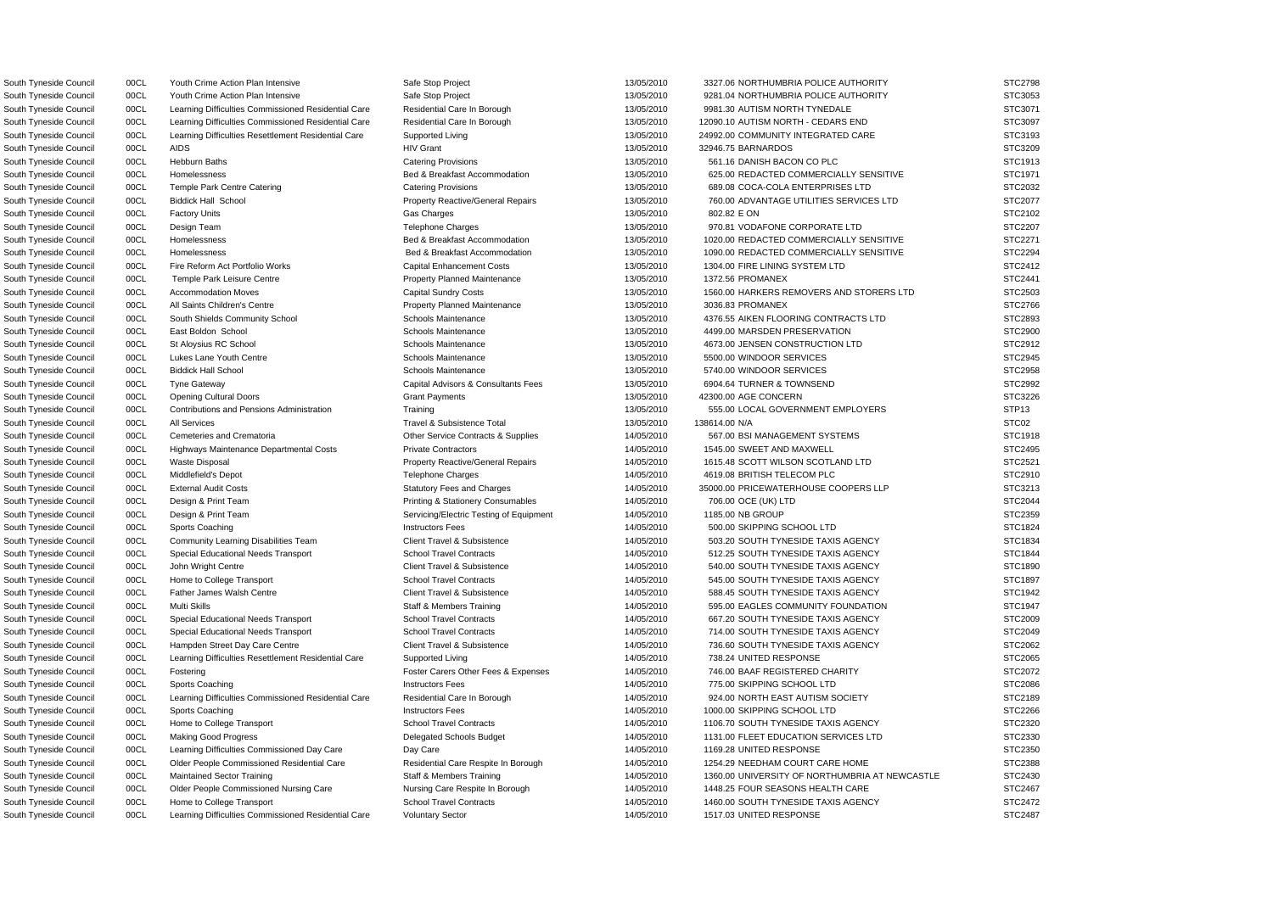South Tyneside Council 00CL Youth Crime Action Plan Intensive Safe Stop Project 13/05/2010 3327.06 NORTHUMBRIA POLICE AUTHORITY STC2798 South Tyneside Council council and OOCL The Youth Crime Action Plan Intensive Safe Stop Project Safe Stop Project 13/05/2010 9281.04 NORTHUMBRIA POLICE AUTHORITY STC3053 South Tyneside Council 00CL Learning Difficulties Commissioned Residential Care Residential Care In Borough 13/05/2010 9981.30 AUTISM NORTH TYNEDALE STC3071 South Tyneside Council 00CL Learning Difficulties Commissioned Residential Care Residential Care In Borough 13/05/2010 12090.10 AUTISM NORTH - CEDARS END STC3097 South Tyneside Council 00CL Learning Difficulties Resettlement Residential Care Supported Living 13/05/2010 24992.00 COMMUNITY INTEGRATED CARE STC3193 South Tyneside Council 00CL AIDS HIV Grant 13/05/2010 32946.75 BARNARDOS STC3209 South Tyneside Council 00CL Hebburn Baths Catering Provisions Catering Provisions 13/05/2010 561.16 DANISH BACON CO PLC STC1913 South Tyneside Council 00CL Homelessness Sand Bed & Breakfast Accommodation 13/05/2010 625.00 REDACTED COMMERCIALLY SENSITIVE STC1971 South Tyneside Council 00CL Temple Park Centre Catering Catering Provisions Catering Provisions 13/05/2010 689.08 COCA-COLA ENTERPRISES LTD STC2032 South Tyneside Council 00CL Biddick Hall School **Property Reactive/General Repairs** 13/05/2010 760.00 ADVANTAGE UTILITIES SERVICES LTD STC2077 South Tyneside Council 00CL Factory Units Gas Charges 13/05/2010 802.82 E ON STC2102 South Tyneside Council oo Design Team Telephone Charges Telephone Charges and the strong to the strong the strong of the strong strong strong strong strong strong strong strong strong strong STC2207 South Tyneside Council 00CL Homelessness **Bed & Breakfast Accommodation** 13/05/2010 1020.00 REDACTED COMMERCIALLY SENSITIVE STC2271 South Tyneside Council 00CL Homelessness Sand Bed & Breakfast Accommodation 13/05/2010 1090.00 REDACTED COMMERCIALLY SENSITIVE STC2294 South Tyneside Council 00CL Fire Reform Act Portfolio Works Capital Enhancement Costs 13/05/2010 1304.00 FIRE LINING SYSTEM LTD STC2412 South Tyneside Council 00CL Temple Park Leisure Centre **Property Planned Maintenance** 13/05/2010 1372.56 PROMANEX STC2441 South Tyneside Council 00CL Accommodation Moves Capital Sundry Costs Capital Sundry Costs 13/05/2010 1560.00 HARKERS REMOVERS AND STORERS LTD STC2503 South Tyneside Council **1998** OOCL All Saints Children's Centre **Property Planned Maintenance** 13/05/2010 3036.83 PROMANEX STC2766 South Tyneside Council 00CL South Shields Community School Schools Maintenance 19/05/2010 4376.55 AIKEN FLOORING CONTRACTS LTD STC2893 South Tyneside Council and DOCL East Boldon School School Schools Maintenance and the maintenance of the maintenance of the maintenance of the maintenance of the maintenance of the street of the street of the street street South Tyneside Council 00CL St Aloysius RC School School Schools Maintenance 13/05/2010 4673.00 JENSEN CONSTRUCTION LTD STC2912 South Tyneside Council 00CL Lukes Lane Youth Centre Schools Maintenance Schools Maintenance 13/05/2010 5500.00 WINDOOR SERVICES STC2945 South Tyneside Council 00CL Biddick Hall School School Schools Maintenance 13/05/2010 5740.00 WINDOOR SERVICES STC2958 South Tyneside Council 00CL Tyne Gateway Capital Capital Advisors & Consultants Fees 13/05/2010 6904.64 TURNER & TOWNSEND STC2992 South Tyneside Council 00CL Opening Cultural Doors Grant Payments 13/05/2010 42300.00 AGE CONCERN STC3226 South Tyneside Council 00CL Contributions and Pensions Administration Training 13/05/2010 555.00 LOCAL GOVERNMENT EMPLOYERS STP13 South Tyneside Council 00CL All Services Travel & Subsistence Total 13/05/2010 138614.00 N/A South Tyneside Council 00CL Cemeteries and Crematoria Chronic Contracts & Supplies 14/05/2010 567.00 BSI MANAGEMENT SYSTEMS STC1918 South Tyneside Council 00CL Highways Maintenance Departmental Costs Private Contractors 14/05/2010 1545.00 SWEET AND MAXWELL STC2495 South Tyneside Council 00CL Waste Disposal **Property Reactive/General Repairs** 14/05/2010 1615.48 SCOTT WILSON SCOTLAND LTD STC2521 South Tyneside Council 00CL Middlefield's Depot Telephone Charges Telephone Charges 14/05/2010 4619.08 BRITISH TELECOM PLC STC2910 South Tyneside Council 00CL External Audit Costs Statutory Fees and Charges 14/05/2010 35000.00 PRICEWATERHOUSE COOPERS LLP STC3213 South Tyneside Council 00CL Design & Print Team Printing & Stationery Consumables 14/05/2010 706.00 OCE (UK) LTD STC2044 South Tyneside Council 00CL Design & Print Team Servicing/Electric Testing of Equipment 14/05/2010 1185.00 NB GROUP STC2359 South Tyneside Council 00CL Sports Coaching Company of Case of the Unstructors Fees 14/05/2010 500.00 SKIPPING SCHOOL LTD STC1824 South Tyneside Council 00CL Community Learning Disabilities Team Client Travel & Subsistence 14/05/2010 503.20 SOUTH TYNESIDE TAXIS AGENCY STC1834 South Tyneside Council 00CL Special Educational Needs Transport School Travel Contracts 14/05/2010 512.25 SOUTH TYNESIDE TAXIS AGENCY STC1844 South Tyneside Council 00CL John Wright Centre Client Client Travel & Subsistence 14/05/2010 540.00 SOUTH TYNESIDE TAXIS AGENCY STC1890 South Tyneside Council 00CL Home to College Transport School Travel Contracts 56 (South 14/05/2010 545.00 SOUTH TYNESIDE TAXIS AGENCY STC1897 South Tyneside Council 00CL Father James Walsh Centre Client Travel & Subsistence 14/05/2010 588.45 SOUTH TYNESIDE TAXIS AGENCY STC1942 South Tyneside Council 00CL Multi Skills Staff & Members Training 14/05/2010 595.00 EAGLES COMMUNITY FOUNDATION STC1947 South Tyneside Council 00CL Special Educational Needs Transport School Travel Contracts 14/05/2010 667.20 SOUTH TYNESIDE TAXIS AGENCY STC2009 South Tyneside Council 00CL Special Educational Needs Transport School Travel Contracts 14/05/2010 714.00 SOUTH TYNESIDE TAXIS AGENCY STC2049 South Tyneside Council 00CL Hampden Street Day Care Centre Client Travel & Subsistence 14/05/2010 736.60 SOUTH TYNESIDE TAXIS AGENCY STC2062 South Tyneside Council 00CL Learning Difficulties Resettlement Residential Care Supported Living 14/05/2010 738.24 UNITED RESPONSE STC2065 South Tyneside Council 00CL Fostering **Foster Carers Other Fees & Expenses** 14/05/2010 746.00 BAAF REGISTERED CHARITY STC2072 South Tyneside Council 00CL Sports Coaching COUNTY Instructors Fees 14/05/2010 775.00 SKIPPING SCHOOL LTD STC2086 South Tyneside Council 00CL Learning Difficulties Commissioned Residential Care Residential Care In Borough 14/05/2010 924.00 NORTH EAST AUTISM SOCIETY STC2189 South Tyneside Council 00CL Sports Coaching COUNTY Instructors Fees 14/05/2010 1000.00 SKIPPING SCHOOL LTD STC2266 South Tyneside Council 00CL Home to College Transport School Travel Contracts School Travel Contracts 14/05/2010 1106.70 SOUTH TYNESIDE TAXIS AGENCY STC2320 South Tyneside Council 00CL Making Good Progress Delegated Schools Budget 14/05/2010 1131.00 FLEET EDUCATION SERVICES LTD STC2330 South Tyneside Council 00CL Learning Difficulties Commissioned Day Care Day Care Day Care 14/05/2010 1169.28 UNITED RESPONSE STC2350 South Tyneside Council 00CL Older People Commissioned Residential Care Residential Care Respite In Borough 14/05/2010 1254.29 NEEDHAM COURT CARE HOME STC2388 South Tyneside Council 00CL Maintained Sector Training Staff & Members Training Staff & Members Training 14/05/2010 1360.00 UNIVERSITY OF NORTHUMBRIA AT NEWCASTLE STC2430 South Tyneside Council 00CL Older People Commissioned Nursing Care Nursing Care Respite In Borough 14/05/2010 1448.25 FOUR SEASONS HEALTH CARE STC2467 South Tyneside Council 00CL Home to College Transport School Travel Contracts 3 14/05/2010 1460.00 SOUTH TYNESIDE TAXIS AGENCY STC2472 South Tyneside Council 00CL Learning Difficulties Commissioned Residential Care Voluntary Sector 14/05/2010 1517.03 UNITED RESPONSE STC2487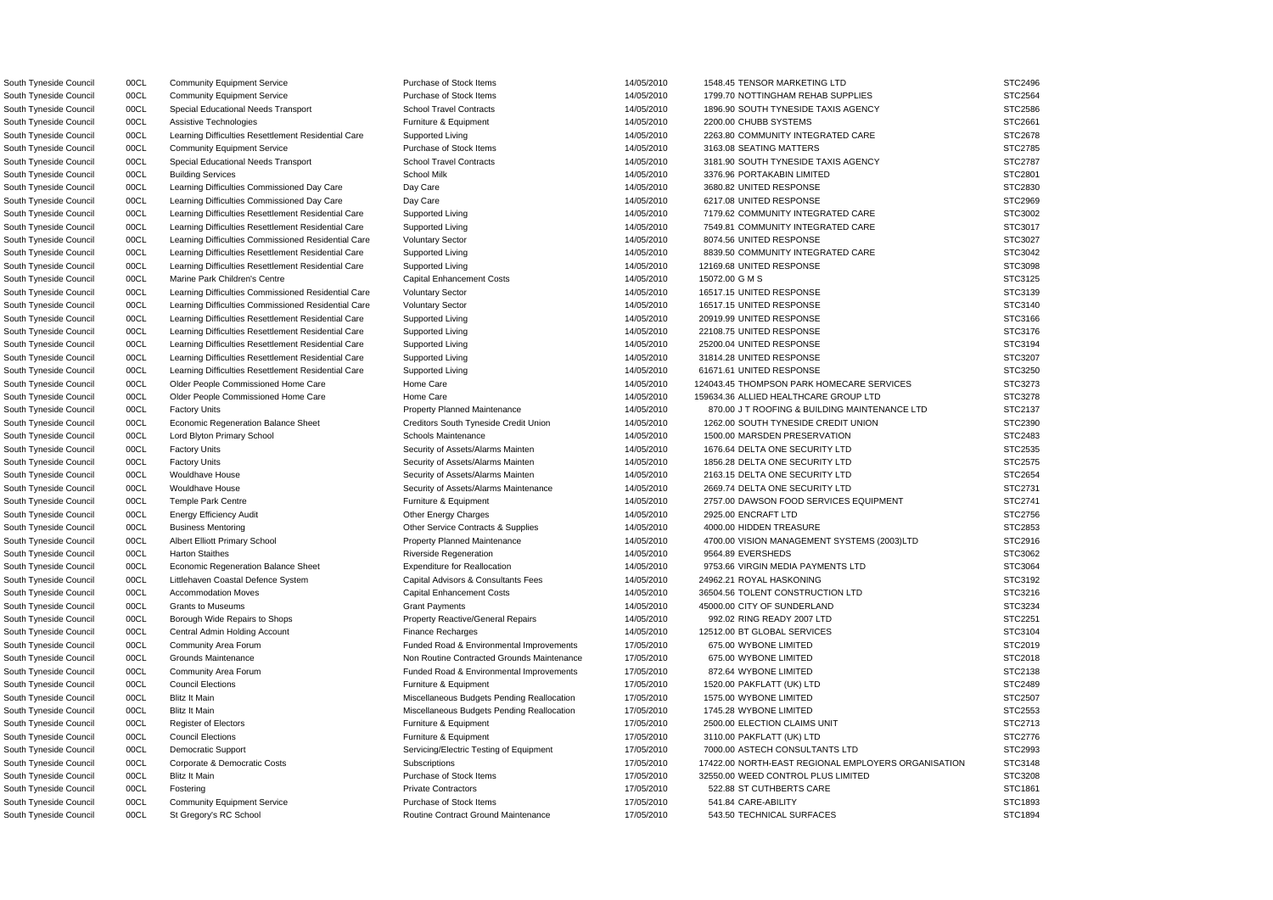South Tyneside Council 00CL Assistive Technologies **Furniture & Equipment** 14/05/2010 2200.00 CHUBB SYSTEMS South Tyneside Council 00CL Learning Difficulties Commissioned Day Care Day Care Day Care 14/05/2010 3680.82 UNITED RESPONSE South Tyneside Council 00CL Learning Difficulties Commissioned Day Care Day Care Day Care 14/05/2010 6217.08 UNITED RESPONSE South Tyneside Council 00CL Learning Difficulties Commissioned Residential Care Voluntary Sector 14/05/2010 8074.56 UNITED RESPONSE South Tyneside Council **12169.68 UNITED RESPONSE** Council 14/05/2010 14/05/2010 12169.68 UNITED RESPONSE South Tyneside Council **16517.15 UNITED RESPONSE** Commissioned Residential Care Voluntary Sector 14/05/2010 16517.15 UNITED RESPONSE South Tyneside Council **2000 Dynet Council** Council Care Voluntary Sector 14/05/2010 16517.15 UNITED RESPONSE South Tyneside Council 00CL Learning Difficulties Resettlement Residential Care Supported Living 14/05/2010 20919.99 UNITED RESPONSE South Tyneside Council **1998** 00CL Learning Difficulties Resettlement Residential Care Supported Living 14/05/2010 22108.75 UNITED RESPONSE South Tyneside Council **1998** 00CL Learning Difficulties Resettlement Residential Care Supported Living 14/05/2010 25200.04 UNITED RESPONSE South Tyneside Council **1998** 00CL Learning Difficulties Resettlement Residential Care Supported Living 14/05/2010 31814.28 UNITED RESPONSE South Tyneside Council **1998** 00CL Learning Difficulties Resettlement Residential Care Supported Living 14/05/2010 61671.61 UNITED RESPONSE South Tyneside Council 00CL Business Mentoring Communication Communication Communication Communication Contracts & Supplies 14/05/2010 4000.00 HIDDEN TREASURE South Tyneside Council **OOCL** Littlehaven Coastal Defence System Capital Advisors & Consultants Fees 14/05/2010 24962.21 ROYAL HASKONING South Tyneside Council 00CL Grants to Museums Crant Payments Grant Payments 14/05/2010 45000.00 CITY OF SUNDERLAND South Tyneside Council 00CL Borough Wide Repairs to Shops Property Reactive/General Repairs 14/05/2010 992.02 RING READY 2007 LTD South Tyneside Council 00CL Central Admin Holding Account Finance Recharges Finance Recharges 14/05/2010 12512.00 BT GLOBAL SERVICES South Tyneside Council 00CL Community Area Forum example and Funded Road & Environmental Improvements 17/05/2010 675.00 WYBONE LIMITED South Tyneside Council **2000 ODCL** Grounds Maintenance **Non Routine Contracted Grounds Maintenance** 17/05/2010 675.00 WYBONE LIMITED South Tyneside Council **OOCL** Community Area Forum **Funded Road & Environmental Improvements** 17/05/2010 872.64 WYBONE LIMITED South Tyneside Council 00CL Blitz It Main Miscellaneous Budgets Pending Reallocation 17/05/2010 1575.00 WYBONE LIMITED South Tyneside Council 00CL Blitz It Main Miscellaneous Budgets Pending Reallocation 17/05/2010 1745.28 WYBONE LIMITED South Tyneside Council 00CL Council Elections external results Furniture & Equipment 17/05/2010 3110.00 PAKFLATT (UK) LTD South Tyneside Council 00CL Fostering **Private Contractors** Private Contractors **Private Contractors** 17/05/2010 522.88 ST CUTHBERTS CARE South Tyneside Council 00CL Community Equipment Service Purchase of Stock Items 17/05/2010 541.84 CARE-ABILITY

South Tyneside Council 00CL Community Equipment Service Purchase of Stock Items 14/05/2010 1548.45 TENSOR MARKETING LTD South Tyneside Council 00CL Community Equipment Service Purchase of Stock Items 14/05/2010 1799.70 NOTTINGHAM REHAB SUPPLIES South Tyneside Council 00CL Special Educational Needs Transport School Travel Contracts 14/05/2010 1896.90 SOUTH TYNESIDE TAXIS AGENCY South Tyneside Council 00CL Learning Difficulties Resettlement Residential Care Supported Living 14/05/2010 2263.80 COMMUNITY INTEGRATED CARE South Tyneside Council 00CL Community Equipment Service Purchase of Stock Items 14/05/2010 3163.08 SEATING MATTERS STC2785 South Tyneside Council 00CL Special Educational Needs Transport School Travel Contracts 14/05/2010 3181.90 SOUTH TYNESIDE TAXIS AGENCY South Tyneside Council 00CL Building Services School Milk 14/05/2010 3376.96 PORTAKABIN LIMITED STC2801 South Tyneside Council 00CL Learning Difficulties Resettlement Residential Care Supported Living 14/05/2010 7179.62 COMMUNITY INTEGRATED CARE South Tyneside Council 00CL Learning Difficulties Resettlement Residential Care Supported Living 14/05/2010 7549.81 COMMUNITY INTEGRATED CARE South Tyneside Council 00CL Learning Difficulties Resettlement Residential Care Supported Living 14/05/2010 8839.50 COMMUNITY INTEGRATED CARE South Tyneside Council 00CL Marine Park Children's Centre Capital Enhancement Costs 14/05/2010 15072.00 G M S STC3125 South Tyneside Council 00CL Older People Commissioned Home Care Home Care Home Care 14/05/2010 124043.45 THOMPSON PARK HOMECARE SERVICES South Tyneside Council 00CL Older People Commissioned Home Care Home Care Home Care 14/05/2010 159634.36 ALLIED HEALTHCARE GROUP LTD South Tyneside Council 00CL Factory Units **Property Planned Maintenance** 14/05/2010 870.00 J T ROOFING & BUILDING MAINTENANCE LTD South Tyneside Council 00CL Economic Regeneration Balance Sheet Creditors South Tyneside Credit Union 14/05/2010 1262.00 SOUTH TYNESIDE CREDIT UNION South Tyneside Council 00CL Lord Blyton Primary School School Schools Maintenance 14/05/2010 1500.00 MARSDEN PRESERVATION South Tyneside Council 00CL Factory Units Security of Assets/Alarms Mainten 14/05/2010 1676.64 DELTA ONE SECURITY LTD South Tyneside Council 00CL Factory Units Security of Assets/Alarms Mainten 14/05/2010 1856.28 DELTA ONE SECURITY LTD South Tyneside Council 00CL Wouldhave House Security of Assets/Alarms Mainten 14/05/2010 2163.15 DELTA ONE SECURITY LTD South Tyneside Council 00CL Wouldhave House Security of Assets/Alarms Maintenance 14/05/2010 2669.74 DELTA ONE SECURITY LTD South Tyneside Council 00CL Temple Park Centre **Furniture & Equipment** Furniture & Equipment 14/05/2010 2757.00 DAWSON FOOD SERVICES EQUIPMENT South Tyneside Council 00CL Energy Efficiency Audit Other Energy Charges 14/05/2010 2925.00 ENCRAFT LTD STC2756 South Tyneside Council 00CL Albert Elliott Primary School Property Planned Maintenance 14/05/2010 4700.00 VISION MANAGEMENT SYSTEMS (2003)LTD South Tyneside Council 00CL Harton Staithes Riverside Regeneration 14/05/2010 9564.89 EVERSHEDS STC3062 South Tyneside Council **1998** OOCL Economic Regeneration Balance Sheet Expenditure for Reallocation 14/05/2010 9753.66 VIRGIN MEDIA PAYMENTS LTD South Tyneside Council 00CL Accommodation Moves Capital Enhancement Costs 14/05/2010 36504.56 TOLENT CONSTRUCTION LTD South Tyneside Council 00CL Council Elections Furniture & Equipment 17/05/2010 1520.00 PAKFLATT (UK) LTD STC2489 South Tyneside Council 00CL Register of Electors Furniture & Equipment 17/05/2010 2500.00 ELECTION CLAIMS UNIT STC2713 South Tyneside Council 00CL Democratic Support Servicing/Electric Testing of Equipment 17/05/2010 7000.00 ASTECH CONSULTANTS LTD South Tyneside Council 00CL Corporate & Democratic Costs Subscriptions Subscriptions 17/05/2010 17/05/2010 17422.00 NORTH-EAST REGIONAL EMPLOYERS ORGANISATION South Tyneside Council 00CL Blitz It Main **Purchase of Stock Items** 17/05/2010 32550.00 WEED CONTROL PLUS LIMITED South Tyneside Council 00CL St Gregory's RC School **Routine Contract Ground Maintenance** 17/05/2010 543.50 TECHNICAL SURFACES STC1894

|                | STC2496            |  |      |  |
|----------------|--------------------|--|------|--|
| <b>STC2564</b> |                    |  |      |  |
| <b>STC2586</b> |                    |  |      |  |
| STC2661        |                    |  |      |  |
|                | STC2678            |  |      |  |
| <b>STC2785</b> |                    |  |      |  |
| <b>STC2787</b> |                    |  |      |  |
| S              | TC2801             |  |      |  |
| STC2830        |                    |  |      |  |
| STC2969        |                    |  |      |  |
|                | STC3002            |  |      |  |
|                | STC3017            |  |      |  |
|                | STC3027            |  |      |  |
|                | STC3042            |  |      |  |
|                | STC3098            |  |      |  |
|                | STC3125            |  |      |  |
|                | STC3139            |  |      |  |
|                | STC3140            |  |      |  |
|                | STC3166            |  |      |  |
|                | STC3176            |  |      |  |
|                | STC3194            |  |      |  |
|                | STC3207            |  |      |  |
|                | STC3250            |  |      |  |
|                | STC3273            |  |      |  |
|                | STC3278<br>STC2137 |  |      |  |
|                | STC2390            |  |      |  |
|                | STC2483            |  |      |  |
|                | STC2535            |  |      |  |
|                | <b>STC2575</b>     |  |      |  |
|                | STC2654            |  |      |  |
| STC2731        |                    |  |      |  |
|                | STC2741            |  |      |  |
|                | STC2756            |  |      |  |
| STC2853        |                    |  |      |  |
|                | STC2916            |  |      |  |
|                | STC3062            |  |      |  |
|                | STC3064            |  |      |  |
|                | STC3192            |  |      |  |
|                | STC3216            |  |      |  |
|                | STC3234            |  |      |  |
|                | STC2251            |  |      |  |
|                | STC3104            |  |      |  |
| STC2019        |                    |  |      |  |
| STC2018        |                    |  |      |  |
| STC2138        |                    |  |      |  |
| STC2489        |                    |  |      |  |
| STC2507        |                    |  |      |  |
| STC2553        |                    |  |      |  |
| STC2713        |                    |  |      |  |
| STC2776        |                    |  |      |  |
| STC2993        |                    |  |      |  |
|                | STC3148            |  |      |  |
|                | STC3208            |  |      |  |
|                | STC1861<br>STC1893 |  |      |  |
| ST             |                    |  | 480A |  |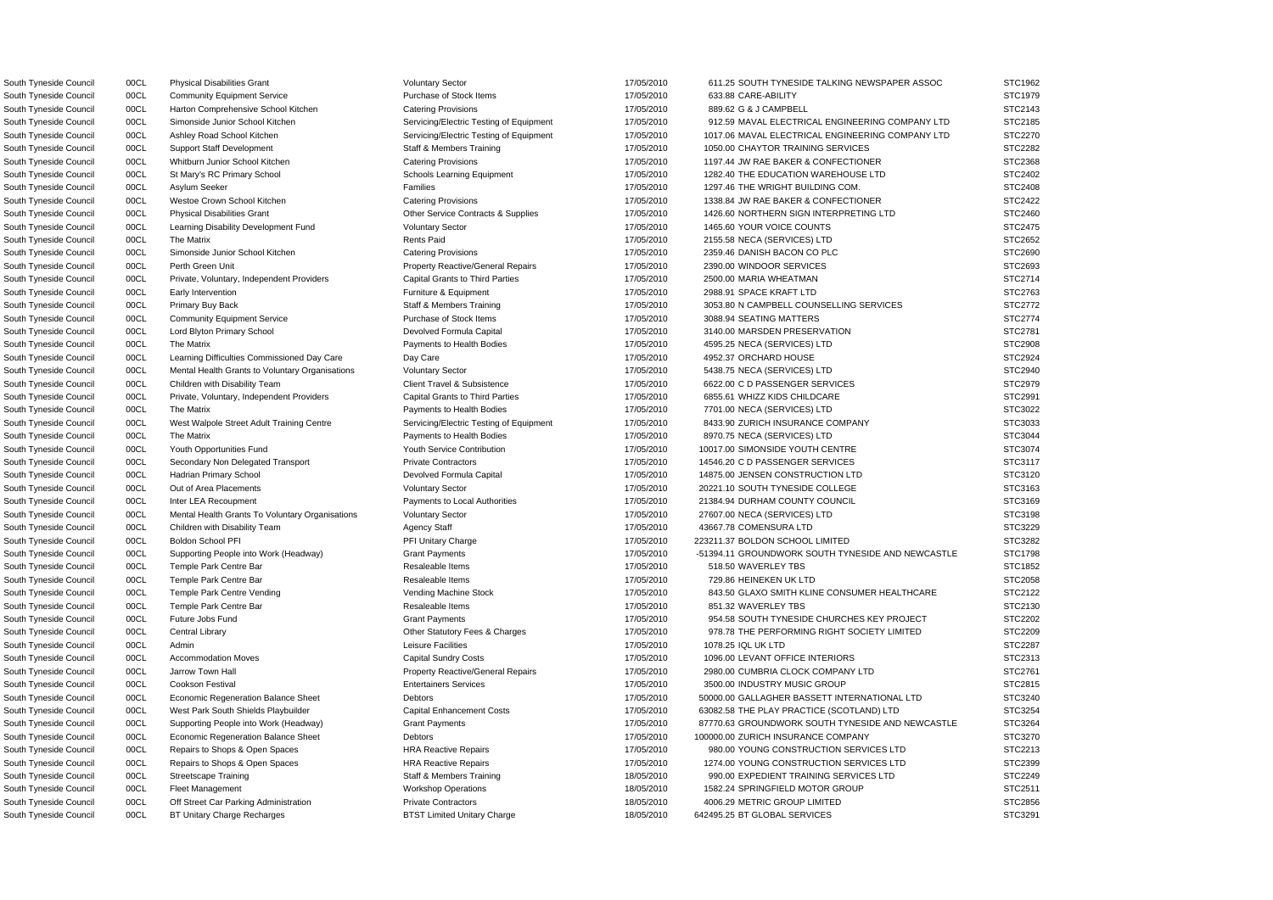South Tyneside Council 00CL Physical Disabilities Grant Voluntary Sector Voluntary Sector 17/05/2010 611.25 SOUTH TYNESIDE TALKING NEWSPAPER ASSOC STC1962 South Tyneside Council 00CL Community Equipment Service Purchase of Stock Items 17/05/2010 633.88 CARE-ABILITY STC1979 South Tyneside Council 00CL Harton Comprehensive School Kitchen Catering Provisions 17/05/2010 889.62 G & J CAMPBELL STC2143 South Tyneside Council 00CL Simonside Junior School Kitchen Servicing/Electric Testing of Equipment 17/05/2010 912.59 MAVAL ELECTRICAL ENGINEERING COMPANY LTD STC2185 South Tyneside Council 00CL Ashley Road School Kitchen Servicing/Electric Testing of Equipment 17/05/2010 1017.06 MAVAL ELECTRICAL ENGINEERING COMPANY LTD STC2270 South Tyneside Council 00CL Support Staff Development Staff & Members Training 197/05/2010 1050.00 CHAYTOR TRAINING SERVICES STC2282 South Tyneside Council 00CL Whitburn Junior School Kitchen Catering Provisions Catering Provisions 17/05/2010 1197.44 JW RAE BAKER & CONFECTIONER STC2368 South Tyneside Council 00CL St Mary's RC Primary School School Schools Learning Equipment 17/05/2010 1282.40 THE EDUCATION WAREHOUSE LTD STC2402 South Tyneside Council and DOCL Asylum Seeker **Families** Families Families 17/05/2010 1297.46 THE WRIGHT BUILDING COM. STC2408 South Tyneside Council 00CL Westoe Crown School Kitchen Catering Provisions Catering Provisions 17/05/2010 1338.84 JW RAE BAKER & CONFECTIONER STC2422 South Tyneside Council 00CL Physical Disabilities Grant CHA Contracts & Supplies 17/05/2010 1426.60 NORTHERN SIGN INTERPRETING LTD STC2460 South Tyneside Council 00CL Learning Disability Development Fund Voluntary Sector 17/05/2010 1465.60 YOUR VOICE COUNTS STC2475 South Tyneside Council 00CL The Matrix **COUNCIL COUNCIL CONTROL** Rents Paid 17/05/2010 2155.58 NECA (SERVICES) LTD STC2652 South Tyneside Council 00CL Simonside Junior School Kitchen Catering Provisions Catering Provisions 17/05/2010 2359.46 DANISH BACON CO PLC STC2690 South Tyneside Council 00CL Perth Green Unit exception of the Property Reactive/General Repairs 17/05/2010 2390.00 WINDOOR SERVICES STC2693 South Tyneside Council 00CL Private, Voluntary, Independent Providers Capital Grants to Third Parties 17/05/2010 2500.00 MARIA WHEATMAN STC2714 South Tyneside Council 00CL Early Intervention **Furniture & Equipment** Furniture & Equipment 17/05/2010 2988.91 SPACE KRAFT LTD STC2763 South Tyneside Council 00CL Primary Buy Back Staff & Members Training 197/05/2010 3053.80 N CAMPBELL COUNSELLING SERVICES STC2772 South Tyneside Council 00CL Community Equipment Service Purchase of Stock Items 17/05/2010 3088.94 SEATING MATTERS STC2774 South Tyneside Council 00CL Lord Blyton Primary School Devolved Formula Capital 17/05/2010 3140.00 MARSDEN PRESERVATION STC2781 South Tyneside Council 00CL The Matrix **Payments to Health Bodies** 17/05/2010 4595.25 NECA (SERVICES) LTD STC2908 South Tyneside Council 00CL Learning Difficulties Commissioned Day Care Day Care Day Care 17/05/2010 4952.37 ORCHARD HOUSE STC2924 South Tyneside Council 00CL Mental Health Grants to Voluntary Organisations Voluntary Sector 17/05/2010 5438.75 NECA (SERVICES) LTD STC2940 South Tyneside Council 00CL Children with Disability Team Client Travel & Subsistence 1986 17/05/2010 6622.00 C D PASSENGER SERVICES STC2979 South Tyneside Council 00CL Private, Voluntary, Independent Providers Capital Grants to Third Parties 17/05/2010 6855.61 WHIZZ KIDS CHILDCARE STC2991 South Tyneside Council 00CL The Matrix example and the Payments to Health Bodies 17/05/2010 7701.00 NECA (SERVICES) LTD STC3022 South Tyneside Council 00CL West Walpole Street Adult Training Centre Servicing/Electric Testing of Equipment 17/05/2010 8433.90 ZURICH INSURANCE COMPANY STC3033 South Tyneside Council 00CL The Matrix **Payments to Health Bodies** 17/05/2010 8970.75 NECA (SERVICES) LTD STC3044 South Tyneside Council 00CL Youth Opportunities Fund Youth Service Contribution 17/05/2010 10017.00 SIMONSIDE YOUTH CENTRE STC3074 South Tyneside Council 00CL Secondary Non Delegated Transport Private Contractors 17/05/2010 14546.20 C D PASSENGER SERVICES STC3117 South Tyneside Council 00CL Hadrian Primary School Devolved Formula Capital 2001 17/05/2010 14875.00 JENSEN CONSTRUCTION LTD STC3120 South Tyneside Council 00CL Out of Area Placements vertex voluntary Sector vertex vertex of the 17/05/2010 20221.10 SOUTH TYNESIDE COLLEGE STC3163 South Tyneside Council 00CL Inter LEA Recoupment Payments to Local Authorities 17/05/2010 21384.94 DURHAM COUNTY COUNCIL STC3169 South Tyneside Council 00CL Mental Health Grants To Voluntary Organisations Voluntary Sector 17/05/2010 27607.00 NECA (SERVICES) LTD STC3198 South Tyneside Council 00CL Children with Disability Team Agency Staff Agency Staff 197/05/2010 43667.78 COMENSURA LTD STC3229 South Tyneside Council 00CL Boldon School PFI PH PFI PH Unitary Charge 223211.37 BOLDON SCHOOL LIMITED STC3282 South Tyneside Council 00CL Supporting People into Work (Headway) Grant Payments 17/05/2010 -51394.11 GROUNDWORK SOUTH TYNESIDE AND NEWCASTLE STC1798 South Tyneside Council 00CL Temple Park Centre Bar Resaleable Items 17/05/2010 518.50 WAVERLEY TBS STC1852 South Tyneside Council 00CL Temple Park Centre Bar Resaleable Items 17/05/2010 729.86 HEINEKEN UK LTD STC2058 South Tyneside Council 00CL Temple Park Centre Vending Vending Vending Machine Stock 17/05/2010 843.50 GLAXO SMITH KLINE CONSUMER HEALTHCARE STC2122 South Tyneside Council 00CL Temple Park Centre Bar Resaleable Items 17/05/2010 851.32 WAVERLEY TBS STC2130 South Tyneside Council 00CL Future Jobs Fund Crant Payments Grant Payments Crant Payments 17/05/2010 954.58 SOUTH TYNESIDE CHURCHES KEY PROJECT STC2202 South Tyneside Council 00CL Central Library Cases Charges Charges Charges 17/05/2010 978.78 THE PERFORMING RIGHT SOCIETY LIMITED STC2209 South Tyneside Council 00CL Admin Leisure Facilities 17/05/2010 1078.25 IQL UK LTD STC2287 South Tyneside Council 00CL Accommodation Moves Capital Sundry Costs Capital Sundry Costs 17/05/2010 1096.00 LEVANT OFFICE INTERIORS STC2313 South Tyneside Council 00CL Jarrow Town Hall **Property Reactive/General Repairs** 17/05/2010 2980.00 CUMBRIA CLOCK COMPANY LTD STC2761 South Tyneside Council 00CL Cookson Festival **Entertainers Services** Entertainers Services 17/05/2010 3500.00 INDUSTRY MUSIC GROUP STC2815 South Tyneside Council 00CL Economic Regeneration Balance Sheet Debtors Debtors 17/05/2010 50000.00 GALLAGHER BASSETT INTERNATIONAL LTD STC3240 South Tyneside Council 00CL West Park South Shields Playbuilder Capital Enhancement Costs 17/05/2010 63082.58 THE PLAY PRACTICE (SCOTLAND) LTD STC3254 South Tyneside Council 00CL Supporting People into Work (Headway) Grant Payments Cantent Council 17/05/2010 87770.63 GROUNDWORK SOUTH TYNESIDE AND NEWCASTLE STC3264 South Tyneside Council 00CL Economic Regeneration Balance Sheet Debtors Debtors 17/05/2010 100000.00 ZURICH INSURANCE COMPANY STC3270 South Tyneside Council 00CL Repairs to Shops & Open Spaces HRA Reactive Repairs 17/05/2010 980.00 YOUNG CONSTRUCTION SERVICES LTD STC2213 South Tyneside Council 00CL Repairs to Shops & Open Spaces HRA Reactive Repairs 17/05/2010 1274.00 YOUNG CONSTRUCTION SERVICES LTD STC2399 South Tyneside Council 00CL Streetscape Training Staff & Members Training 18/05/2010 990.00 EXPEDIENT TRAINING SERVICES LTD STC2249 South Tyneside Council 00CL Fleet Management Workshop Operations Workshop Operations 18/05/2010 1582.24 SPRINGFIELD MOTOR GROUP STC2511 South Tyneside Council 00CL Off Street Car Parking Administration Private Contractors 18/05/2010 4006.29 METRIC GROUP LIMITED STC2856 South Tyneside Council 00CL BT Unitary Charge Recharges BTST Limited Unitary Charge 18/05/2010 642495.25 BT GLOBAL SERVICES STC3291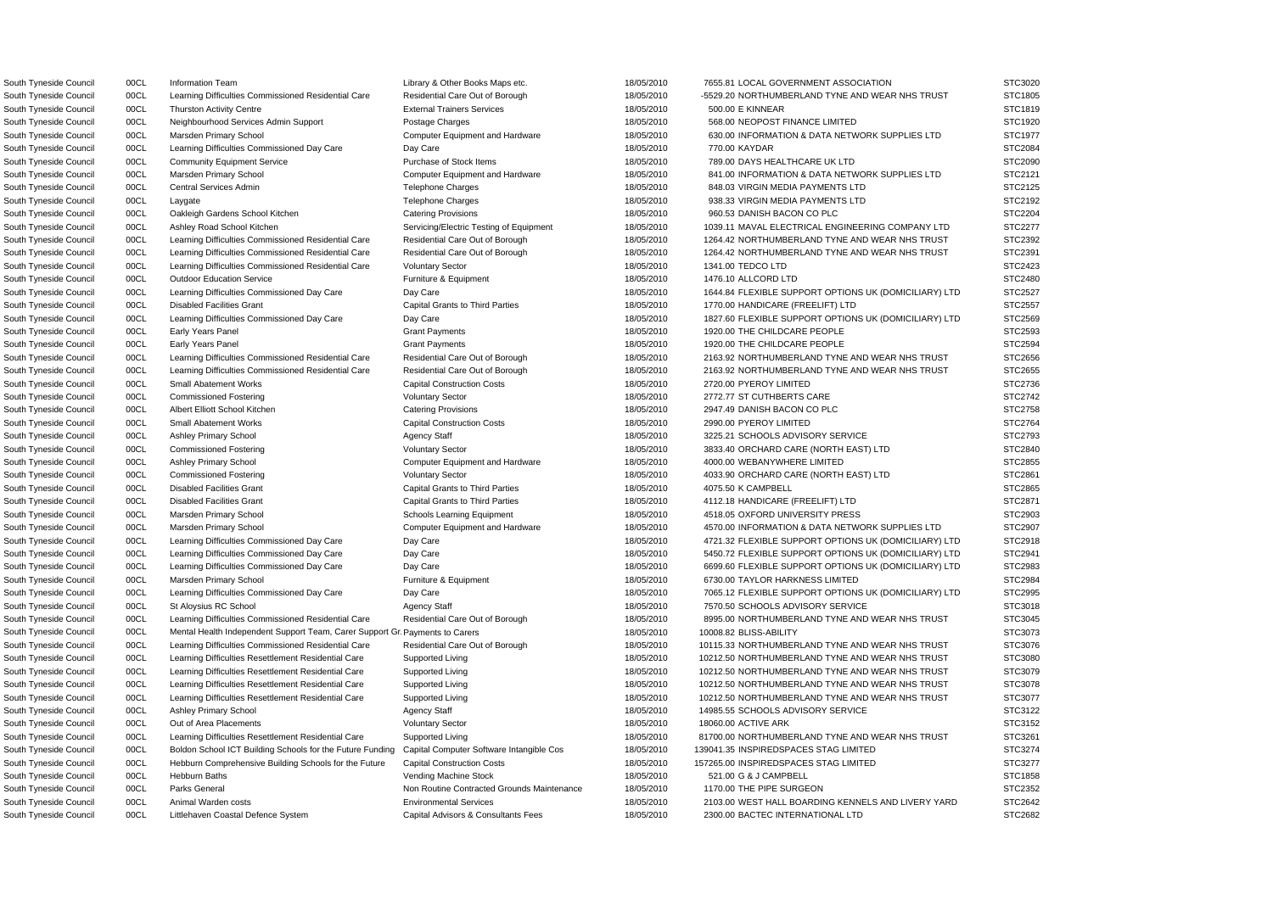South Tyneside Council 00CL Information Team Council 19/05/2010 18/05/2010 7655.81 LOCAL GOVERNMENT ASSOCIATION STC3020 South Tyneside Council 00CL Learning Difficulties Commissioned Residential Care Residential Care Out of Borough 18/05/2010 -5529.20 NORTHUMBERLAND TYNE AND WEAR NHS TRUST STC1805 South Tyneside Council 00CL Thurston Activity Centre External Trainers Services 20000 18/05/2010 500.00 E KINNEAR STC1819 South Tyneside Council 00CL Neighbourhood Services Admin Support Postage Charges 18/05/2010 568.00 NEOPOST FINANCE LIMITED STC1920 South Tyneside Council 00CL Marsden Primary School Computer Equipment and Hardware 18/05/2010 630.00 INFORMATION & DATA NETWORK SUPPLIES LTD STC1977 South Tyneside Council 00CL Learning Difficulties Commissioned Day Care Day Care Day Care 18/05/2010 770.00 KAYDAR STC2084 South Tyneside Council 00CL Community Equipment Service Purchase of Stock Items 18/05/2010 789.00 DAYS HEALTHCARE UK LTD STC2090 South Tyneside Council 00CL Marsden Primary School Computer Equipment and Hardware 18/05/2010 841.00 INFORMATION & DATA NETWORK SUPPLIES LTD STC2121 South Tyneside Council 00CL Central Services Admin Telephone Charges Telephone Charges 18/05/2010 848.03 VIRGIN MEDIA PAYMENTS LTD STC2125 South Tyneside Council 00CL Laygate The May are the Telephone Charges Telephone Charges 18/05/2010 938.33 VIRGIN MEDIA PAYMENTS LTD STC2192 South Tyneside Council 00CL Oakleigh Gardens School Kitchen Catering Provisions Catering Provisions 18/05/2010 960.53 DANISH BACON CO PLC STC2204 South Tyneside Council 00CL Ashley Road School Kitchen Servicing/Electric Testing of Equipment 18/05/2010 1039.11 MAVAL ELECTRICAL ENGINEERING COMPANY LTD STC2277 South Tyneside Council 00CL Learning Difficulties Commissioned Residential Care Residential Care Out of Borough 18/05/2010 1264.42 NORTHUMBERLAND TYNE AND WEAR NHS TRUST STC2392 South Tyneside Council 00CL Learning Difficulties Commissioned Residential Care Residential Care Out of Borough 18/05/2010 1264.42 NORTHUMBERLAND TYNE AND WEAR NHS TRUST STC2391 South Tyneside Council 00CL Learning Difficulties Commissioned Residential Care Voluntary Sector 18/05/2010 1341.00 TEDCO LTD STC2423 South Tyneside Council 00CL Outdoor Education Service Furniture & Equipment 18/05/2010 1476.10 ALLCORD LTD STC2480 South Tyneside Council 00CL Learning Difficulties Commissioned Day Care Day Care Day Care 18/05/2010 1644.84 FLEXIBLE SUPPORT OPTIONS UK (DOMICILIARY) LTD STC2527 South Tyneside Council 00CL Disabled Facilities Grant Capital Grants to Third Parties 18/05/2010 1770.00 HANDICARE (FREELIFT) LTD STC2557 South Tyneside Council 00CL Learning Difficulties Commissioned Day Care Day Care Day Care 18/05/2010 1827.60 FLEXIBLE SUPPORT OPTIONS UK (DOMICILIARY) LTD STC2569 South Tyneside Council 00CL Early Years Panel Crant Payments Grant Payments 18/05/2010 1920.00 THE CHILDCARE PEOPLE STC2593 South Tyneside Council 00CL Early Years Panel STC2594 Grant Payments Crant Payments 18/05/2010 1920.00 THE CHILDCARE PEOPLE STC2594 South Tyneside Council 00CL Learning Difficulties Commissioned Residential Care Residential Care Out of Borough 18/05/2010 2163.92 NORTHUMBERLAND TYNE AND WEAR NHS TRUST STC2656 South Tyneside Council 00CL Learning Difficulties Commissioned Residential Care Residential Care Out of Borough 18/05/2010 2163.92 NORTHUMBERLAND TYNE AND WEAR NHS TRUST STC2655 South Tyneside Council 00CL Small Abatement Works Capital Construction Costs 18/05/2010 2720.00 PYEROY LIMITED STC2736 South Tyneside Council 00CL Commissioned Fostering variables and Voluntary Sector 18/05/2010 2772.77 ST CUTHBERTS CARE STC2742 South Tyneside Council 00CL Albert Elliott School Kitchen Catering Provisions Catering Provisions 18/05/2010 2947.49 DANISH BACON CO PLC STC2758 South Tyneside Council 00CL Small Abatement Works Capital Construction Costs 18/05/2010 2990.00 PYEROY LIMITED STC2764 South Tyneside Council 00CL Ashley Primary School **Agency Staff 19/05/2010** 3225.21 SCHOOLS ADVISORY SERVICE STC2793 South Tyneside Council 00CL Commissioned Fostering Voluntary Sector Voluntary Sector 18/05/2010 3833.40 ORCHARD CARE (NORTH EAST) LTD STC2840 South Tyneside Council 00CL Ashley Primary School Computer Equipment and Hardware 18/05/2010 4000.00 WEBANYWHERE LIMITED STC2855 South Tyneside Council 00CL Commissioned Fostering Voluntary Sector Voluntary Sector 18/05/2010 4033.90 ORCHARD CARE (NORTH EAST) LTD STC2861 South Tyneside Council 00CL Disabled Facilities Grant Capital Grants to Third Parties 18/05/2010 4075.50 K CAMPBELL STC2865 South Tyneside Council 00CL Disabled Facilities Grant Capital Grants to Third Parties 18/05/2010 4112.18 HANDICARE (FREELIFT) LTD STC2871 South Tyneside Council 00CL Marsden Primary School School Schools Learning Equipment 18/05/2010 4518.05 OXFORD UNIVERSITY PRESS STC2903 South Tyneside Council 00CL Marsden Primary School Computer Equipment and Hardware 18/05/2010 4570.00 INFORMATION & DATA NETWORK SUPPLIES LTD STC2907 South Tyneside Council 00CL Learning Difficulties Commissioned Day Care Day Care Day Care 18/05/2010 4721.32 FLEXIBLE SUPPORT OPTIONS UK (DOMICILIARY) LTD STC2918 South Tyneside Council 00CL Learning Difficulties Commissioned Day Care Day Care Day Care 18/05/2010 5450.72 FLEXIBLE SUPPORT OPTIONS UK (DOMICILIARY) LTD STC2941 South Tyneside Council 00CL Learning Difficulties Commissioned Day Care Day Care Day Care 18/05/2010 6699.60 FLEXIBLE SUPPORT OPTIONS UK (DOMICILIARY) LTD STC2983 South Tyneside Council 00CL Marsden Primary School **Furniture & Equipment** 18/05/2010 6730.00 TAYLOR HARKNESS LIMITED STC2984 South Tyneside Council 00CL Learning Difficulties Commissioned Day Care Day Care Day Care 18/05/2010 7065.12 FLEXIBLE SUPPORT OPTIONS UK (DOMICILIARY) LTD STC2995 South Tyneside Council 00CL St Aloysius RC School **Agency Staff 19/05/2010** 7570.50 SCHOOLS ADVISORY SERVICE STC3018 South Tyneside Council 00CL Learning Difficulties Commissioned Residential Care Residential Care Out of Borough 18/05/2010 8995.00 NORTHUMBERLAND TYNE AND WEAR NHS TRUST STC3045 South Tyneside Council 00CL Mental Health Independent Support Team, Carer Support GraPayments to Carers 18/05/2010 10008.82 BLISS-ABILITY STC3073 South Tyneside Council 00CL Learning Difficulties Commissioned Residential Care Residential Care Out of Borough 18/05/2010 10115.33 NORTHUMBERLAND TYNE AND WEAR NHS TRUST STC3076 South Tyneside Council 00CL Learning Difficulties Resettlement Residential Care Supported Living 18/05/2010 10212.50 NORTHUMBERLAND TYNE AND WEAR NHS TRUST STC3080 South Tyneside Council 00CL Learning Difficulties Resettlement Residential Care Supported Living 18/05/2010 10212.50 NORTHUMBERLAND TYNE AND WEAR NHS TRUST STC3079 South Tyneside Council 00CL Learning Difficulties Resettlement Residential Care Supported Living 18/05/2010 10212.50 NORTHUMBERLAND TYNE AND WEAR NHS TRUST STC3078 South Tyneside Council 00CL Learning Difficulties Resettlement Residential Care Supported Living 18/05/2010 10212.50 NORTHUMBERLAND TYNE AND WEAR NHS TRUST STC3077 South Tyneside Council 00CL Ashley Primary School **Agency Staff 19/05/2010** 14985.55 SCHOOLS ADVISORY SERVICE STC3122 South Tyneside Council 00CL Out of Area Placements 18/05/2010 18060.00 ACTIVE ARK STC3152 STC3152 South Tyneside Council 00CL Learning Difficulties Resettlement Residential Care Supported Living 18/05/2010 81700.00 NORTHUMBERLAND TYNE AND WEAR NHS TRUST STC3261 South Tyneside Council 00CL Boldon School ICT Building Schools for the Future Funding Capital Computer Software Intangible Cos 18/05/2010 139041.35 INSPIREDSPACES STAG LIMITED STC3274 South Tyneside Council 00CL Hebburn Comprehensive Building Schools for the Future Capital Construction Costs 18/05/2010 157265.00 INSPIREDSPACES STAG LIMITED STC3277 South Tyneside Council 00CL Hebburn Baths Vending Machine Stock 18/05/2010 521.00 G & J CAMPBELL STC1858 South Tyneside Council 00CL Parks General STC2352 Non Routine Contracted Grounds Maintenance 18/05/2010 1170.00 THE PIPE SURGEON STC2352 South Tyneside Council 00CL Animal Warden costs **Environmental Services** Environmental Services 18/05/2010 2103.00 WEST HALL BOARDING KENNELS AND LIVERY YARD STC2642 South Tyneside Council 00CL Littlehaven Coastal Defence System Capital Advisors & Consultants Fees 18/05/2010 2300.00 BACTEC INTERNATIONAL LTD STC2682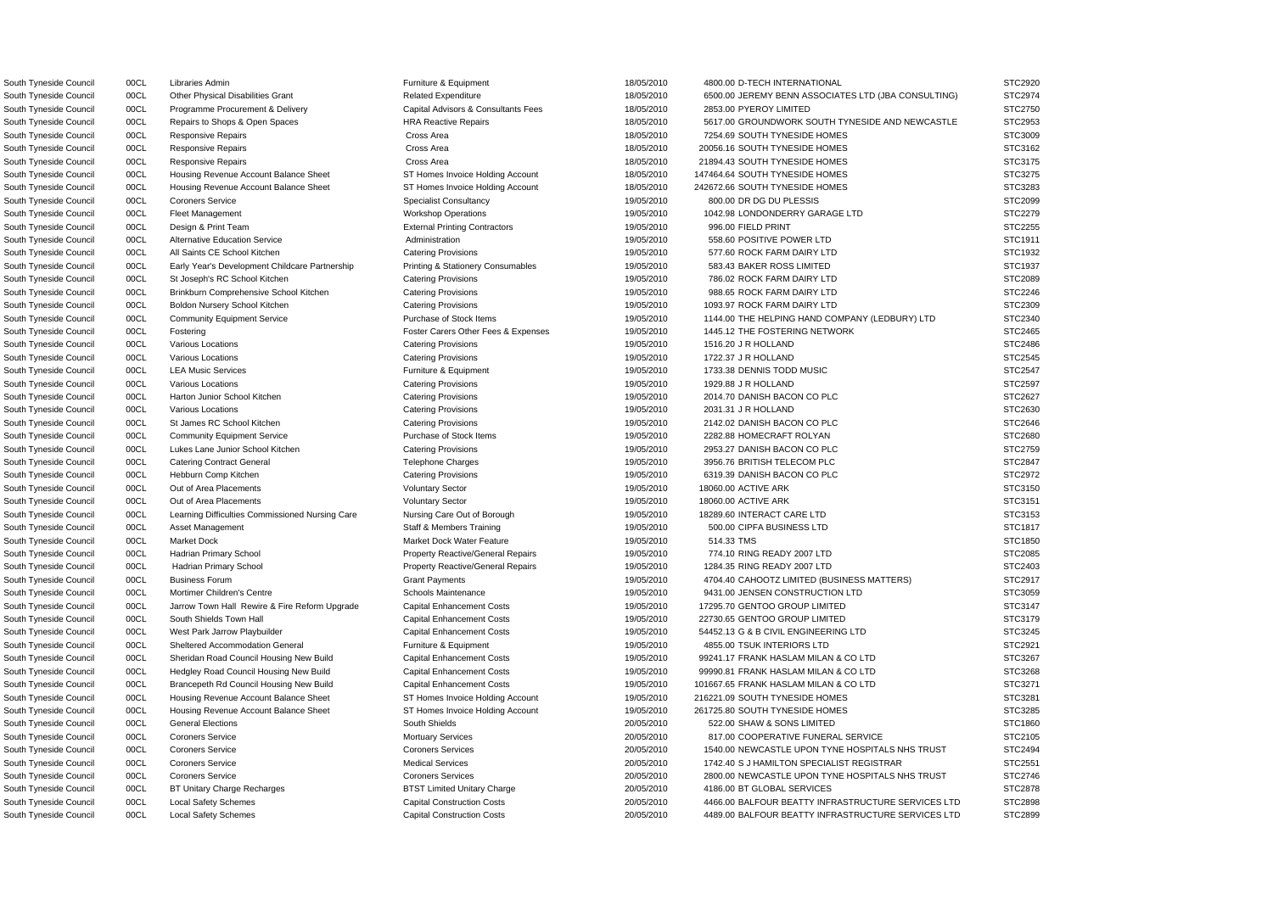South Tyneside Council **2853.00 PYEROY LIMITED** Capital Advisors & Consultants Fees 18/05/2010 2853.00 PYEROY LIMITED South Tyneside Council 00CL Responsive Repairs Cross Area 18/05/2010 7254.69 SOUTH TYNESIDE HOMES South Tyneside Council 00CL Responsive Repairs Cross Area 18/05/2010 20056.16 SOUTH TYNESIDE HOMES South Tyneside Council 00CL Responsive Repairs Cross Area 18/05/2010 21894.43 SOUTH TYNESIDE HOMES South Tyneside Council **1998** OOCL Housing Revenue Account Balance Sheet ST Homes Invoice Holding Account 18/05/2010 147464.64 SOUTH TYNESIDE HOMES South Tyneside Council **1998** OOCL Housing Revenue Account Balance Sheet ST Homes Invoice Holding Account 18/05/2010 242672.66 SOUTH TYNESIDE HOMES South Tyneside Council 00CL Design & Print Team **External Printing Contractors** 19/05/2010 996.00 FIELD PRINT STC2 South Tyneside Council 00CL Alternative Education Service Administration Administration 19/05/2010 558.60 POSITIVE POWER LTD South Tyneside Council 00CL All Saints CE School Kitchen Catering Provisions 19/05/2010 577.60 ROCK FARM DAIRY LTD South Tyneside Council **19/0CL** Early Year's Development Childcare Partnership Printing & Stationery Consumables 19/05/2010 583.43 BAKER ROSS LIMITED South Tyneside Council 00CL St Joseph's RC School Kitchen Catering Provisions Catering Provisions 19/05/2010 786.02 ROCK FARM DAIRY LTD South Tyneside Council **200CL Brinkburn Comprehensive School Kitchen** Catering Provisions 19/05/2010 988.65 ROCK FARM DAIRY LTD South Tyneside Council 00CL Boldon Nursery School Kitchen Catering Provisions 19/05/2010 1093.97 ROCK FARM DAIRY LTD South Tyneside Council 00CL Fostering The Foster Carers Other Fees & Expenses 50ther Fees & Expenses 50ther Fees & Expenses 50ther Fees & Expenses 50ther Fees & Expenses 50ther Fees & Expenses 50ther Fees & Expenses 50ther South Tyneside Council 00CL LEA Music Services **Furniture & Equipment** 19/05/2010 1733.38 DENNIS TODD MUSIC South Tyneside Council 00CL St James RC School Kitchen Catering Provisions Catering Provisions 19/05/2010 2142.02 DANISH BACON CO PLC South Tyneside Council 00CL Community Equipment Service Purchase of Stock Items 19/05/2010 2282.88 HOMECRAFT ROLYAN South Tyneside Council **2953.27 DANISH BACON CO PLC** Catering Provisions **Catering Provisions** 19/05/2010 2953.27 DANISH BACON CO PLC South Tyneside Council 00CL Catering Contract General Telephone Charges 19/05/2010 3956.76 BRITISH TELECOM PLC South Tyneside Council 00CL Hebburn Comp Kitchen Catering Catering Provisions Catering Provisions 6319.39 DANISH BACON CO PLC South Tyneside Council **19/05/2010** OOCL Learning Difficulties Commissioned Nursing Care Nursing Care Out of Borough 19/05/2010 18289.60 INTERACT CARE LTD South Tyneside Council 00CL Asset Management Staff & Members Training 19/05/2010 500.00 CIPFA BUSINESS LTD South Tyneside Council 00CL Hadrian Primary School Property Reactive/General Repairs 19/05/2010 774.10 RING READY 2007 LTD South Tyneside Council 00CL Hadrian Primary School Property Reactive/General Repairs 19/05/2010 1284.35 RING READY 2007 LTD South Tyneside Council **2006** 00CL Jarrow Town Hall Rewire & Fire Reform Upgrade Capital Enhancement Costs 2010 19/05/2010 17295.70 GENTOO GROUP LIMITED South Tyneside Council 00CL South Shields Town Hall Capital Enhancement Costs 19/05/2010 22730.65 GENTOO GROUP LIMITED South Tyneside Council 00CL Sheltered Accommodation General Furniture & Equipment 19/05/2010 4855.00 TSUK INTERIORS LTD South Tyneside Council **19/05/2010** 00CL Housing Revenue Account Balance Sheet ST Homes Invoice Holding Account 19/05/2010 216221.09 SOUTH TYNESIDE HOMES South Tyneside Council **19/05/2010** 00CL Housing Revenue Account Balance Sheet ST Homes Invoice Holding Account 19/05/2010 261725.80 SOUTH TYNESIDE HOMES South Tyneside Council 00CL BT Unitary Charge Recharges BTST Limited Unitary Charge 20/05/2010 4186.00 BT GLOBAL SERVICES

South Tyneside Council 00CL Libraries Admin external results and the Furniture & Equipment 18/05/2010 4800.00 D-TECH INTERNATIONAL South Tyneside Council 00CL Other Physical Disabilities Grant Related Expenditure 18/05/2010 6500.00 JEREMY BENN ASSOCIATES LTD (JBA CONSULTING) South Tyneside Council 00CL Repairs to Shops & Open Spaces HRA Reactive Repairs 18/05/2010 5617.00 GROUNDWORK SOUTH TYNESIDE AND NEWCASTLE South Tyneside Council 00CL Coroners Service Specialist Consultancy 800.00 DR DG DU PLESSIS STC2099 South Tyneside Council 00CL Fleet Management Workshop Operations Morkshop Operations 19/05/2010 1042.98 LONDONDERRY GARAGE LTD South Tyneside Council 00CL Community Equipment Service Purchase of Stock Items 19/05/2010 1144.00 THE HELPING HAND COMPANY (LEDBURY) LTD South Tyneside Council 00CL Various Locations Catering Provisions 19/05/2010 1516.20 J R HOLLAND STC2486 South Tyneside Council **OOCL Contra Contra Contra Catering Provisions** Catering Provisions **Catering Provisions** Catering Provisions **CONTRA CONTRA CONTRA CONTRA CONTRA CONTRA CONTRA CONTRA STC2545** South Tyneside Council 00CL Various Locations Catering Provisions 19/05/2010 1929.88 J R HOLLAND STC2597 South Tyneside Council 00CL Harton Junior School Kitchen Catering Provisions Catering Provisions 2014.70 DANISH BACON CO PLC STC2627 South Tyneside Council 00CL Various Locations Catering Provisions 19/05/2010 2031.31 J R HOLLAND STC2630 South Tyneside Council 00CL Out of Area Placements Voluntary Sector 19/05/2010 18060.00 ACTIVE ARK STC3150 South Tyneside Council 00CL Out of Area Placements variables and Voluntary Sector 19/05/2010 18060.00 ACTIVE ARK STC3151 South Tyneside Council 00CL Market Dock Market Dock Water Feature 19/05/2010 514.33 TMS STC1850 South Tyneside Council 00CL Business Forum Crant Payments Crant Payments Crant Payments 19/05/2010 4704.40 CAHOOTZ LIMITED (BUSINESS MATTERS) South Tyneside Council 00CL Mortimer Children's Centre Schools Maintenance 19/05/2010 9431.00 JENSEN CONSTRUCTION LTD South Tyneside Council 00CL West Park Jarrow Playbuilder Capital Enhancement Costs 19/05/2010 54452.13 G & B CIVIL ENGINEERING LTD South Tyneside Council 00CL Sheridan Road Council Housing New Build Capital Enhancement Costs 19/05/2010 99241.17 FRANK HASLAM MILAN & CO LTD South Tyneside Council 00CL Hedgley Road Council Housing New Build Capital Enhancement Costs 19/05/2010 99990.81 FRANK HASLAM MILAN & CO LTD South Tyneside Council 00CL Brancepeth Rd Council Housing New Build Capital Enhancement Costs 19/05/2010 101667.65 FRANK HASLAM MILAN & CO LTD South Tyneside Council 00CL General Elections South Shields 20/05/2010 522.00 SHAW & SONS LIMITED STC1860 South Tyneside Council 00CL Coroners Service **Mortuary Services** 20/05/2010 817.00 COOPERATIVE FUNERAL SERVICE South Tyneside Council 00CL Coroners Service Coroners Services Coroners Services 20/05/2010 1540.00 NEWCASTLE UPON TYNE HOSPITALS NHS TRUST South Tyneside Council 00CL Coroners Service Coroners Cervice Medical Services Medical Services 20/05/2010 1742.40 S J HAMILTON SPECIALIST REGISTRAR South Tyneside Council 00CL Coroners Service Coroners Services Coroners Services 20/05/2010 2800.00 NEWCASTLE UPON TYNE HOSPITALS NHS TRUST South Tyneside Council 00CL Local Safety Schemes Capital Construction Costs 20/05/2010 4466.00 BALFOUR BEATTY INFRASTRUCTURE SERVICES LTD South Tyneside Council 00CL Local Safety Schemes Capital Construction Costs 20/05/2010 4489.00 BALFOUR BEATTY INFRASTRUCTURE SERVICES LTD STC2899

| ż,<br>I C2920                        |
|--------------------------------------|
| STC2974                              |
| STC2750                              |
| TC2953<br>S.                         |
| TC3009<br>S.                         |
| TC3162<br>S.                         |
|                                      |
| TC3175<br>3.                         |
| TC3275<br>S.                         |
| STC3283                              |
| TC2099<br>S.                         |
| TC2279<br>S.                         |
| TC2255<br>S                          |
| TC1911<br>š<br>ć                     |
| C <sub>193</sub><br>ć<br>š<br>T<br>2 |
| C1937<br>S<br>T                      |
| C2089<br>S                           |
| T                                    |
| C2246<br>ŗ<br>ï<br>T                 |
| C2309<br>؟<br>š<br>T                 |
| TC2340<br>š<br>ć                     |
| TC2465<br>؟<br>š                     |
| 2486<br>S<br>ТC                      |
| TC2545<br>S                          |
| S<br>TC2547                          |
| TC2597<br>S                          |
| TC2627<br>؟<br>š                     |
|                                      |
| TC2630<br>ŗ<br>ï                     |
| TC2646<br>S.                         |
| S.<br>C2680<br>Ī                     |
| C2759<br>S<br>I                      |
|                                      |
| C2847<br>S.<br>I                     |
| C2972<br>S.<br>I                     |
|                                      |
| C3150<br>2.<br>I                     |
| C3151<br>ST                          |
| C3153<br>S.<br>I                     |
| C1817<br>ST                          |
| C <sub>1850</sub><br>ST              |
| STC2085                              |
| STC2403                              |
| STC2917                              |
| STC3059<br>s                         |
| S                                    |
| TC3147                               |
| C3179<br>S<br>Ţ                      |
| TC3245<br>š<br>؟                     |
| TC2921<br>S                          |
| 3267<br>S<br>ТC                      |
| 3268<br>STC                          |
| STC3271                              |
| STC3281                              |
| STC3285                              |
|                                      |
| STC1860                              |
| STC2105                              |
| STC2494                              |
| STC2551                              |
| STC2746                              |
| STC2878                              |
| STC2898                              |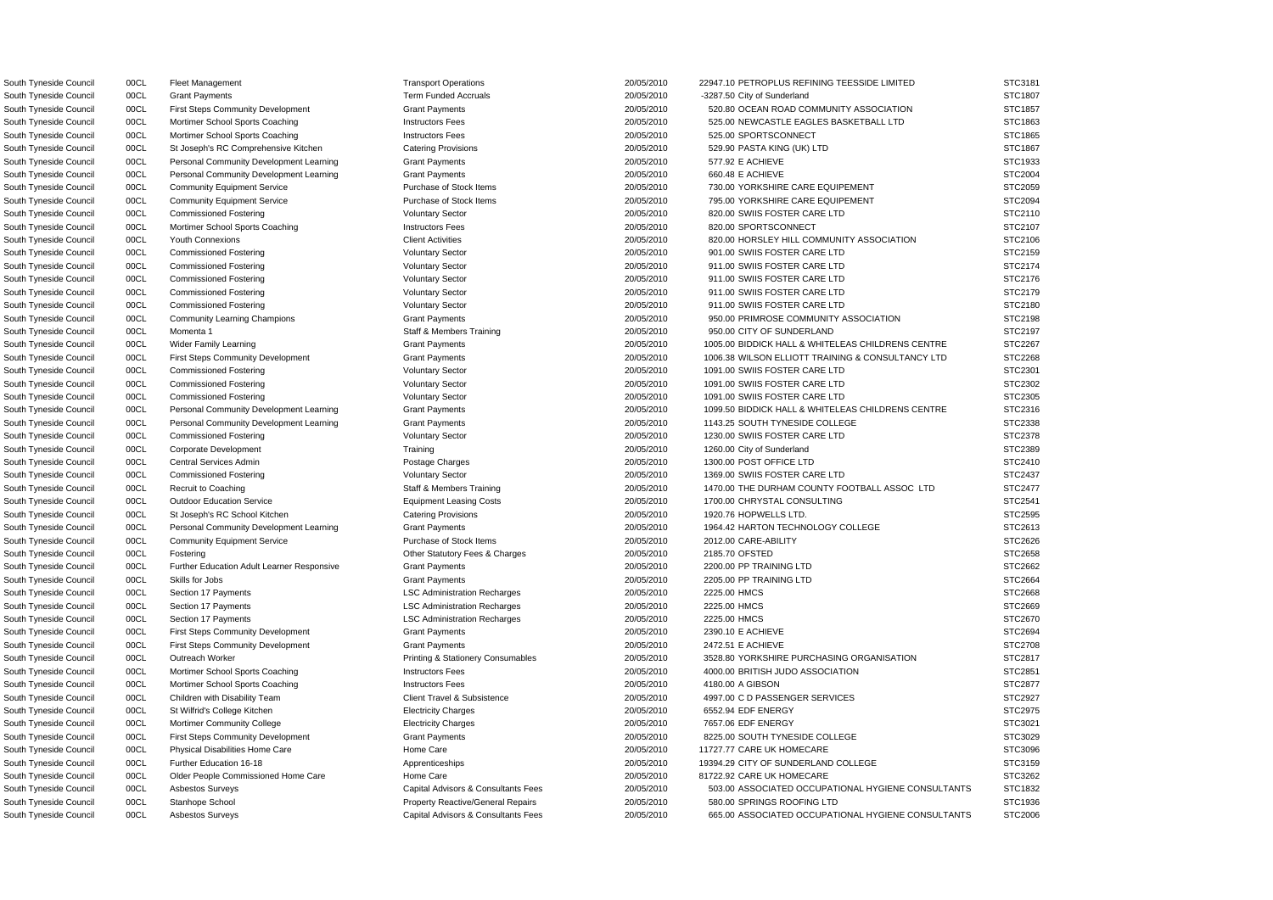South Tyneside Council 00CL Mortimer School Sports Coaching **Instructors Fees** 20/05/2010 525.00 SPORTSCONNECT South Tyneside Council 00CL St Joseph's RC Comprehensive Kitchen Catering Provisions 20/05/2010 529.90 PASTA KING (UK) LTD South Tyneside Council 00CL Personal Community Development Learning Grant Payments 20/05/2010 577.92 E ACHIEVE South Tyneside Council 00CL Personal Community Development Learning Grant Payments 20/05/2010 660.48 E ACHIEVE South Tyneside Council **1998** OOCL Mortimer School Sports Coaching **Instructors Fees** 20/05/2010 820.00 SPORTSCONNECT South Tyneside Council 00CL Community Equipment Service Purchase of Stock Items 20/05/2010 2012.00 CARE-ABILITY South Tyneside Council 00CL Fostering Company Company Company Fees & Charges 20/05/2010 2185.70 OFSTED South Tyneside Council **2000CL** Further Education Adult Learner Responsive Grant Payments **COMIC 2000-2000 2200.00 PP TRAINING LTD** South Tyneside Council 00CL Section 17 Payments **LSC Administration Recharges** 20/05/2010 2225.00 HMCS South Tyneside Council 00CL First Steps Community Development Grant Payments 20/05/2010 20/05/2010 2390.10 E ACHIEVE South Tyneside Council 00CL First Steps Community Development Grant Payments 20/05/2010 2472.51 E ACHIEVE South Tyneside Council **200CL** Mortimer School Sports Coaching **Instructors Fees** 20/05/2010 4180.00 A GIBSON South Tyneside Council 00CL Physical Disabilities Home Care Home Care Home Care 20/05/2010 11727.77 CARE UK HOMECARE South Tyneside Council 00CL Older People Commissioned Home Care Home Care Home Care 20/05/2010 81722.92 CARE UK HOMECARE

South Tyneside Council 00CL Fleet Management Transport Operations Transport Operations 20/05/2010 22947.10 PETROPLUS REFINING TEESSIDE LIMITED South Tyneside Council 00CL Grant Payments **Term Funded Accruals 20/05/2010** -3287.50 City of Sunderland STC1807 South Tyneside Council 00CL First Steps Community Development Grant Payments Council 20/05/2010 520.80 OCEAN ROAD COMMUNITY ASSOCIATION South Tyneside Council 00CL Mortimer School Sports Coaching **Instructors Fees** 20/05/2010 525.00 NEWCASTLE EAGLES BASKETBALL LTD South Tyneside Council 00CL Community Equipment Service Purchase of Stock Items 20/05/2010 730.00 YORKSHIRE CARE EQUIPEMENT South Tyneside Council 00CL Community Equipment Service Purchase of Stock Items 20/05/2010 795.00 YORKSHIRE CARE EQUIPEMENT South Tyneside Council 00CL Commissioned Fostering 2005/2010 20/05/2010 820.00 SWIIS FOSTER CARE LTD South Tyneside Council 00CL Youth Connexions Client Activities Client Activities 20/05/2010 820.00 HORSLEY HILL COMMUNITY ASSOCIATION South Tyneside Council 00CL Commissioned Fostering Voluntary Sector 20/05/2010 901.00 SWIIS FOSTER CARE LTD South Tyneside Council 00CL Commissioned Fostering Voluntary Sector 20/05/2010 911.00 SWIIS FOSTER CARE LTD South Tyneside Council 00CL Commissioned Fostering Commissioned Fostering Voluntary Sector 20/05/2010 911.00 SWIIS FOSTER CARE LTD South Tyneside Council 00CL Commissioned Fostering Voluntary Sector 20/05/2010 911.00 SWIIS FOSTER CARE LTD South Tyneside Council 00CL Commissioned Fostering Voluntary Sector 20/05/2010 911.00 SWIIS FOSTER CARE LTD South Tyneside Council 00CL Community Learning Champions Grant Payments Community Council 20/05/2010 950.00 PRIMROSE COMMUNITY ASSOCIATION South Tyneside Council 00CL Momenta 1 STC2197 Staff & Members Training 20/05/2010 950.00 CITY OF SUNDERLAND STC2197 South Tyneside Council 00CL Wider Family Learning Carries Council Crant Payments Council 20/05/2010 1005.00 BIDDICK HALL & WHITELEAS CHILDRENS CENTRE South Tyneside Council 00CL First Steps Community Development Grant Payments Grant Payments 20/05/2010 1006.38 WILSON ELLIOTT TRAINING & CONSULTANCY LTD South Tyneside Council 00CL Commissioned Fostering Voluntary Sector 20/05/2010 1091.00 SWIIS FOSTER CARE LTD South Tyneside Council 00CL Commissioned Fostering Commissioned Fostering Voluntary Sector 20/05/2010 1091.00 SWIIS FOSTER CARE LTD South Tyneside Council 00CL Commissioned Fostering Commissioned Fostering Voluntary Sector 20/05/2010 1091.00 SWIIS FOSTER CARE LTD South Tyneside Council 00CL Personal Community Development Learning Grant Payments 20/05/2010 1099.50 BIDDICK HALL & WHITELEAS CHILDRENS CENTRE South Tyneside Council 00CL Personal Community Development Learning Grant Payments Council 20/05/2010 1143.25 SOUTH TYNESIDE COLLEGE South Tyneside Council 00CL Commissioned Fostering 20/05/2010 1230.00 SWIIS FOSTER CARE LTD South Tyneside Council oo DCL Corporate Development 2000 Training 20/05/2010 1260.00 City of Sunderland STC2389 South Tyneside Council 00CL Central Services Admin 2000 Postage Charges 20/05/2010 1300.00 POST OFFICE LTD STC2410 South Tyneside Council 00CL Commissioned Fostering 2005/2010 1369.00 SWIIS FOSTER CARE LTD South Tyneside Council 00CL Recruit to Coaching Company Staff & Members Training 20/05/2010 1470.00 THE DURHAM COUNTY FOOTBALL ASSOC LTD South Tyneside Council 00CL Outdoor Education Service Equipment Leasing Costs 20/05/2010 1700.00 CHRYSTAL CONSULTING South Tyneside Council 00CL St Joseph's RC School Kitchen Catering Provisions Catering Provisions 20/05/2010 1920.76 HOPWELLS LTD. STC2595 South Tyneside Council 00CL Personal Community Development Learning Grant Payments 20/05/2010 1964.42 HARTON TECHNOLOGY COLLEGE South Tyneside Council 00CL Skills for Jobs Grant Payments 20/05/2010 2205.00 PP TRAINING LTD STC2664 South Tyneside Council 00CL Section 17 Payments LSC Administration Recharges 20/05/2010 2225.00 HMCS STC2668 South Tyneside Council 00CL Section 17 Payments LSC Administration Recharges 20/05/2010 2225.00 HMCS STC2669 South Tyneside Council 00CL Outreach Worker **Printing & Stationery Consumables** 20/05/2010 3528.80 YORKSHIRE PURCHASING ORGANISATION South Tyneside Council 00CL Mortimer School Sports Coaching **Instructors Fees** 20/05/2010 4000.00 BRITISH JUDO ASSOCIATION South Tyneside Council **2006** 00CL Children with Disability Team Client Travel & Subsistence 20/05/2010 4997.00 C D PASSENGER SERVICES South Tyneside Council 00CL St Wilfrid's College Kitchen Electricity Charges 20/05/2010 6552.94 EDF ENERGY STC2975 South Tyneside Council 00CL Mortimer Community College Electricity Charges 7657.06 EDF ENERGY STC3021 South Tyneside Council 00CL First Steps Community Development Grant Payments Crant Payments 20/05/2010 8225.00 SOUTH TYNESIDE COLLEGE South Tyneside Council 00CL Further Education 16-18 Apprenticeships 20/05/2010 19394.29 CITY OF SUNDERLAND COLLEGE South Tyneside Council 00CL Asbestos Surveys Capital Advisors & Consultants Fees 20/05/2010 503.00 ASSOCIATED OCCUPATIONAL HYGIENE CONSULTANTS South Tyneside Council 00CL Stanhope School Property Reactive/General Repairs 20/05/2010 580.00 SPRINGS ROOFING LTD South Tyneside Council 00CL Asbestos Surveys exception of the Capital Advisors & Consultants Fees 20/05/2010 665.00 ASSOCIATED OCCUPATIONAL HYGIENE CONSULTANTS

| STC1807        |
|----------------|
|                |
| STC1857        |
| STC1863        |
| STC1865        |
| STC1867        |
| STC1933        |
|                |
| STC2004        |
| STC2059        |
| STC2094        |
| STC2110        |
| STC2107        |
| STC2106        |
| STC2159        |
| STC2174        |
| STC2176        |
| STC2179        |
|                |
| STC2180        |
| STC2198        |
| STC2197        |
| STC2267        |
| STC2268        |
| STC2301        |
| STC2302        |
| STC2305        |
| STC2316        |
| STC2338        |
|                |
| STC2378        |
| STC2389        |
| STC2410        |
| STC2437        |
| STC2477        |
| STC2541        |
|                |
| <b>STC2595</b> |
| STC2613        |
|                |
| STC2626        |
| STC2658        |
| STC2662        |
| STC2664        |
| STC2668        |
| STC2669        |
| STC2670<br>ຸ   |
| STC2694        |
| STC2708        |
| STC2817        |
| STC2851        |
| STC2877        |
|                |
| STC2927        |
| STC2975        |
| STC3021        |
| STC3029        |
| STC3096        |
| STC3159        |
| STC3262        |
| STC1832        |
| STC1936        |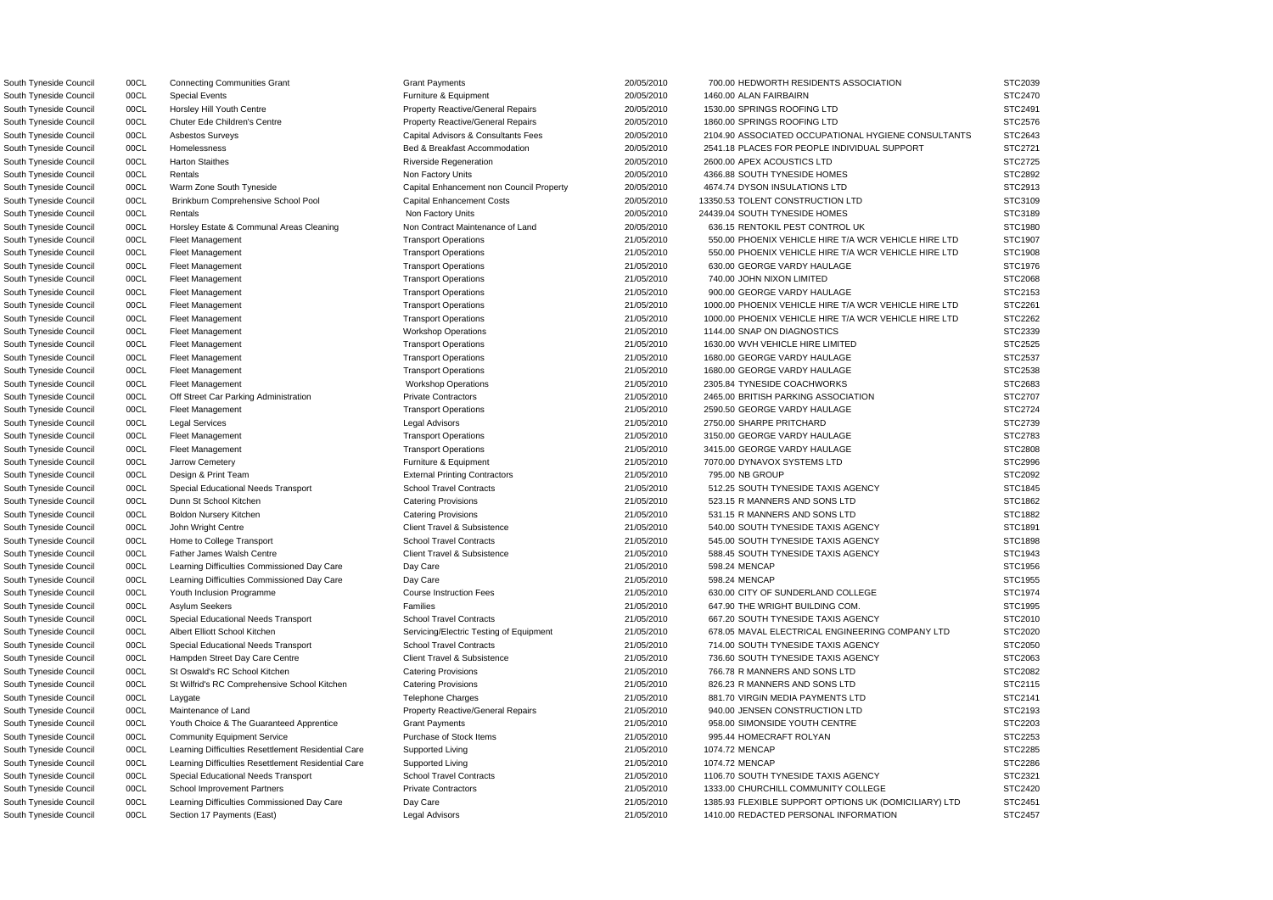South Tyneside Council **2008 OCL COUNCE Horsley Hill Youth Centre** Property Reactive/General Repairs 20/05/2010 1530.00 SPRINGS ROOFING LTD South Tyneside Council **20/0CL** Chuter Ede Children's Centre **Property Reactive/General Repairs** 20/05/2010 1860.00 SPRINGS ROOFING LTD South Tyneside Council 00CL Harton Staithes **Riverside Regeneration** Riverside Regeneration 20/05/2010 2600.00 APEX ACOUSTICS LTD South Tyneside Council 00CL Rentals Non Factory Units Non Factory Units 20/05/2010 4366.88 SOUTH TYNESIDE HOMES South Tyneside Council 00CL Warm Zone South Tyneside Capital Enhancement non Council Property 20/05/2010 4674.74 DYSON INSULATIONS LTD South Tyneside Council 00CL Rentals Council 20/05/2010 24439.04 SOUTH TYNESIDE HOMES South Tyneside Council 00CL Fleet Management Transport Operations Transport Operations 21/05/2010 630.00 GEORGE VARDY HAULAGE South Tyneside Council 00CL Fleet Management Transport Operations Transport Operations 21/05/2010 900.00 GEORGE VARDY HAULAGE South Tyneside Council 00CL Fleet Management Council Council Council Council Council Council Council Council Council Council Council Council Council Council Council Council Council Council Council Council Council Council C South Tyneside Council 00CL Fleet Management Transport Operations Transport Operations 21/05/2010 1680.00 GEORGE VARDY HAULAGE South Tyneside Council 00CL Fleet Management Council Transport Operations 21/05/2010 1680.00 GEORGE VARDY HAULAGE South Tyneside Council 00CL Fleet Management Communications Workshop Operations 21/05/2010 2305.84 TYNESIDE COACHWORKS South Tyneside Council 00CL Fleet Management Transport Operations Transport Operations 21/05/2010 2590.50 GEORGE VARDY HAULAGE South Tyneside Council and DOCL and Legal Services and Advisors Legal Advisors 21/05/2010 2750.00 SHARPE PRITCHARD STC2739.00 SHARPE PRITCHARD STC2739.00 SHARPE PRITCHARD STC2739.00 SHARPE PRITCHARD STC2739.00 SHARPE PRITC South Tyneside Council 00CL Fleet Management Transport Operations Transport Operations 21/05/2010 3150.00 GEORGE VARDY HAULAGE South Tyneside Council 00CL Fleet Management Transport Operations Transport Operations 21/05/2010 3415.00 GEORGE VARDY HAULAGE South Tyneside Council 00CL Jarrow Cemetery example and the Equipment Furniture & Equipment 21/05/2010 7070.00 DYNAVOX SYSTEMS LTD South Tyneside Council 00CL Learning Difficulties Commissioned Day Care Day Care Day Care 21/05/2010 598.24 MENCAP South Tyneside Council 00CL Learning Difficulties Commissioned Day Care Day Care Day Care 21/05/2010 598.24 MENCAP South Tyneside Council **21/05/2010** 00CL St Wilfrid's RC Comprehensive School Kitchen Catering Provisions 21/05/2010 826.23 R MANNERS AND SONS LTD South Tyneside Council 00CL Community Equipment Service Purchase of Stock Items 21/05/2010 995.44 HOMECRAFT ROLYAN South Tyneside Council **2008** 2008 Learning Difficulties Resettlement Residential Care Supported Living 2008/200 21/05/2010 1074.72 MENCAP South Tyneside Council **2008** 2008 Learning Difficulties Resettlement Residential Care Supported Living 2008/200 21/05/2010 1074.72 MENCAP

South Tyneside Council 00CL Connecting Communities Grant Crant Payments Grant Payments 20/05/2010 700.00 HEDWORTH RESIDENTS ASSOCIATION STC2039 South Tyneside Council council onclude Special Events Furniture A Equipment Furniture & Equipment 20/05/2010 1460.00 ALAN FAIRBAIRN STC2470 South Tyneside Council 00CL Asbestos Surveys Capital Advisors & Consultants Fees 20/05/2010 2104.90 ASSOCIATED OCCUPATIONAL HYGIENE CONSULTANTS South Tyneside Council 00CL Homelessness **Bed & Breakfast Accommodation** 20/05/2010 2541.18 PLACES FOR PEOPLE INDIVIDUAL SUPPORT South Tyneside Council 00CL Brinkburn Comprehensive School Pool Capital Enhancement Costs 20/05/2010 13350.53 TOLENT CONSTRUCTION LTD South Tyneside Council 00CL Horsley Estate & Communal Areas Cleaning Non Contract Maintenance of Land 20/05/2010 636.15 RENTOKIL PEST CONTROL UK South Tyneside Council 00CL Fleet Management Transport Operations Transport Operations 21/05/2010 550.00 PHOENIX VEHICLE HIRE T/A WCR VEHICLE HIRE LTD South Tyneside Council 00CL Fleet Management Transport Operations Transport Operations 21/05/2010 550.00 PHOENIX VEHICLE HIRE T/A WCR VEHICLE HIRE LTD South Tyneside Council 00CL Fleet Management Transport Operations Transport Operations 21/05/2010 740.00 JOHN NIXON LIMITED STC2068 South Tyneside Council 00CL Fleet Management 2000 21/05/2010 21/05/2010 1000.00 PHOENIX VEHICLE HIRE T/A WCR VEHICLE HIRE LTD South Tyneside Council 00CL Fleet Management 2000 2000 21/05/2010 21/05/2010 21/05/2010 1000.00 PHOENIX VEHICLE HIRE T/A WCR VEHICLE HIRE LTD South Tyneside Council 00CL Fleet Management Transport Operations Transport Operations 21/05/2010 1630.00 WVH VEHICLE HIRE LIMITED South Tyneside Council 00CL Off Street Car Parking Administration Private Contractors 21/05/2010 2465.00 BRITISH PARKING ASSOCIATION South Tyneside Council 00CL Design & Print Team External Printing Contractors 795.00 NB GROUP STC2092 South Tyneside Council **200CL Special Educational Needs Transport** School Travel Contracts 21/05/2010 512.25 SOUTH TYNESIDE TAXIS AGENCY South Tyneside Council 00CL Dunn St School Kitchen Catering Provisions Catering Provisions 21/05/2010 523.15 R MANNERS AND SONS LTD South Tyneside Council 00CL Boldon Nursery Kitchen Catering Provisions Catering Provisions 21/05/2010 531.15 R MANNERS AND SONS LTD South Tyneside Council 00CL John Wright Centre Client Centre Client Travel & Subsistence 21/05/2010 540.00 SOUTH TYNESIDE TAXIS AGENCY South Tyneside Council 00CL Home to College Transport School Travel Contracts 21/05/2010 545.00 SOUTH TYNESIDE TAXIS AGENCY South Tyneside Council 00CL Father James Walsh Centre Client Travel & Subsistence 21/05/2010 588.45 SOUTH TYNESIDE TAXIS AGENCY South Tyneside Council 00CL Youth Inclusion Programme Course Instruction Fees 21/05/2010 630.00 CITY OF SUNDERLAND COLLEGE South Tyneside Council and DOCL Asylum Seekers **Families** Families Families 21/05/2010 647.90 THE WRIGHT BUILDING COM. South Tyneside Council 00CL Special Educational Needs Transport School Travel Contracts 21/05/2010 667.20 SOUTH TYNESIDE TAXIS AGENCY South Tyneside Council 00CL Albert Elliott School Kitchen Servicing/Electric Testing of Equipment 21/05/2010 678.05 MAVAL ELECTRICAL ENGINEERING COMPANY LTD South Tyneside Council 00CL Special Educational Needs Transport School Travel Contracts 21/05/2010 714.00 SOUTH TYNESIDE TAXIS AGENCY South Tyneside Council 00CL Hampden Street Day Care Centre Client Travel & Subsistence 21/05/2010 736.60 SOUTH TYNESIDE TAXIS AGENCY South Tyneside Council 00CL St Oswald's RC School Kitchen Catering Provisions 21/05/2010 766.78 R MANNERS AND SONS LTD South Tyneside Council 00CL Laygate Council and the state of the Telephone Charges Charges 21/05/2010 881.70 VIRGIN MEDIA PAYMENTS LTD South Tyneside Council 00CL Maintenance of Land **Property Reactive/General Repairs** 21/05/2010 940.00 JENSEN CONSTRUCTION LTD South Tyneside Council 00CL Youth Choice & The Guaranteed Apprentice Grant Payments 21/05/2010 958.00 SIMONSIDE YOUTH CENTRE South Tyneside Council **2008 00CL** Special Educational Needs Transport School Travel Contracts 21/05/2010 1106.70 SOUTH TYNESIDE TAXIS AGENCY South Tyneside Council 00CL School Improvement Partners **Private Contractors** Private Contractors 21/05/2010 1333.00 CHURCHILL COMMUNITY COLLEGE South Tyneside Council 00CL Learning Difficulties Commissioned Day Care Day Care Day Care 21/05/2010 1385.93 FLEXIBLE SUPPORT OPTIONS UK (DOMICILIARY) LTD South Tyneside Council 00CL Section 17 Payments (East) Legal Advisors Legal Advisors 21/05/2010 1410.00 REDACTED PERSONAL INFORMATION STC245

| STC2470 |
|---------|
| STC2491 |
|         |
| STC2576 |
| STC2643 |
| STC2721 |
| STC2725 |
| STC2892 |
| STC2913 |
|         |
| STC3109 |
| STC3189 |
| STC1980 |
| STC1907 |
| STC1908 |
| STC1976 |
|         |
| STC2068 |
| STC2153 |
| STC2261 |
| STC2262 |
| STC2339 |
| STC2525 |
| STC2537 |
|         |
| STC2538 |
| STC2683 |
| STC2707 |
| STC2724 |
| STC2739 |
| STC2783 |
| STC2808 |
|         |
| STC2996 |
| STC2092 |
| STC1845 |
| STC1862 |
| STC1882 |
| STC1891 |
| STC1898 |
| STC1943 |
|         |
| STC1956 |
| STC1955 |
| STC1974 |
| STC1995 |
| STC2010 |
| STC2020 |
| STC2050 |
| STC2063 |
|         |
| STC2082 |
| STC2115 |
| STC2141 |
| STC2193 |
| STC2203 |
| STC2253 |
| STC2285 |
|         |
| STC2286 |
| STC2321 |
| STC2420 |
| STC2451 |
| STC2457 |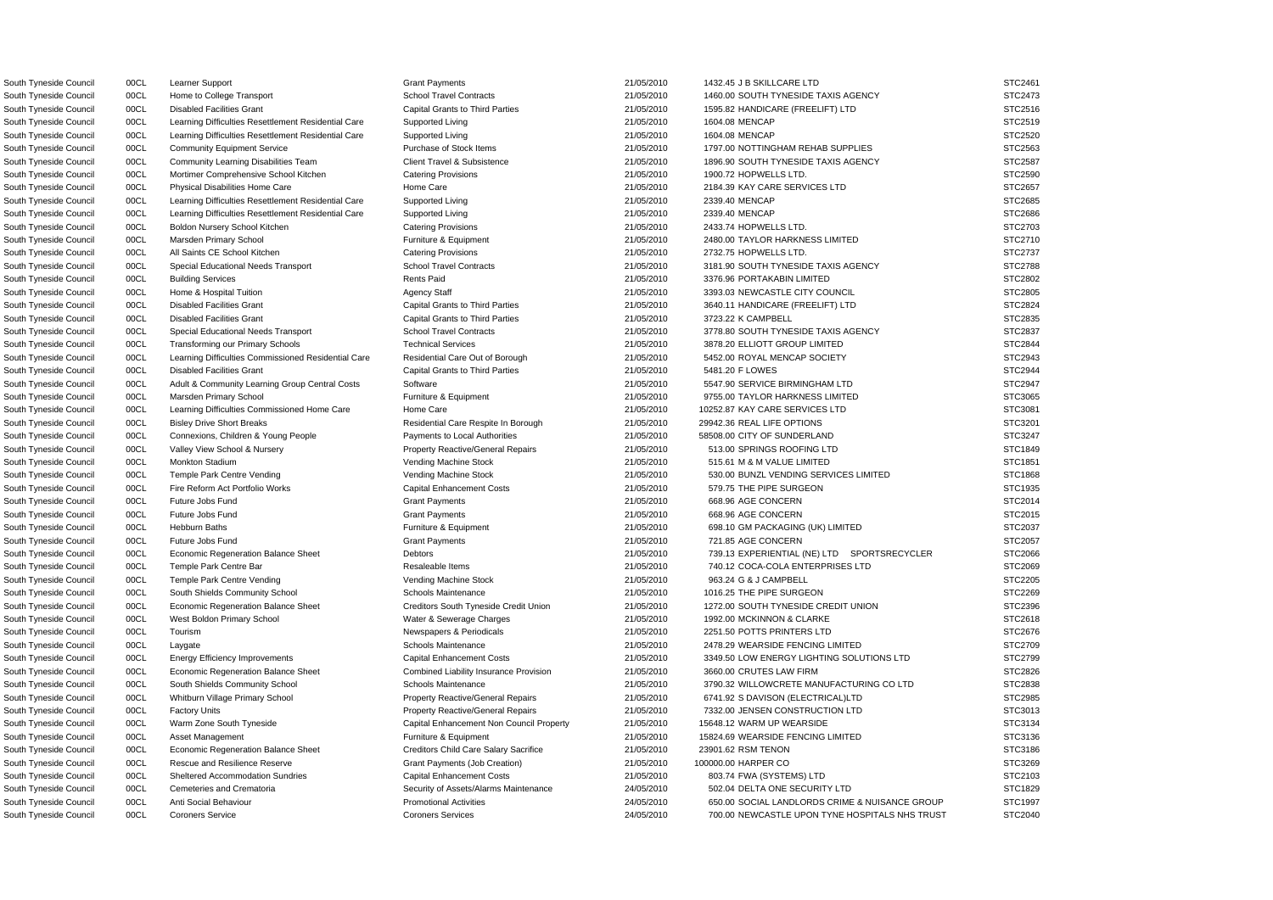South Tyneside Council 00CL Learner Support Crant Payments Crant Payments 21/05/2010 1432.45 J B SKILLCARE LTD STC2461 South Tyneside Council 00CL Home to College Transport School Travel Contracts 21/05/2010 1460.00 SOUTH TYNESIDE TAXIS AGENCY STC2473 South Tyneside Council 00CL Disabled Facilities Grant Capital Grants to Third Parties 21/05/2010 1595.82 HANDICARE (FREELIFT) LTD STC2516 South Tyneside Council 00CL Learning Difficulties Resettlement Residential Care Supported Living 21/05/2010 1604.08 MENCAP STC2519 STC2519 South Tyneside Council 00CL Learning Difficulties Resettlement Residential Care Supported Living 21/05/2010 1604.08 MENCAP STC2520 South Tyneside Council 00CL Community Equipment Service Purchase of Stock Items 21/05/2010 1797.00 NOTTINGHAM REHAB SUPPLIES STC2563 South Tyneside Council 00CL Community Learning Disabilities Team Client Travel & Subsistence 21/05/2010 1896.90 SOUTH TYNESIDE TAXIS AGENCY STC2587 South Tyneside Council 00CL Mortimer Comprehensive School Kitchen Catering Provisions 21/05/2010 1900.72 HOPWELLS LTD. STC2590 South Tyneside Council 00CL Physical Disabilities Home Care Home Care Home Care 21/05/2010 2184.39 KAY CARE SERVICES LTD STC2657 South Tyneside Council 00CL Learning Difficulties Resettlement Residential Care Supported Living 2010 21/05/2010 2339.40 MENCAP STC2685 South Tyneside Council 00CL Learning Difficulties Resettlement Residential Care Supported Living 201/05/2010 2339.40 MENCAP STC2686 South Tyneside Council 00CL Boldon Nursery School Kitchen Catering Provisions Catering Provisions 21/05/2010 2433.74 HOPWELLS LTD. STC2703 South Tyneside Council 00CL Marsden Primary School **Furniture & Equipment** 21/05/2010 2480.00 TAYLOR HARKNESS LIMITED STC2710 South Tyneside Council 00CL All Saints CE School Kitchen Catering Provisions Catering Provisions 21/05/2010 2732.75 HOPWELLS LTD. STC2737 South Tyneside Council 00CL Special Educational Needs Transport School Travel Contracts 21/05/2010 3181.90 SOUTH TYNESIDE TAXIS AGENCY STC2788 South Tyneside Council 00CL Building Services Rents Paid 21/05/2010 3376.96 PORTAKABIN LIMITED STC2802 South Tyneside Council 00CL Home & Hospital Tuition **Agency Staff 2006** 21/05/2010 3393.03 NEWCASTLE CITY COUNCIL STC2805 South Tyneside Council 00CL Disabled Facilities Grant Capital Grants to Third Parties 21/05/2010 3640.11 HANDICARE (FREELIFT) LTD STC2824 South Tyneside Council 00CL Disabled Facilities Grant Capital Grants to Third Parties 21/05/2010 3723.22 K CAMPBELL STC2835 South Tyneside Council 00CL Special Educational Needs Transport School Travel Contracts 21/05/2010 3778.80 SOUTH TYNESIDE TAXIS AGENCY STC2837 South Tyneside Council 00CL Transforming our Primary Schools Technical Services 21/05/2010 3878.20 ELLIOTT GROUP LIMITED STC2844 South Tyneside Council 00CL Learning Difficulties Commissioned Residential Care Residential Care Out of Borough 21/05/2010 5452.00 ROYAL MENCAP SOCIETY STC2943 South Tyneside Council 00CL Disabled Facilities Grant Capital Grants to Third Parties 21/05/2010 5481.20 F LOWES STC2944 South Tyneside Council 00CL Adult & Community Learning Group Central Costs Software Stoware 21/05/2010 5547.90 SERVICE BIRMINGHAM LTD STC2947 South Tyneside Council 00CL Marsden Primary School Furniture & Equipment Primary Structure & Equipment 21/05/2010 9755.00 TAYLOR HARKNESS LIMITED STC3065 South Tyneside Council 00CL Learning Difficulties Commissioned Home Care Home Care Home Care 21/05/2010 10252.87 KAY CARE SERVICES LTD STC3081 South Tyneside Council 00CL Bisley Drive Short Breaks Residential Care Respite In Borough 21/05/2010 29942.36 REAL LIFE OPTIONS STC3201 South Tyneside Council 00CL Connexions, Children & Young People Payments to Local Authorities 21/05/2010 58508.00 CITY OF SUNDERLAND STC3247 South Tyneside Council 00CL Valley View School & Nursery **Property Reactive/General Repairs** 21/05/2010 513.00 SPRINGS ROOFING LTD STC1849 South Tyneside Council 00CL Monkton Stadium Case of the Vending Machine Stock 21/05/2010 515.61 M & M VALUE LIMITED STC1851 South Tyneside Council 00CL Temple Park Centre Vending variable vending Machine Stock 21/05/2010 530.00 BUNZL VENDING SERVICES LIMITED STC1868 South Tyneside Council 00CL Fire Reform Act Portfolio Works Capital Enhancement Costs 21/05/2010 579.75 THE PIPE SURGEON STC1935 South Tyneside Council 00CL Future Jobs Fund Grant Payments 21/05/2010 668.96 AGE CONCERN STC2014 South Tyneside Council 00CL Future Jobs Fund Grant Payments 21/05/2010 668.96 AGE CONCERN STC2015 South Tyneside Council 00CL Hebburn Baths **Furniture & Equipment** Furniture & Equipment 21/05/2010 698.10 GM PACKAGING (UK) LIMITED STC2037 South Tyneside Council 00CL Future Jobs Fund Grant Payments 21/05/2010 721.85 AGE CONCERN STC2057 South Tyneside Council 00CL Economic Regeneration Balance Sheet Debtors Debtors 21/05/2010 739.13 EXPERIENTIAL (NE) LTD SPORTSRECYCLER STC2066 South Tyneside Council 00CL Temple Park Centre Bar Resaleable Items 21/05/2010 740.12 COCA-COLA ENTERPRISES LTD STC2069 South Tyneside Council 00CL Temple Park Centre Vending verbation of Vending Machine Stock 21/05/2010 963.24 G & J CAMPBELL STC2205 South Tyneside Council and DOCL South Shields Community School School Schools Maintenance 21/05/2010 1016.25 THE PIPE SURGEON STC2269 South Tyneside Council 00CL Economic Regeneration Balance Sheet Creditors South Tyneside Credit Union 21/05/2010 1272.00 SOUTH TYNESIDE CREDIT UNION STC2396 South Tyneside Council 00CL West Boldon Primary School Water & Sewerage Charges 21/05/2010 1992.00 MCKINNON & CLARKE STC2618 South Tyneside Council 00CL Tourism STC2676 Newspapers & Periodicals 21/05/2010 2251.50 POTTS PRINTERS LTD STC2676 South Tyneside Council 00CL Laygate Schools Maintenance Schools Maintenance 21/05/2010 2478.29 WEARSIDE FENCING LIMITED STC2709 South Tyneside Council oo DCL Energy Efficiency Improvements Capital Enhancement Costs 21/05/2010 3349.50 LOW ENERGY LIGHTING SOLUTIONS LTD STC2799 South Tyneside Council 00CL Economic Regeneration Balance Sheet Combined Liability Insurance Provision 21/05/2010 3660.00 CRUTES LAW FIRM STC2826 South Tyneside Council 00CL South Shields Community School Schools Maintenance 201/05/2010 3790.32 WILLOWCRETE MANUFACTURING CO LTD STC2838 South Tyneside Council 00CL Whitburn Village Primary School Property Reactive/General Repairs 21/05/2010 6741.92 S DAVISON (ELECTRICAL)LTD STC2985 South Tyneside Council 00CL Factory Units **Property Reactive/General Repairs** 21/05/2010 7332.00 JENSEN CONSTRUCTION LTD STC3013 South Tyneside Council 00CL Warm Zone South Tyneside Capital Enhancement Non Council Property 21/05/2010 15648.12 WARM UP WEARSIDE STC3134 South Tyneside Council 00CL Asset Management Furniture & Equipment Furniture & Equipment 21/05/2010 15824.69 WEARSIDE FENCING LIMITED STC3136 South Tyneside Council **1998 Council** Council Economic Regeneration Balance Sheet Creditors Child Care Salary Sacrifice 21/05/2010 23901.62 RSM TENON STC3186 South Tyneside Council 00CL Rescue and Resilience Reserve Grant Payments (Job Creation) 21/05/2010 100000.00 HARPER CO STC3269 South Tyneside Council 00CL Sheltered Accommodation Sundries Capital Enhancement Costs 21/05/2010 803.74 FWA (SYSTEMS) LTD STC2103 South Tyneside Council 00CL Cemeteries and Crematoria Security of Assets/Alarms Maintenance 24/05/2010 502.04 DELTA ONE SECURITY LTD STC1829 South Tyneside Council 00CL Anti Social Behaviour **Promotional Activities** Promotional Activities 24/05/2010 650.00 SOCIAL LANDLORDS CRIME & NUISANCE GROUP STC1997 South Tyneside Council 00CL Coroners Service Coroners Services Coroners Services 24/05/2010 700.00 NEWCASTLE UPON TYNE HOSPITALS NHS TRUST STC2040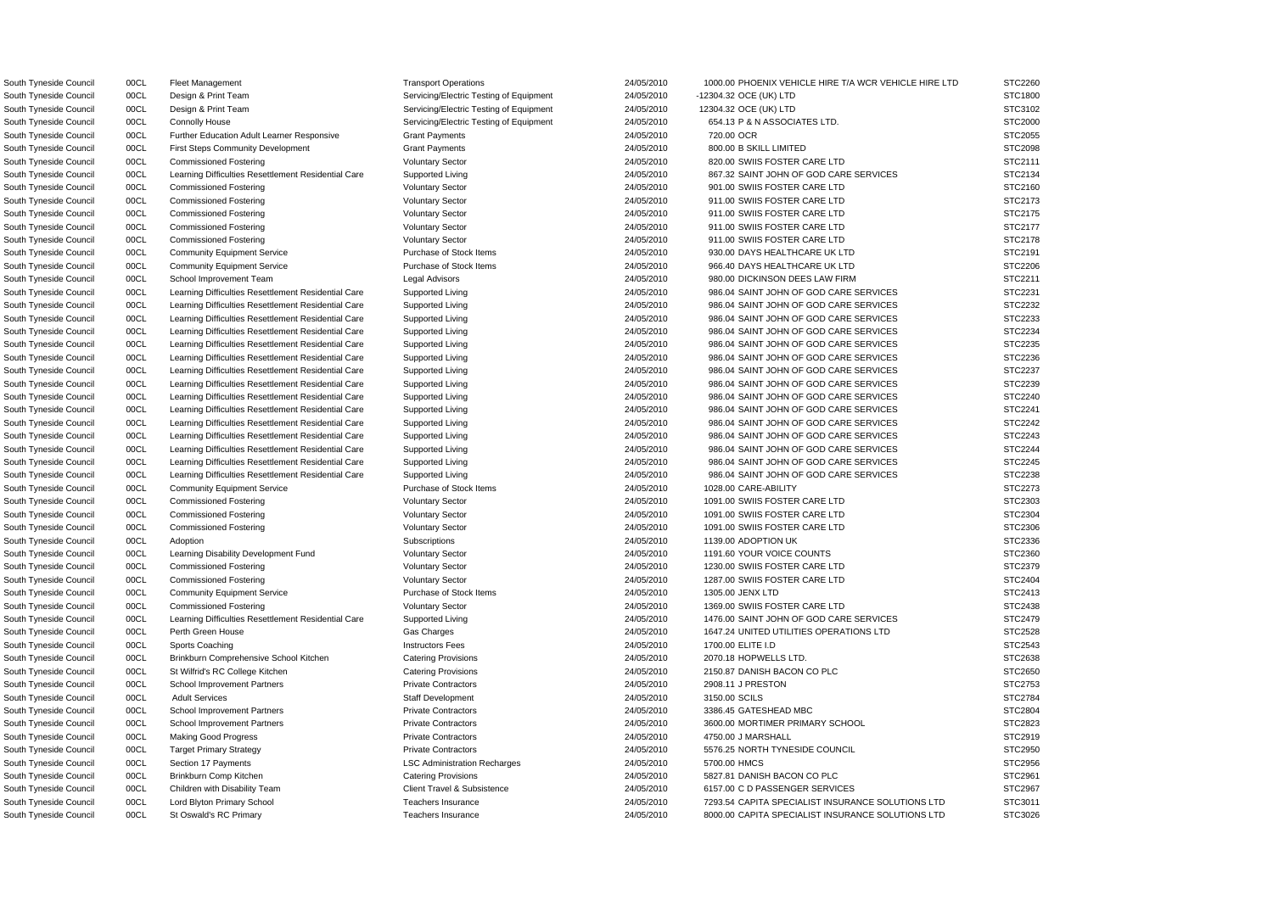South Tyneside Council 00CL Design & Print Team Servicing/Electric Testing of Equipment 24/05/2010 -12304.32 OCE (UK) LTD South Tyneside Council 00CL Design & Print Team Servicing/Electric Testing of Equipment 24/05/2010 12304.32 OCE (UK) LTD South Tyneside Council 00CL Connolly House Servicing/Electric Testing of Equipment 24/05/2010 654.13 P & N ASSOCIATES LTD. South Tyneside Council and COCL and Further Education Adult Learner Responsive Grant Payments 2000 2000 24/05/2010 720.00 OCR South Tyneside Council 00CL First Steps Community Development Grant Payments 24/05/2010 800.00 B SKILL LIMITED South Tyneside Council 00CL Commissioned Fostering Commissioned Fostering Voluntary Sector 24/05/2010 820.00 SWIIS FOSTER CARE LTD South Tyneside Council 00CL Commissioned Fostering Voluntary Sector 24/05/2010 911.00 SWIIS FOSTER CARE LTD South Tyneside Council 00CL Commissioned Fostering Commissioned Fostering Voluntary Sector 24/05/2010 911.00 SWIIS FOSTER CARE LTD South Tyneside Council 00CL Commissioned Fostering Voluntary Sector 24/05/2010 911.00 SWIIS FOSTER CARE LTD South Tyneside Council 00CL Commissioned Fostering Voluntary Sector 24/05/2010 911.00 SWIIS FOSTER CARE LTD South Tyneside Council 00CL Community Equipment Service Purchase of Stock Items 24/05/2010 930.00 DAYS HEALTHCARE UK LTD South Tyneside Council 00CL Community Equipment Service Purchase of Stock Items 24/05/2010 966.40 DAYS HEALTHCARE UK LTD South Tyneside Council 00CL School Improvement Team Legal Advisors Legal Advisors 24/05/2010 980.00 DICKINSON DEES LAW FIRM South Tyneside Council 00CL Community Equipment Service Purchase of Stock Items 24/05/2010 1028.00 CARE-ABILITY South Tyneside Council 00CL Commissioned Fostering COUNTERY Voluntary Sector 24/05/2010 1091.00 SWIIS FOSTER CARE LTD South Tyneside Council 00CL Commissioned Fostering Voluntary Sector 24/05/2010 1091.00 SWIIS FOSTER CARE LTD South Tyneside Council 00CL Commissioned Fostering Voluntary Sector 24/05/2010 1091.00 SWIIS FOSTER CARE LTD South Tyneside Council 00CL Learning Disability Development Fund Voluntary Sector 24/05/2010 1191.60 YOUR VOICE COUNTS South Tyneside Council 00CL Commissioned Fostering Voluntary Sector 24/05/2010 1230.00 SWIIS FOSTER CARE LTD South Tyneside Council 00CL Commissioned Fostering Commissioned Fostering Voluntary Sector 24/05/2010 1287.00 SWIIS FOSTER CARE LTD South Tyneside Council 00CL Commissioned Fostering Voluntary Sector 24/05/2010 1369.00 SWIIS FOSTER CARE LTD South Tyneside Council **2070.18 HOPWELLS LTD.** South Tyneside Council 2070.18 HOPWELLS LTD. 2070.18 HOPWELLS LTD. South Tyneside Council 00CL St Wilfrid's RC College Kitchen Catering Provisions 24/05/2010 2150.87 DANISH BACON CO PLC South Tyneside Council 00CL Target Primary Strategy **Private Contractors** Private Contractors 24/05/2010 5576.25 NORTH TYNESIDE COUNCIL South Tyneside Council 00CL Brinkburn Comp Kitchen Catering Catering Provisions 24/05/2010 5827.81 DANISH BACON CO PLC South Tyneside Council 00CL Children with Disability Team Client Travel & Subsistence 24/05/2010 6157.00 C D PASSENGER SERVICES South Tyneside Council 00CL St Oswald's RC Primary Teachers Insurance Teachers Insurance 24/05/2010 8000.00 CAPITA SPECIALIST INSURANCE SOLUTIONS LTD STC3026

South Tyneside Council 00CL Fleet Management Transport Operations Transport Operations 24/05/2010 1000.00 PHOENIX VEHICLE HIRE T/A WCR VEHICLE HIRE LTD South Tyneside Council **24/05/2010** 00CL Learning Difficulties Resettlement Residential Care Supported Living 24/05/2010 867.32 SAINT JOHN OF GOD CARE SERVICES South Tyneside Council 00CL Commissioned Fostering values and Voluntary Sector 24/05/2010 901.00 SWIIS FOSTER CARE LTD STC2160 South Tyneside Council oncl book Learning Difficulties Resettlement Residential Care Supported Living 24/05/2010 986.04 SAINT JOHN OF GOD CARE SERVICES South Tyneside Council oncluiting Difficulties Resettlement Residential Care Supported Living 24/05/2010 986.04 SAINT JOHN OF GOD CARE SERVICES South Tyneside Council 00CL Learning Difficulties Resettlement Residential Care Supported Living 24/05/2010 986.04 SAINT JOHN OF GOD CARE SERVICES South Tyneside Council **24/05/2010** 00CL Learning Difficulties Resettlement Residential Care Supported Living 24/05/2010 986.04 SAINT JOHN OF GOD CARE SERVICES South Tyneside Council **24/05/2010** 00CL Learning Difficulties Resettlement Residential Care Supported Living 24/05/2010 986.04 SAINT JOHN OF GOD CARE SERVICES South Tyneside Council 00CL Learning Difficulties Resettlement Residential Care Supported Living 24/05/2010 986.04 SAINT JOHN OF GOD CARE SERVICES South Tyneside Council **24/05/2010** OOCL Learning Difficulties Resettlement Residential Care Supported Living 24/05/2010 986.04 SAINT JOHN OF GOD CARE SERVICES South Tyneside Council **24/05/2010** 00CL Learning Difficulties Resettlement Residential Care Supported Living 24/05/2010 986.04 SAINT JOHN OF GOD CARE SERVICES South Tyneside Council 00CL Learning Difficulties Resettlement Residential Care Supported Living 24/05/2010 986.04 SAINT JOHN OF GOD CARE SERVICES South Tyneside Council 00CL Learning Difficulties Resettlement Residential Care Supported Living 24/05/2010 986.04 SAINT JOHN OF GOD CARE SERVICES South Tyneside Council **24/05/2010** 00CL Learning Difficulties Resettlement Residential Care Supported Living 24/05/2010 986.04 SAINT JOHN OF GOD CARE SERVICES South Tyneside Council 00CL Learning Difficulties Resettlement Residential Care Supported Living 24/05/2010 986.04 SAINT JOHN OF GOD CARE SERVICES South Tyneside Council **24/05/2010** 00CL Learning Difficulties Resettlement Residential Care Supported Living 24/05/2010 986.04 SAINT JOHN OF GOD CARE SERVICES South Tyneside Council 00CL Learning Difficulties Resettlement Residential Care Supported Living 24/05/2010 986.04 SAINT JOHN OF GOD CARE SERVICES South Tyneside Council **24/05/2010** 00CL Learning Difficulties Resettlement Residential Care Supported Living 24/05/2010 986.04 SAINT JOHN OF GOD CARE SERVICES South Tyneside Council 00CL Adoption Subscriptions 24/05/2010 1139.00 ADOPTION UK STC2336 South Tyneside Council 00CL Community Equipment Service Purchase of Stock Items 24/05/2010 1305.00 JENX LTD STC2413 South Tyneside Council 00CL Learning Difficulties Resettlement Residential Care Supported Living 24/05/2010 1476.00 SAINT JOHN OF GOD CARE SERVICES South Tyneside Council 00CL Perth Green House Cases Charges Charges Charges 24/05/2010 1647.24 UNITED UTILITIES OPERATIONS LTD South Tyneside Council 00CL Sports Coaching Instructors Fees 24/05/2010 1700.00 ELITE I.D STC2543 South Tyneside Council 00CL School Improvement Partners Private Contractors 24/05/2010 2908.11 J PRESTON STC2753 South Tyneside Council oo DCL Adult Services State Staff Development Staff Development 24/05/2010 3150.00 SCILS STC2784 South Tyneside Council 00CL School Improvement Partners Private Contractors Private Contractors 24/05/2010 3386.45 GATESHEAD MBC STC2804 South Tyneside Council 00CL School Improvement Partners Private Contractors Private Contractors 24/05/2010 3600.00 MORTIMER PRIMARY SCHOOL South Tyneside Council 00CL Making Good Progress **Private Contractors 24/05/2010** 4750.00 J MARSHALL STC2919 STC2919 South Tyneside Council 00CL Section 17 Payments LSC Administration Recharges 5700.00 HMCS STC2956 South Tyneside Council 00CL Lord Blyton Primary School Teachers Insurance 24/05/2010 7293.54 CAPITA SPECIALIST INSURANCE SOLUTIONS LTD

| S<br>TC2260          |
|----------------------|
| STC1800              |
| TC3102<br>S.         |
| STC2000              |
| TC2055<br>3.         |
| TC2098<br>3          |
| STC2111              |
| STC2134              |
|                      |
| STC2160              |
| STC2173              |
| 21<br>STC<br>75<br>s |
| 21<br>77<br>ຸ<br>SТC |
| TC2178<br>S          |
| TC2191<br>ຸ<br>š     |
| TC2206<br>S          |
| TC2211<br>؟<br>š     |
| TC2231<br>š          |
| TC2232<br>š          |
| 2233<br>STC          |
| STC<br>2234          |
| S<br>TC2235          |
| STC2236              |
|                      |
| STC2237              |
| TC2239<br>؟<br>3.    |
| TC2240<br>S.         |
| TC2241<br>S.         |
| C2242<br>S<br>Ţ      |
| S.<br>C2243<br>T     |
| S.<br>C2244<br>T     |
| C2245<br>S.<br>T     |
| C2238<br>S.<br>Ī     |
| STC2273              |
| STC2303              |
| C2304<br>ST          |
| C2306<br>ST          |
| <b>STC2336</b><br>؟  |
| STC2360              |
| STC2379              |
| STC2404              |
| STC2413              |
| STC2438              |
| TC2479<br>ξ<br>š     |
| STC2528              |
| STC2543              |
| STC2638              |
| STC2650              |
| STC2753              |
| STC2784              |
| STC2804              |
| STC2823              |
|                      |
| STC2919              |
| STC2950              |
| STC2956              |
| STC2961              |
| STC2967              |
| STC3011              |
| <b>STC3026</b>       |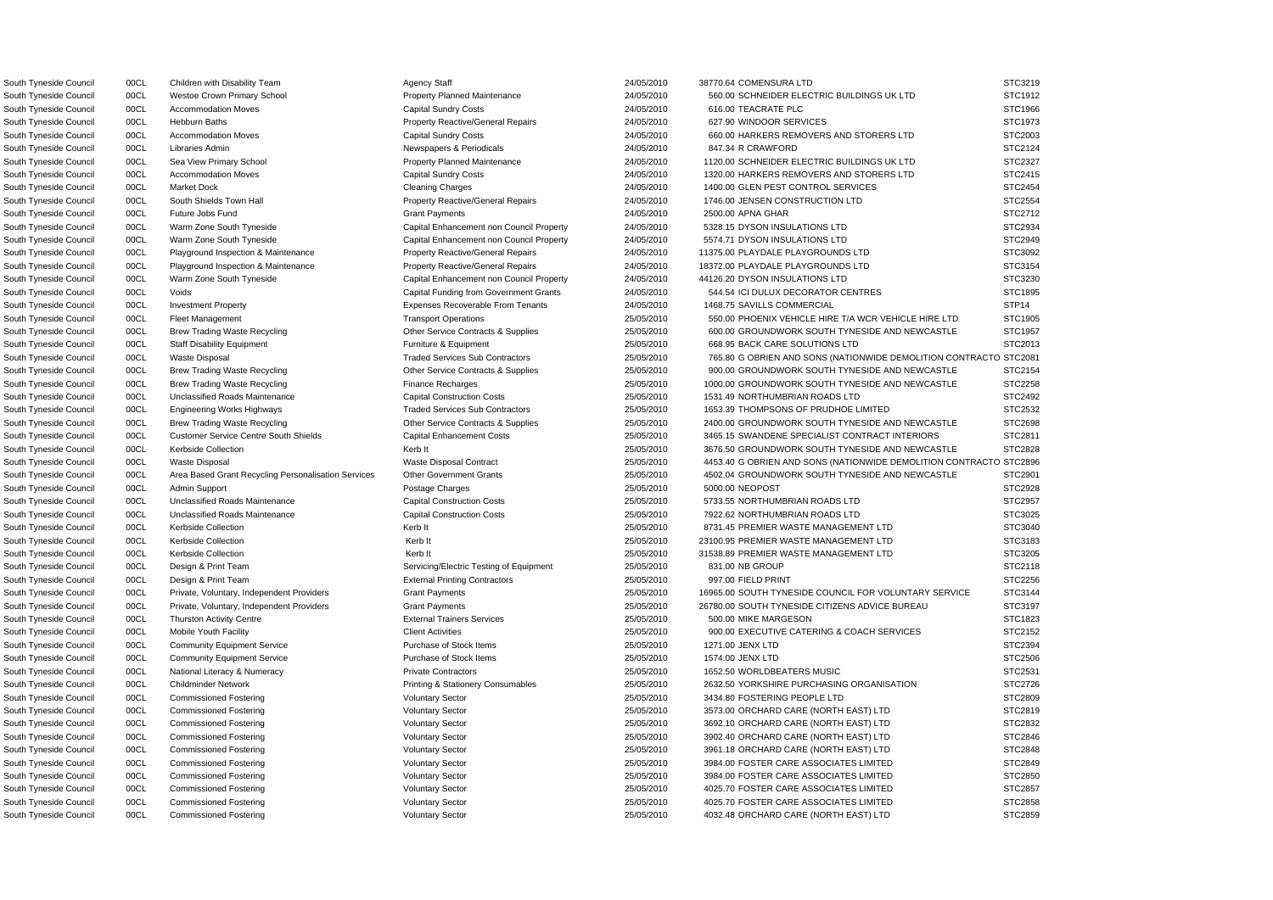South Tyneside Council 00CL Children with Disability Team Agency Staff 24/05/2010 38770.64 COMENSURA LTD

South Tyneside Council 00CL Design & Print Team Servicing/Electric Testing of Equipment 25/05/2010 831.00 NB GROUP South Tyneside Council 00CL Design & Print Team **External Printing Contractors** 25/05/2010 997.00 FIELD PRINT South Tyneside Council 00CL Community Equipment Service Purchase of Stock Items 25/05/2010 1574.00 JENX LTD

South Tyneside Council 00CL Westoe Crown Primary School Property Planned Maintenance 24/05/2010 560.00 SCHNEIDER ELECTRIC BUILDINGS UK LTD South Tyneside Council 00CL Accommodation Moves Capital Sundry Costs 24/05/2010 616.00 TEACRATE PLC STC1966 South Tyneside Council 00CL Hebburn Baths **Property Reactive/General Repairs** 24/05/2010 627.90 WINDOOR SERVICES South Tyneside Council 00CL Accommodation Moves Capital Sundry Costs 24/05/2010 660.00 HARKERS REMOVERS AND STORERS LTD South Tyneside Council 00CL Libraries Admin Newspapers & Periodicals 24/05/2010 847.34 R CRAWFORD STC2124 South Tyneside Council 00CL Sea View Primary School Property Planned Maintenance 24/05/2010 1120.00 SCHNEIDER ELECTRIC BUILDINGS UK LTD South Tyneside Council 00CL Accommodation Moves Capital Sundry Costs 24/05/2010 1320.00 HARKERS REMOVERS AND STORERS LTD South Tyneside Council 00CL Market Dock Cleaning Charges Cleaning Charges 24/05/2010 1400.00 GLEN PEST CONTROL SERVICES South Tyneside Council 00CL South Shields Town Hall Property Reactive/General Repairs 24/05/2010 1746.00 JENSEN CONSTRUCTION LTD South Tyneside Council 00CL Future Jobs Fund 24/05/2010 2500.00 APNA GHAR STC2712 South Tyneside Council 00CL Warm Zone South Tyneside Capital Enhancement non Council Property 24/05/2010 5328.15 DYSON INSULATIONS LTD South Tyneside Council 00CL Warm Zone South Tyneside Capital Enhancement non Council Property 24/05/2010 5574.71 DYSON INSULATIONS LTD South Tyneside Council 00CL Playground Inspection & Maintenance Property Reactive/General Repairs 24/05/2010 11375.00 PLAYDALE PLAYGROUNDS LTD South Tyneside Council 00CL Playground Inspection & Maintenance Property Reactive/General Repairs 24/05/2010 18372.00 PLAYDALE PLAYGROUNDS LTD South Tyneside Council 00CL Warm Zone South Tyneside Capital Enhancement non Council Property 24/05/2010 44126.20 DYSON INSULATIONS LTD South Tyneside Council 00CL Voids Capital Funding from Government Grants 24/05/2010 544.54 ICI DULUX DECORATOR CENTRES South Tyneside Council 00CL Investment Property extending the Expenses Recoverable From Tenants 24/05/2010 1468.75 SAVILLS COMMERCIAL South Tyneside Council 00CL Fleet Management 2000 2000 25/05/2010 25/05/2010 550.00 PHOENIX VEHICLE HIRE T/A WCR VEHICLE HIRE LTD South Tyneside Council 00CL Brew Trading Waste Recycling Cuber Service Contracts & Supplies 25/05/2010 600.00 GROUNDWORK SOUTH TYNESIDE AND NEWCASTLE South Tyneside Council 00CL Staff Disability Equipment Furniture & Equipment Purniture & Equipment 25/05/2010 668.95 BACK CARE SOLUTIONS LTD South Tyneside Council 00CL Waste Disposal Contractors Traded Services Sub Contractors 25/05/2010 765.80 G OBRIEN AND SONS (NATIONWIDE DEMOLITION CON South Tyneside Council 00CL Brew Trading Waste Recycling Cuber Service Contracts & Supplies 25/05/2010 900.00 GROUNDWORK SOUTH TYNESIDE AND NEWCASTLE South Tyneside Council 00CL Brew Trading Waste Recycling Finance Recharges Finance Recharges 25/05/2010 1000.00 GROUNDWORK SOUTH TYNESIDE AND NEWCASTLE South Tyneside Council and Document Unclassified Roads Maintenance and Capital Construction Costs 25/05/2010 1531.49 NORTHUMBRIAN ROADS LTD South Tyneside Council **2008 Council** COCL Engineering Works Highways **Traded Services Sub Contractors** 25/05/2010 1653.39 THOMPSONS OF PRUDHOE LIMITED South Tyneside Council 00CL Brew Trading Waste Recycling Cuber Service Contracts & Supplies 25/05/2010 2400.00 GROUNDWORK SOUTH TYNESIDE AND NEWCASTLE South Tyneside Council 00CL Customer Service Centre South Shields Capital Enhancement Costs 25/05/2010 3465.15 SWANDENE SPECIALIST CONTRACT INTERIORS South Tyneside Council 00CL Kerbside Collection **Contact Collection** Kerb It 25/05/2010 3676.50 GROUNDWORK SOUTH TYNESIDE AND NEWCASTLE South Tyneside Council 00CL Waste Disposal Waste Disposal Waste Disposal Contract 25/05/2010 4453.40 G OBRIEN AND SONS (NATIONWIDE DEMOLITION CON South Tyneside Council 00CL Area Based Grant Recycling Personalisation Services Other Government Grants 25/05/2010 4502.04 GROUNDWORK SOUTH TYNESIDE AND NEWCASTLE South Tyneside Council 00CL Admin Support Postage Charges 25/05/2010 5000.00 NEOPOST STC2928 South Tyneside Council and Document Unclassified Roads Maintenance and Capital Construction Costs 25/05/2010 5733.55 NORTHUMBRIAN ROADS LTD South Tyneside Council **2008** 00CL Unclassified Roads Maintenance **Capital Construction Costs** 25/05/2010 7922.62 NORTHUMBRIAN ROADS LTD South Tyneside Council 00CL Kerbside Collection **Collection** Kerb It 25/05/2010 8731.45 PREMIER WASTE MANAGEMENT LTD South Tyneside Council 00CL Kerbside Collection **Collection** Kerb It 25/05/2010 23100.95 PREMIER WASTE MANAGEMENT LTD South Tyneside Council 00CL Kerbside Collection **Metal 25/05/2010** 31538.89 PREMIER WASTE MANAGEMENT LTD South Tyneside Council 00CL Private, Voluntary, Independent Providers Grant Payments Grant Payments 25/05/2010 16965.00 SOUTH TYNESIDE COUNCIL FOR VOLUNTARY SERVIC South Tyneside Council 00CL Private, Voluntary, Independent Providers Grant Payments Crant Payments 25/05/2010 26780.00 SOUTH TYNESIDE CITIZENS ADVICE BUREAU South Tyneside Council 00CL Thurston Activity Centre External Trainers Services 25/05/2010 500.00 MIKE MARGESON STC1823 South Tyneside Council 00CL Mobile Youth Facility Client Activities Client Activities Council 25/05/2010 900.00 EXECUTIVE CATERING & COACH SERVICES South Tyneside Council 00CL Community Equipment Service Purchase of Stock Items 25/05/2010 1271.00 JENX LTD STC2394 South Tyneside Council 00CL National Literacy & Numeracy Private Contractors 25/05/2010 1652.50 WORLDBEATERS MUSIC South Tyneside Council 00CL Childminder Network **Printing & Stationery Consumables** 25/05/2010 2632.50 YORKSHIRE PURCHASING ORGANISATION South Tyneside Council 00CL Commissioned Fostering Voluntary Sector 25/05/2010 3434.80 FOSTERING PEOPLE LTD South Tyneside Council 00CL Commissioned Fostering Voluntary Sector 25/05/2010 3573.00 ORCHARD CARE (NORTH EAST) LTD South Tyneside Council 00CL Commissioned Fostering voluntary Sector Voluntary Sector 25/05/2010 3692.10 ORCHARD CARE (NORTH EAST) LTD South Tyneside Council 00CL Commissioned Fostering Voluntary Sector Voluntary Sector 25/05/2010 3902.40 ORCHARD CARE (NORTH EAST) LTD South Tyneside Council 00CL Commissioned Fostering Voluntary Sector 25/05/2010 3961.18 ORCHARD CARE (NORTH EAST) LTD South Tyneside Council 00CL Commissioned Fostering Voluntary Sector 25/05/2010 3984.00 FOSTER CARE ASSOCIATES LIMITED South Tyneside Council 00CL Commissioned Fostering Voluntary Sector 25/05/2010 3984.00 FOSTER CARE ASSOCIATES LIMITED South Tyneside Council 00CL Commissioned Fostering Voluntary Sector 25/05/2010 4025.70 FOSTER CARE ASSOCIATES LIMITED South Tyneside Council 00CL Commissioned Fostering 25/05/2010 4025.70 FOSTER CARE ASSOCIATES LIMITED South Tyneside Council 00CL Commissioned Fostering Voluntary Sector 25/05/2010 4032.48 ORCHARD CARE (NORTH EAST) LTD

|                        | STC3219        |
|------------------------|----------------|
|                        | STC1912        |
|                        | STC1966        |
|                        | STC1973        |
|                        | STC2003        |
|                        | STC2124        |
|                        |                |
|                        | STC2327        |
|                        | STC2415        |
|                        | STC2454        |
|                        | STC2554        |
|                        | STC2712        |
|                        | STC2934        |
|                        | STC2949        |
|                        | STC3092        |
|                        | STC3154        |
|                        |                |
|                        | STC3230        |
|                        | STC1895        |
|                        | STP14          |
|                        | STC1905        |
|                        | STC1957        |
|                        | STC2013        |
| <b>NTRACTO STC2081</b> |                |
|                        | STC2154        |
|                        |                |
|                        | STC2258        |
|                        | STC2492        |
|                        | STC2532        |
|                        | STC2698        |
|                        | STC2811        |
|                        | STC2828        |
| NTRACTO STC2896        |                |
|                        | STC2901        |
|                        | STC2928        |
|                        |                |
|                        | STC2957        |
|                        | STC3025        |
|                        | STC3040        |
|                        | STC3183        |
|                        | <b>STC3205</b> |
|                        | STC2118        |
|                        | STC2256        |
| СE                     | STC3144        |
|                        | STC3197        |
|                        | STC1823        |
|                        | STC2152        |
|                        |                |
|                        | STC2394        |
|                        | STC2506        |
|                        | STC2531        |
|                        | STC2726        |
|                        | STC2809        |
|                        | STC2819        |
|                        | STC2832        |
|                        | STC2846        |
|                        | STC2848        |
|                        |                |
|                        | STC2849        |
|                        | STC2850        |
|                        | STC2857        |
|                        | STC2858        |
|                        | STC2859        |
|                        |                |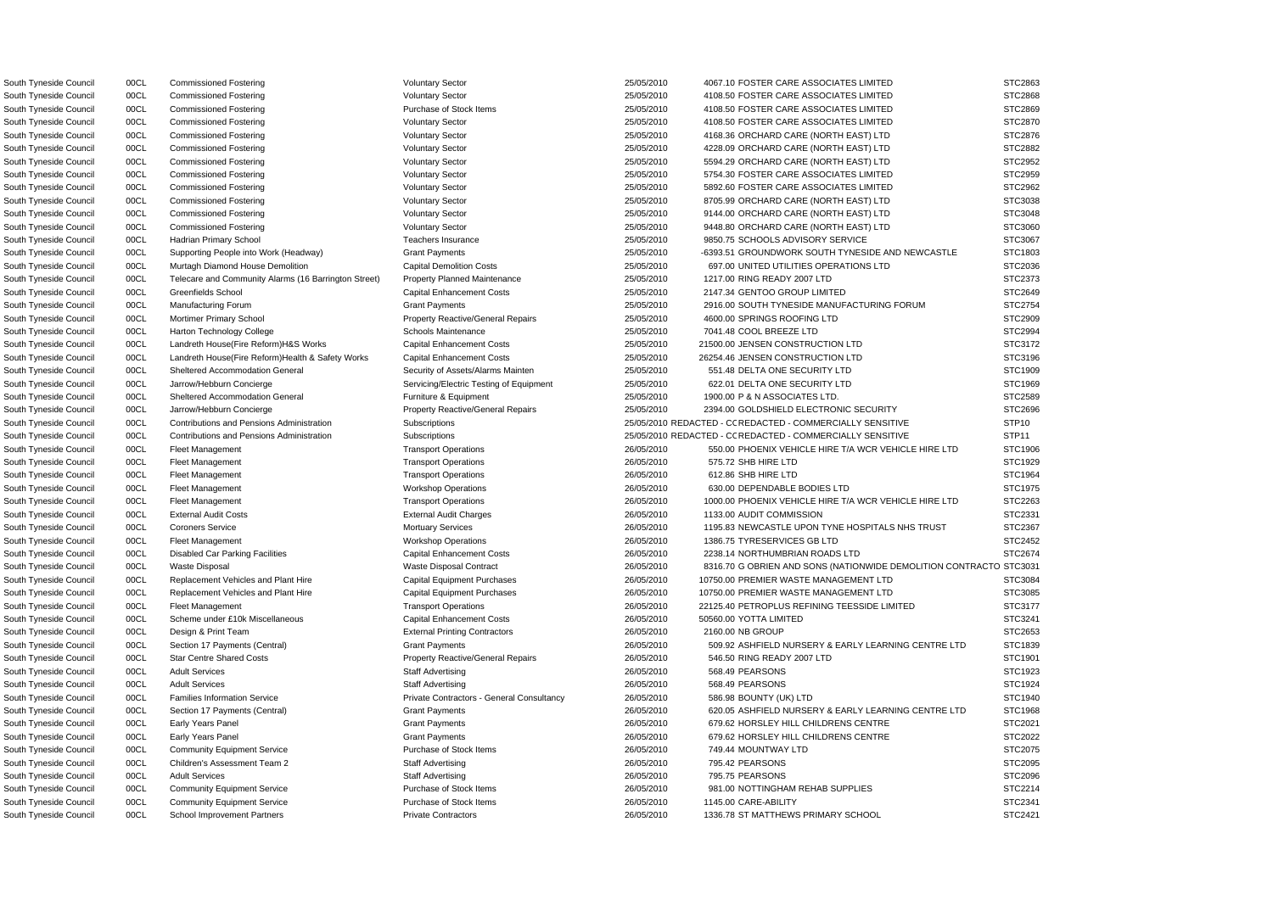South Tyneside Council 00CL Harton Technology College Schools Maintenance 25/05/2010 7041.48 COOL BREEZE LTD South Tyneside Council **200CL** External Audit Costs **External Audit Charges** 26/05/2010 1133.00 AUDIT COMMISSION South Tyneside Council **OOCL** Scheme under £10k Miscellaneous Capital Enhancement Costs 26/05/2010 50560.00 YOTTA LIMITED South Tyneside Council **200CL** Families Information Service **Private Contractors - General Consultancy** 26/05/2010 586.98 BOUNTY (UK) LTD South Tyneside Council 00CL Community Equipment Service Purchase of Stock Items 26/05/2010 749.44 MOUNTWAY LTD

OSouth Tyneside Council 00CL Contributions and Pensions Administration Subscriptions 25/05/2010 REDACTED - C REDACTED - COMMERCIALLY SENSITIVE STP10 OSouth Tyneside Council 00CL Contributions and Pensions Administration Subscriptions 25/05/2010 REDACTED - C REDACTED - COMMERCIALLY SENSITIVE STP11 South Tyneside Council 00CL Commissioned Fostering Voluntary Sector Voluntary Sector 25/05/2010 4067.10 FOSTER CARE ASSOCIATES LIMITED South Tyneside Council 00CL Commissioned Fostering Voluntary Sector 25/05/2010 4108.50 FOSTER CARE ASSOCIATES LIMITED South Tyneside Council 00CL Commissioned Fostering Purchase of Stock Items 25/05/2010 4108.50 FOSTER CARE ASSOCIATES LIMITED South Tyneside Council 00CL Commissioned Fostering Voluntary Sector 25/05/2010 4108.50 FOSTER CARE ASSOCIATES LIMITED South Tyneside Council 00CL Commissioned Fostering Voluntary Sector 25/05/2010 4168.36 ORCHARD CARE (NORTH EAST) LTD South Tyneside Council 00CL Commissioned Fostering Voluntary Sector 25/05/2010 4228.09 ORCHARD CARE (NORTH EAST) LTD South Tyneside Council 00CL Commissioned Fostering Voluntary Sector 25/05/2010 5594.29 ORCHARD CARE (NORTH EAST) LTD South Tyneside Council 00CL Commissioned Fostering Voluntary Sector 25/05/2010 5754.30 FOSTER CARE ASSOCIATES LIMITED South Tyneside Council 00CL Commissioned Fostering Voluntary Sector 25/05/2010 5892.60 FOSTER CARE ASSOCIATES LIMITED South Tyneside Council 00CL Commissioned Fostering Voluntary Sector 25/05/2010 8705.99 ORCHARD CARE (NORTH EAST) LTD South Tyneside Council 00CL Commissioned Fostering Voluntary Sector 25/05/2010 9144.00 ORCHARD CARE (NORTH EAST) LTD South Tyneside Council 00CL Commissioned Fostering Voluntary Sector 25/05/2010 9448.80 ORCHARD CARE (NORTH EAST) LTD South Tyneside Council 00CL Hadrian Primary School **Teachers Insurance** 25/05/2010 9850.75 SCHOOLS ADVISORY SERVICE South Tyneside Council 00CL Supporting People into Work (Headway) Grant Payments 25/05/2010 -6393.51 GROUNDWORK SOUTH TYNESIDE AND NEWCASTLE South Tyneside Council 00CL Murtagh Diamond House Demolition Current Capital Demolition Costs 25/05/2010 697.00 UNITED UTILITIES OPERATIONS LTD South Tyneside Council 00CL Telecare and Community Alarms (16 Barrington Street) Property Planned Maintenance 25/05/2010 1217.00 RING READY 2007 LTD South Tyneside Council 00CL Greenfields School Capital Enhancement Costs 25/05/2010 2147.34 GENTOO GROUP LIMITED South Tyneside Council 00CL Manufacturing Forum Crant Payments Crant Payments 25/05/2010 2916.00 SOUTH TYNESIDE MANUFACTURING FORUM South Tyneside Council 00CL Mortimer Primary School Property Reactive/General Repairs 25/05/2010 4600.00 SPRINGS ROOFING LTD South Tyneside Council **200CL** Landreth House(Fire Reform)H&S Works Capital Enhancement Costs 25/05/2010 21500.00 JENSEN CONSTRUCTION LTD South Tyneside Council 00CL Landreth House(Fire Reform)Health & Safety Works Capital Enhancement Costs 25/05/2010 26254.46 JENSEN CONSTRUCTION LTD South Tyneside Council 00CL Sheltered Accommodation General Security of Assets/Alarms Mainten 25/05/2010 551.48 DELTA ONE SECURITY LTD South Tyneside Council 00CL Jarrow/Hebburn Concierge Servicing/Electric Testing of Equipment 25/05/2010 622.01 DELTA ONE SECURITY LTD South Tyneside Council 00CL Sheltered Accommodation General Furniture & Equipment 25/05/2010 1900.00 P & N ASSOCIATES LTD. STC2589 South Tyneside Council 00CL Jarrow/Hebburn Concierge Property Reactive/General Repairs 25/05/2010 2394.00 GOLDSHIELD ELECTRONIC SECURITY South Tyneside Council 00CL Fleet Management Transport Operations Transport Operations 26/05/2010 550.00 PHOENIX VEHICLE HIRE T/A WCR VEHICLE HIRE LTD South Tyneside Council 00CL Fleet Management Transport Operations Transport Operations 26/05/2010 575.72 SHB HIRE LTD STC1929 South Tyneside Council COCL Fleet Management Transport Operations Transport Operations 26/05/2010 612.86 SHB HIRE LTD STC1964 South Tyneside Council 00CL Fleet Management COUNTER STEET MANAGEMENT Workshop Operations 26/05/2010 630.00 DEPENDABLE BODIES LTD South Tyneside Council 00CL Fleet Management 2000 2000 26/05/2010 1000.00 PHOENIX VEHICLE HIRE T/A WCR VEHICLE HIRE LTD South Tyneside Council 00CL Coroners Service **Cometable 26/05/2010** 1195.83 NEWCASTLE UPON TYNE HOSPITALS NHS TRUST South Tyneside Council 00CL Fleet Management CHE COUNCIL Workshop Operations 26/05/2010 1386.75 TYRESERVICES GB LTD South Tyneside Council 00CL Disabled Car Parking Facilities Capital Enhancement Costs 26/05/2010 2238.14 NORTHUMBRIAN ROADS LTD South Tyneside Council 00CL Waste Disposal 2008/2010 8316.70 G OBRIEN AND SONS (NATIONWIDE DEMOLITION CONTRACTO STC3031 CONTRACTO STC3031 CONTRACTO STC3031 CONTRACTO STC316.70 G OBRIEN AND SONS (NATIONWIDE DEMOLITION CONTR South Tyneside Council 00CL Replacement Vehicles and Plant Hire Capital Equipment Purchases 26/05/2010 10750.00 PREMIER WASTE MANAGEMENT LTD South Tyneside Council **2008** 00CL Replacement Vehicles and Plant Hire Capital Equipment Purchases 26/05/2010 10750.00 PREMIER WASTE MANAGEMENT LTD South Tyneside Council 00CL Fleet Management Transport Operations Transport Operations 26/05/2010 22125.40 PETROPLUS REFINING TEESSIDE LIMITED South Tyneside Council 00CL Design & Print Team External Printing Contractors 26/05/2010 2160.00 NB GROUP STC2653 South Tyneside Council 00CL Section 17 Payments (Central) Grant Payments Grant Payments 26/05/2010 509.92 ASHFIELD NURSERY & EARLY LEARNING CENTRE LTD South Tyneside Council 00CL Star Centre Shared Costs **Property Reactive/General Repairs** 26/05/2010 546.50 RING READY 2007 LTD South Tyneside Council 00CL Adult Services Staff Advertising 26/05/2010 568.49 PEARSONS STC1923 South Tyneside Council 00CL Adult Services Staff Advertising 26/05/2010 568.49 PEARSONS STC1924 South Tyneside Council 00CL Section 17 Payments (Central) Grant Payments Grant Payments 26/05/2010 620.05 ASHFIELD NURSERY & EARLY LEARNING CENTRE LTD South Tyneside Council 00CL Early Years Panel Cannon Crant Payments Council 26/05/2010 679.62 HORSLEY HILL CHILDRENS CENTRE South Tyneside Council 00CL Early Years Panel Cannoll Crant Payments Council 26/05/2010 679.62 HORSLEY HILL CHILDRENS CENTRE South Tyneside Council 00CL Children's Assessment Team 2 Staff Advertising 26/05/2010 795.42 PEARSONS STC2095 South Tyneside Council 00CL Adult Services Staff Advertising 26/05/2010 795.75 PEARSONS STC2096 South Tyneside Council 00CL Community Equipment Service Purchase of Stock Items 26/05/2010 981.00 NOTTINGHAM REHAB SUPPLIES South Tyneside Council 00CL Community Equipment Service Purchase of Stock Items 26/05/2010 1145.00 CARE-ABILITY STC2341 South Tyneside Council 00CL School Improvement Partners Private Contractors 26/05/2010 1336.78 ST MATTHEWS PRIMARY SCHOOL

|                        | STC2863             |
|------------------------|---------------------|
|                        | STC2868             |
|                        | STC2869             |
|                        | STC2870             |
|                        | STC2876             |
|                        | STC2882             |
|                        | STC2952             |
|                        | STC2959             |
|                        | STC2962             |
|                        | STC3038             |
|                        | STC3048             |
|                        | STC3060             |
|                        | STC3067             |
|                        | STC1803             |
|                        | STC2036             |
|                        |                     |
|                        | STC2373             |
|                        | STC2649             |
|                        | STC2754             |
|                        | STC2909             |
|                        | STC2994             |
|                        | STC3172             |
|                        | STC3196             |
|                        | STC1909             |
|                        | STC1969             |
|                        | STC2589             |
|                        | STC2696             |
|                        | STP <sub>10</sub>   |
|                        | STP11               |
|                        | STC1906             |
|                        | STC1929             |
|                        | STC1964             |
|                        | STC1975             |
|                        | STC2263             |
|                        | STC2331             |
|                        | STC2367             |
|                        | STC2452             |
|                        | :2674<br><b>STC</b> |
| <b>NTRACTO STC3031</b> |                     |
|                        | STC3084             |
|                        | STC3085             |
|                        | STC3177             |
|                        | STC3241             |
|                        | STC2653             |
| D                      | STC1839             |
|                        | STC1901             |
|                        | STC1923             |
|                        | STC1924             |
|                        |                     |
|                        | STC1940             |
| ₽                      | STC1968             |
|                        | STC2021             |
|                        | STC2022             |
|                        | STC2075             |
|                        | STC2095             |
|                        | STC2096             |
|                        | STC2214             |
|                        | STC2341             |
|                        | STC2421             |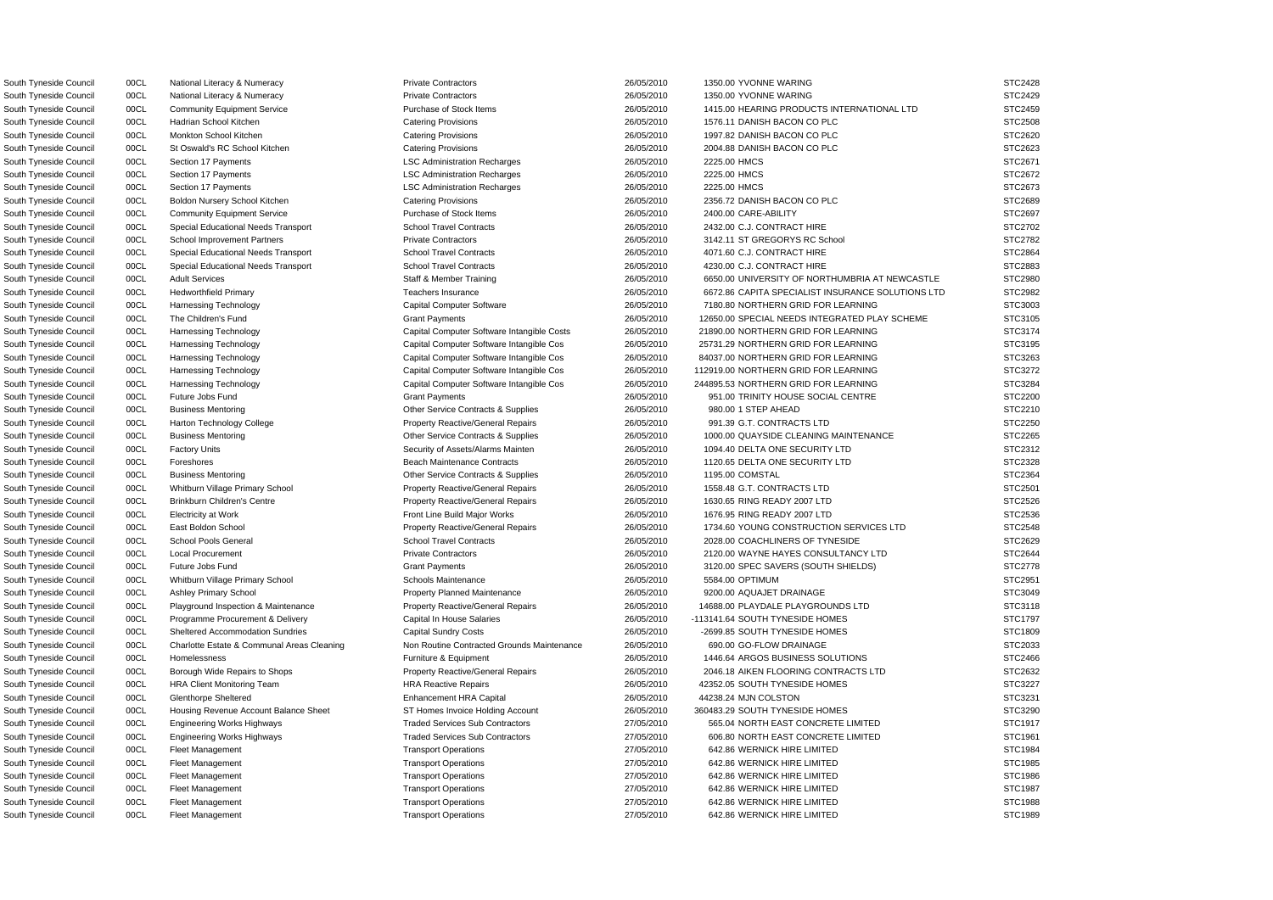South Tyneside Council 00CL National Literacy & Numeracy Private Contractors 26/05/2010 1350.00 YVONNE WARING STC2428 South Tyneside Council 00CL National Literacy & Numeracy Private Contractors 26/05/2010 1350.00 YVONNE WARING STC2429 South Tyneside Council 00CL Community Equipment Service Purchase of Stock Items 26/05/2010 1415.00 HEARING PRODUCTS INTERNATIONAL LTD STC2459 South Tyneside Council 00CL Hadrian School Kitchen Catering Provisions Catering Provisions 26/05/2010 1576.11 DANISH BACON CO PLC STC2508 South Tyneside Council 00CL Monkton School Kitchen Catering Provisions Catering Provisions 26/05/2010 1997.82 DANISH BACON CO PLC STC2620 South Tyneside Council 00CL St Oswald's RC School Kitchen Catering Provisions 26/05/2010 2004.88 DANISH BACON CO PLC STC2623 South Tyneside Council 00CL Section 17 Payments LSC Administration Recharges 26/05/2010 2225.00 HMCS STC2671 South Tyneside Council 00CL Section 17 Payments LSC Administration Recharges 26/05/2010 2225.00 HMCS STC2672 STC2672 South Tyneside Council 00CL Section 17 Payments Carries LSC Administration Recharges 26/05/2010 2225.00 HMCS STC2673 South Tyneside Council 00CL Boldon Nursery School Kitchen Catering Provisions 26/05/2010 2356.72 DANISH BACON CO PLC STC2689 South Tyneside Council 00CL Community Equipment Service Purchase of Stock Items 26/05/2010 2400.00 CARE-ABILITY STC2697 South Tyneside Council 00CL Special Educational Needs Transport School Travel Contracts 26/05/2010 2432.00 C.J. CONTRACT HIRE STC2702 South Tyneside Council 00CL School Improvement Partners Private Contractors Private Contractors 26/05/2010 3142.11 ST GREGORYS RC School STC2782 South Tyneside Council 00CL Special Educational Needs Transport School Travel Contracts 26/05/2010 4071.60 C.J. CONTRACT HIRE STC2864 South Tyneside Council 00CL Special Educational Needs Transport School Travel Contracts 26/05/2010 4230.00 C.J. CONTRACT HIRE STC2883 South Tyneside Council 00CL Adult Services States Staff & Member Training 26/05/2010 6650.00 UNIVERSITY OF NORTHUMBRIA AT NEWCASTLE STC2980 South Tyneside Council 00CL Hedworthfield Primary Teachers Insurance Teachers Insurance 26/05/2010 6672.86 CAPITA SPECIALIST INSURANCE SOLUTIONS LTD STC2982 South Tyneside Council 00CL Harnessing Technology Capital Computer Software 26/05/2010 7180.80 NORTHERN GRID FOR LEARNING STC3003 South Tyneside Council 00CL The Children's Fund Crant Payments Crant Payments 26/05/2010 12650.00 SPECIAL NEEDS INTEGRATED PLAY SCHEME STC3105 South Tyneside Council 00CL Harnessing Technology Capital Computer Software Intangible Costs 26/05/2010 21890.00 NORTHERN GRID FOR LEARNING STC3174 South Tyneside Council 00CL Harnessing Technology Capital Computer Software Intangible Cos 26/05/2010 25731.29 NORTHERN GRID FOR LEARNING STC3195 South Tyneside Council 00CL Harnessing Technology Capital Computer Software Intangible Cos 26/05/2010 84037.00 NORTHERN GRID FOR LEARNING STC3263 South Tyneside Council 00CL Harnessing Technology Capital Computer Software Intangible Cos 26/05/2010 112919.00 NORTHERN GRID FOR LEARNING STC3272 South Tyneside Council 00CL Harnessing Technology Capital Computer Software Intangible Cos 26/05/2010 244895.53 NORTHERN GRID FOR LEARNING STC3284 South Tyneside Council 00CL Future Jobs Fund Crant Payments Crant Payments 26/05/2010 951.00 TRINITY HOUSE SOCIAL CENTRE STC2200 South Tyneside Council and DOCL Business Mentoring Comment Contracts & Supplies 26/05/2010 980.00 1 STEP AHEAD STC2210 South Tyneside Council 00CL Harton Technology College Property Reactive/General Repairs 26/05/2010 991.39 G.T. CONTRACTS LTD STC2250 South Tyneside Council 00CL Business Mentoring Comment Contracts & Supplies 26/05/2010 1000.00 QUAYSIDE CLEANING MAINTENANCE STC2265 South Tyneside Council 00CL Factory Units Security of Assets/Alarms Mainten 26/05/2010 1094.40 DELTA ONE SECURITY LTD STC2312 South Tyneside Council 00CL Foreshores **Beach Maintenance Contracts** 26/05/2010 1120.65 DELTA ONE SECURITY LTD STC2328 South Tyneside Council 00CL Business Mentoring Comment Contracts & Supplies 26/05/2010 1195.00 COMSTAL STC2364 South Tyneside Council 00CL Whitburn Village Primary School Property Reactive/General Repairs 26/05/2010 1558.48 G.T. CONTRACTS LTD STC2501 South Tyneside Council **2008** 2008 Developments Centre Property Reactive/General Repairs 26/05/2010 1630.65 RING READY 2007 LTD STC2526 South Tyneside Council 00CL Electricity at Work **Front Line Build Major Works** 26/05/2010 1676.95 RING READY 2007 LTD STC2536 South Tyneside Council 00CL East Boldon School **Property Reactive/General Repairs** 26/05/2010 1734.60 YOUNG CONSTRUCTION SERVICES LTD STC2548 South Tyneside Council 00CL School Pools General School Travel Contracts 26/05/2010 2028.00 COACHLINERS OF TYNESIDE STC2629 South Tyneside Council 00CL Local Procurement **Private Contractors** Private Contractors 26/05/2010 2120.00 WAYNE HAYES CONSULTANCY LTD STC2644 South Tyneside Council 00CL Future Jobs Fund Crant Payments Grant Payments 26/05/2010 3120.00 SPEC SAVERS (SOUTH SHIELDS) STC2778 South Tyneside Council 00CL Whitburn Village Primary School Schools Maintenance 26/05/2010 5584.00 OPTIMUM STC2951 South Tyneside Council and DOCL Ashley Primary School Property Planned Maintenance 26/05/2010 9200.00 AQUAJET DRAINAGE STC3049 South Tyneside Council 00CL Playground Inspection & Maintenance Property Reactive/General Repairs 26/05/2010 14688.00 PLAYDALE PLAYGROUNDS LTD STC3118 South Tyneside Council 00CL Programme Procurement & Delivery Capital In House Salaries 26/05/2010 -113141.64 SOUTH TYNESIDE HOMES STC1797 South Tyneside Council 00CL Sheltered Accommodation Sundries Capital Sundry Costs 26/05/2010 -2699.85 SOUTH TYNESIDE HOMES STC1809 South Tyneside Council 00CL Charlotte Estate & Communal Areas Cleaning Non Routine Contracted Grounds Maintenance 26/05/2010 690.00 GO-FLOW DRAINAGE STC2033 South Tyneside Council 00CL Homelessness **Furniture & Equipment** Furniture & Equipment 26/05/2010 1446.64 ARGOS BUSINESS SOLUTIONS STC2466 South Tyneside Council 00CL Borough Wide Repairs to Shops Property Reactive/General Repairs 26/05/2010 2046.18 AIKEN FLOORING CONTRACTS LTD STC2632 South Tyneside Council 00CL HRA Client Monitoring Team HRA Reactive Repairs 26/05/2010 42352.05 SOUTH TYNESIDE HOMES STC3227 South Tyneside Council 00CL Glenthorpe Sheltered Enhancement HRA Capital 26/05/2010 44238.24 MJN COLSTON STC3231 South Tyneside Council council and Duck Housing Revenue Account Balance Sheet ST Homes Invoice Holding Account 26/05/2010 360483.29 SOUTH TYNESIDE HOMES STC3290 South Tyneside Council council and Document Engineering Works Highways Traded Services Sub Contractors 27/05/2010 565.04 NORTH EAST CONCRETE LIMITED STC1917 South Tyneside Council council and DOCL Engineering Works Highways Traded Services Sub Contractors 27/05/2010 606.80 NORTH EAST CONCRETE LIMITED STC1961 South Tyneside Council 00CL Fleet Management Council Council Council Council Council Council Council Council STC1984 South Tyneside Council 00CL Fleet Management 2TC1985 7 Transport Operations 27/05/2010 642.86 WERNICK HIRE LIMITED STC1985 South Tyneside Council 00CL Fleet Management Council Transport Operations 27/05/2010 642.86 WERNICK HIRE LIMITED STC1986 South Tyneside Council 00CL Fleet Management Council Council Council Council Council Council Council Council STC1987 South Tyneside Council 00CL Fleet Management Council Transport Operations 27/05/2010 642.86 WERNICK HIRE LIMITED STC1988 South Tyneside Council 00CL Fleet Management Council Transport Operations 27/05/2010 642.86 WERNICK HIRE LIMITED STC1989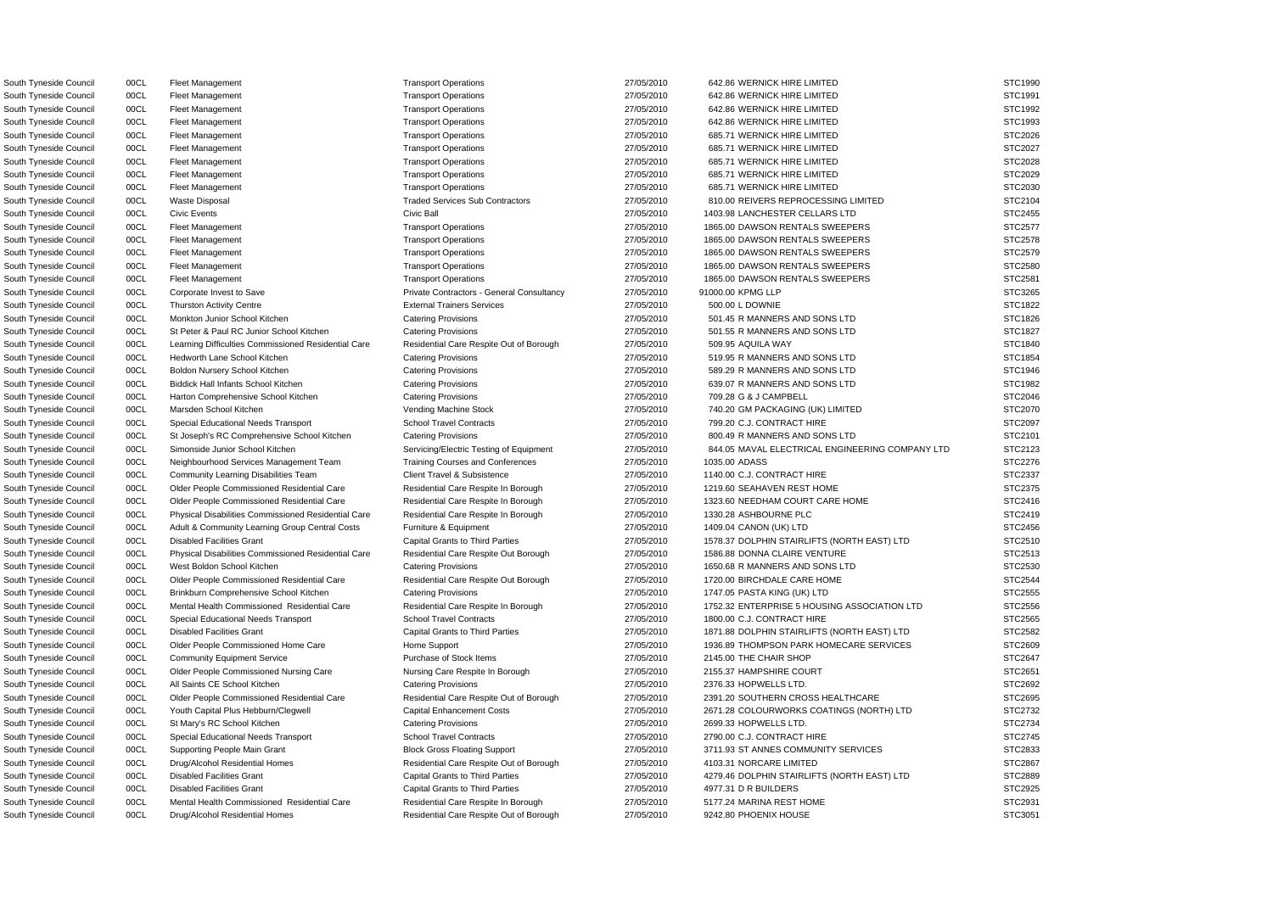South Tyneside Council 00CL Fleet Management Council STC1990 Transport Operations 27/05/2010 642.86 WERNICK HIRE LIMITED STC1990 South Tyneside Council 00CL Fleet Management Council Council Council Council Council Council Council Council STC1991 South Tyneside Council 00CL Fleet Management Transport Operations Transport Operations 27/05/2010 642.86 WERNICK HIRE LIMITED STC1992 South Tyneside Council 00CL Fleet Management Council Transport Operations 27/05/2010 642.86 WERNICK HIRE LIMITED STC1993 South Tyneside Council 00CL Fleet Management COUNTED Transport Operations 27/05/2010 685.71 WERNICK HIRE LIMITED STC2026 South Tyneside Council 00CL Fleet Management Transport Operations Transport Operations 27/05/2010 685.71 WERNICK HIRE LIMITED STC2027 South Tyneside Council 00CL Fleet Management Council Transport Operations 27/05/2010 685.71 WERNICK HIRE LIMITED STC2028 South Tyneside Council 00CL Fleet Management COUNTED Transport Operations 27/05/2010 685.71 WERNICK HIRE LIMITED STC2029 South Tyneside Council 00CL Fleet Management COUNTED Transport Operations 27/05/2010 685.71 WERNICK HIRE LIMITED STC2030 South Tyneside Council 00CL Waste Disposal Contractors Traded Services Sub Contractors 27/05/2010 810.00 REIVERS REPROCESSING LIMITED STC2104 South Tyneside Council 00CL Civic Events Civic Ball Civic Ball 27/05/2010 1403.98 LANCHESTER CELLARS LTD STC2455 South Tyneside Council 00CL Fleet Management COUNTER Transport Operations 27/05/2010 1865.00 DAWSON RENTALS SWEEPERS STC2577 South Tyneside Council 00CL Fleet Management COUNTER Transport Operations 27/05/2010 1865.00 DAWSON RENTALS SWEEPERS STC2578 South Tyneside Council 00CL Fleet Management COUNTER Transport Operations 27/05/2010 1865.00 DAWSON RENTALS SWEEPERS STC2579 South Tyneside Council 00CL Fleet Management COUNTER Transport Operations 27/05/2010 1865.00 DAWSON RENTALS SWEEPERS STC2580 South Tyneside Council 00CL Fleet Management 2000 2000 27/05/2010 27/05/2010 1865.00 DAWSON RENTALS SWEEPERS STC2581 South Tyneside Council 00CL Corporate Invest to Save Private Contractors - General Consultancy 27/05/2010 91000.00 KPMG LLP STC3265 South Tyneside Council 00CL Thurston Activity Centre **External Trainers Services** 27/05/2010 500.00 L DOWNIE STC1822 South Tyneside Council 00CL Monkton Junior School Kitchen Catering Provisions Catering Provisions 27/05/2010 501.45 R MANNERS AND SONS LTD STC1826 South Tyneside Council 00CL St Peter & Paul RC Junior School Kitchen Catering Provisions 27/05/2010 501.55 R MANNERS AND SONS LTD STC1827 South Tyneside Council 00CL Learning Difficulties Commissioned Residential Care Residential Care Respite Out of Borough 27/05/2010 509.95 AQUILA WAY STC1840 South Tyneside Council 00CL Hedworth Lane School Kitchen Catering Provisions Catering Provisions 27/05/2010 519.95 R MANNERS AND SONS LTD STC1854 South Tyneside Council 00CL Boldon Nursery School Kitchen Catering Provisions Catering Provisions 27/05/2010 589.29 R MANNERS AND SONS LTD STC1946 South Tyneside Council 00CL Biddick Hall Infants School Kitchen Catering Provisions 27/05/2010 639.07 R MANNERS AND SONS LTD STC1982 South Tyneside Council 00CL Harton Comprehensive School Kitchen Catering Provisions 27/05/2010 709.28 G & J CAMPBELL STC2046 South Tyneside Council 00CL Marsden School Kitchen Vending Machine Stock 27/05/2010 740.20 GM PACKAGING (UK) LIMITED STC2070 South Tyneside Council 00CL Special Educational Needs Transport School Travel Contracts 27/05/2010 799.20 C.J. CONTRACT HIRE STC2097 South Tyneside Council 00CL St Joseph's RC Comprehensive School Kitchen Catering Provisions 27/05/2010 800.49 R MANNERS AND SONS LTD STC2101 South Tyneside Council 00CL Simonside Junior School Kitchen Servicing/Electric Testing of Equipment 27/05/2010 844.05 MAVAL ELECTRICAL ENGINEERING COMPANY LTD STC2123 South Tyneside Council 00CL Neighbourhood Services Management Team Training Courses and Conferences 27/05/2010 1035.00 ADASS STC2276 South Tyneside Council 00CL Community Learning Disabilities Team Client Travel & Subsistence 27/05/2010 1140.00 C.J. CONTRACT HIRE STC2337 South Tyneside Council 00CL Older People Commissioned Residential Care Residential Care Respite In Borough 27/05/2010 1219.60 SEAHAVEN REST HOME STC2375 South Tyneside Council 00CL Older People Commissioned Residential Care Residential Care Respite In Borough 27/05/2010 1323.60 NEEDHAM COURT CARE HOME STC2416 South Tyneside Council 00CL Physical Disabilities Commissioned Residential Care Residential Care Respite In Borough 27/05/2010 1330.28 ASHBOURNE PLC STC2419 South Tyneside Council 00CL Adult & Community Learning Group Central Costs Furniture & Equipment 27/05/2010 1409.04 CANON (UK) LTD STC2456 South Tyneside Council 00CL Disabled Facilities Grant Capital Grants to Third Parties 27/05/2010 1578.37 DOLPHIN STAIRLIFTS (NORTH EAST) LTD STC2510 South Tyneside Council 00CL Physical Disabilities Commissioned Residential Care Residential Care Respite Out Borough 27/05/2010 1586.88 DONNA CLAIRE VENTURE STC2513 South Tyneside Council 00CL West Boldon School Kitchen Catering Provisions Catering Provisions 27/05/2010 1650.68 R MANNERS AND SONS LTD STC2530 South Tyneside Council 00CL Older People Commissioned Residential Care Residential Care Respite Out Borough 27/05/2010 1720.00 BIRCHDALE CARE HOME STC2544 South Tyneside Council 00CL Brinkburn Comprehensive School Kitchen Catering Provisions 27/05/2010 1747.05 PASTA KING (UK) LTD STC2555 South Tyneside Council 00CL Mental Health Commissioned Residential Care Residential Care Respite In Borough 27/05/2010 1752.32 ENTERPRISE 5 HOUSING ASSOCIATION LTD STC2556 South Tyneside Council 00CL Special Educational Needs Transport School Travel Contracts 27/05/2010 1800.00 C.J. CONTRACT HIRE STC2565 South Tyneside Council 00CL Disabled Facilities Grant Capital Grants to Third Parties 27/05/2010 1871.88 DOLPHIN STAIRLIFTS (NORTH EAST) LTD STC2582 South Tyneside Council 00CL Older People Commissioned Home Care Home Support Home Support 27/05/2010 1936.89 THOMPSON PARK HOMECARE SERVICES STC2609 South Tyneside Council 00CL Community Equipment Service Purchase of Stock Items 27/05/2010 2145.00 THE CHAIR SHOP STC2647 South Tyneside Council 00CL Older People Commissioned Nursing Care Nursing Care Respite In Borough 27/05/2010 2155.37 HAMPSHIRE COURT STC2651 South Tyneside Council 00CL All Saints CE School Kitchen Catering Provisions Catering Provisions 27/05/2010 2376.33 HOPWELLS LTD. STC2692 South Tyneside Council 00CL Older People Commissioned Residential Care Residential Care Respite Out of Borough 27/05/2010 2391.20 SOUTHERN CROSS HEALTHCARE STC2695 South Tyneside Council 00CL Youth Capital Plus Hebburn/Clegwell Capital Enhancement Costs 27/05/2010 2671.28 COLOURWORKS COATINGS (NORTH) LTD STC2732 South Tyneside Council 00CL St Mary's RC School Kitchen Catering Provisions 27/05/2010 2699.33 HOPWELLS LTD. STC2734 South Tyneside Council 00CL Special Educational Needs Transport School Travel Contracts 27/05/2010 2790.00 C.J. CONTRACT HIRE STC2745 South Tyneside Council **1998 00CL** Supporting People Main Grant 1998 Block Gross Floating Support 1999/2010 27/05/2010 3711.93 ST ANNES COMMUNITY SERVICES STC2833 South Tyneside Council 00CL Drug/Alcohol Residential Homes Residential Care Respite Out of Borough 27/05/2010 4103.31 NORCARE LIMITED STC2867 South Tyneside Council 00CL Disabled Facilities Grant Capital Grants to Third Parties 27/05/2010 4279.46 DOLPHIN STAIRLIFTS (NORTH EAST) LTD STC2889 South Tyneside Council 00CL Disabled Facilities Grant Capital Grants to Third Parties 27/05/2010 4977.31 D R BUILDERS STC2925 South Tyneside Council 00CL Mental Health Commissioned Residential Care Residential Care Respite In Borough 27/05/2010 5177.24 MARINA REST HOME STC2931 South Tyneside Council 00CL Drug/Alcohol Residential Homes Residential Care Respite Out of Borough 27/05/2010 9242.80 PHOENIX HOUSE STC3051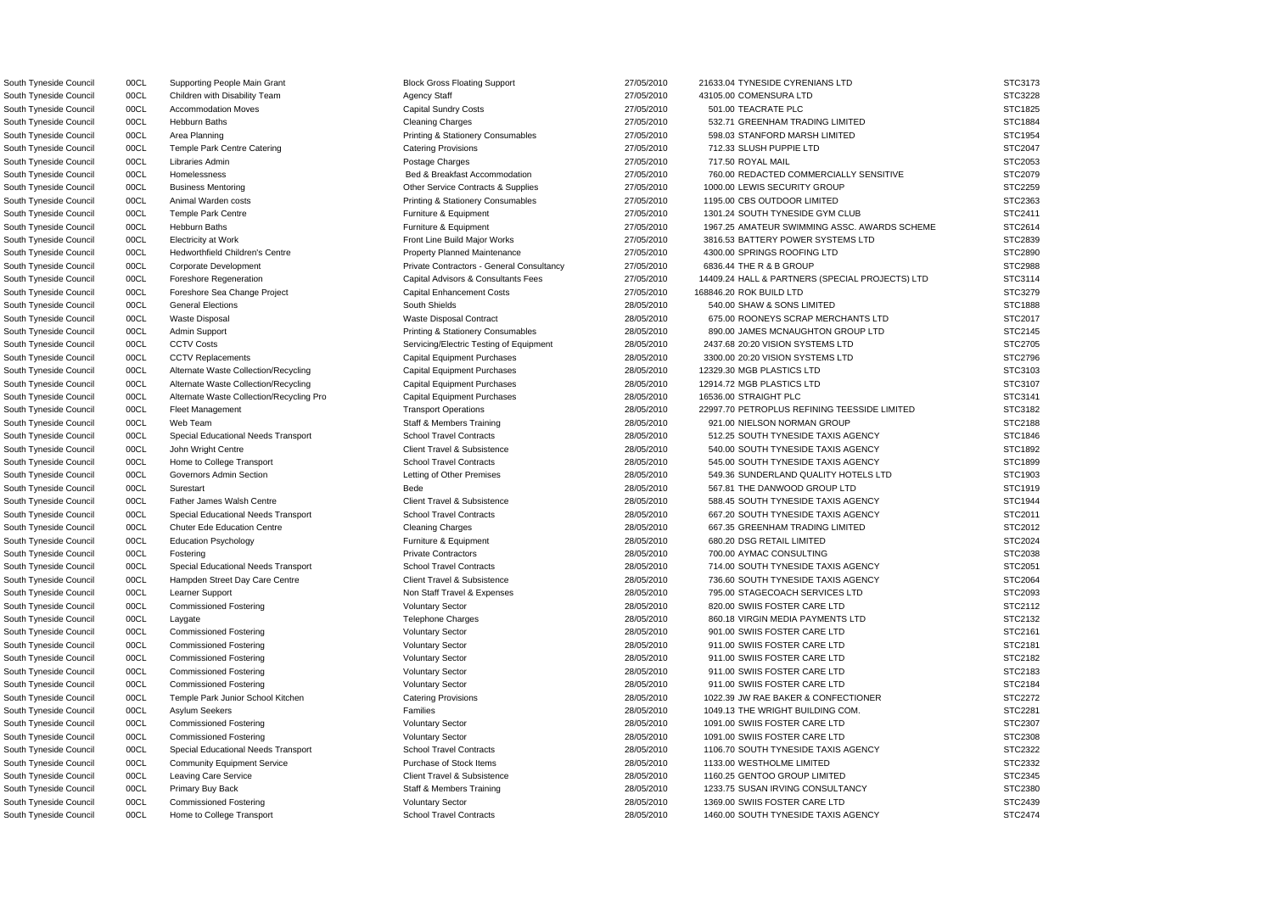South Tyneside Council 00CL Children with Disability Team Agency Staff 27/05/2010 43105.00 COMENSURA LTD State 37/05/2010 43105.00 COMENSURA LTD South Tyneside Council **2008** 00CL Corporate Development **Private Contractors - General Consultancy** 27/05/2010 6836.44 THE R & B GROUP South Tyneside Council **2008 000 CL Contract Capital Enhancement Costs** 27/05/2010 168846.20 ROK BUILD LTD State Costs South Tyneside Council 00CL Alternate Waste Collection/Recycling Pro Capital Equipment Purchases 28/05/2010 16536.00 STRAIGHT PLC

South Tyneside Council and DOCL Supporting People Main Grant and Block Gross Floating Support 27/05/2010 21633.04 TYNESIDE CYRENIANS LTD South Tyneside Council 00CL Accommodation Moves Capital Sundry Costs 27/05/2010 501.00 TEACRATE PLC STC1825 South Tyneside Council 00CL Hebburn Baths Cleaning Charges Cleaning Charges 27/05/2010 532.71 GREENHAM TRADING LIMITED South Tyneside Council 00CL Area Planning examples Printing & Stationery Consumables 27/05/2010 598.03 STANFORD MARSH LIMITED South Tyneside Council 00CL Temple Park Centre Catering Catering Provisions Catering Provisions 27/05/2010 712.33 SLUSH PUPPIE LTD STC2047 South Tyneside Council 00CL Libraries Admin Postage Charges 27/05/2010 717.50 ROYAL MAIL STC2053 South Tyneside Council 00CL Homelessness exception and Bed & Breakfast Accommodation 27/05/2010 760.00 REDACTED COMMERCIALLY SENSITIVE South Tyneside Council 00CL Business Mentoring Communication Communication Communication Contracts & Supplies 27/05/2010 1000.00 LEWIS SECURITY GROUP South Tyneside Council 00CL Animal Warden costs examples Printing & Stationery Consumables 27/05/2010 1195.00 CBS OUTDOOR LIMITED South Tyneside Council 00CL Temple Park Centre Furniture **Furniture & Equipment** 27/05/2010 1301.24 SOUTH TYNESIDE GYM CLUB South Tyneside Council 00CL Hebburn Baths **Furniture & Equipment** Furniture & Equipment 27/05/2010 1967.25 AMATEUR SWIMMING ASSC. AWARDS SCHEME South Tyneside Council 00CL Electricity at Work **Front Line Build Major Works** 27/05/2010 3816.53 BATTERY POWER SYSTEMS LTD South Tyneside Council **27/05/2010** 00CL Hedworthfield Children's Centre **Property Planned Maintenance** 27/05/2010 4300.00 SPRINGS ROOFING LTD South Tyneside Council 00CL Foreshore Regeneration Capital Advisors & Consultants Fees 27/05/2010 14409.24 HALL & PARTNERS (SPECIAL PROJECTS) LTD South Tyneside Council 00CL General Elections South Shields 28/05/2010 540.00 SHAW & SONS LIMITED South Tyneside Council 00CL Waste Disposal Waste Disposal Contract 28/05/2010 675.00 ROONEYS SCRAP MERCHANTS LTD South Tyneside Council 00CL Admin Support examples Printing & Stationery Consumables 28/05/2010 890.00 JAMES MCNAUGHTON GROUP LTD South Tyneside Council 00CL CCTV Costs COUNTY Costs Servicing/Electric Testing of Equipment 28/05/2010 2437.68 20:20 VISION SYSTEMS LTD South Tyneside Council 00CL CCTV Replacements Capital Equipment Purchases 28/05/2010 3300.00 20:20 VISION SYSTEMS LTD South Tyneside Council **28/05/2010** OOCL Alternate Waste Collection/Recycling Capital Equipment Purchases 28/05/2010 12329.30 MGB PLASTICS LTD South Tyneside Council **28/05/2010** OOCL Alternate Waste Collection/Recycling Capital Equipment Purchases 28/05/2010 12914.72 MGB PLASTICS LTD South Tyneside Council 00CL Fleet Management Transport Operations Transport Operations 28/05/2010 22997.70 PETROPLUS REFINING TEESSIDE LIMITED South Tyneside Council 00CL Web Team State Staff & Members Training 28/05/2010 921.00 NIELSON NORMAN GROUP South Tyneside Council 00CL Special Educational Needs Transport School Travel Contracts 28/05/2010 512.25 SOUTH TYNESIDE TAXIS AGENCY South Tyneside Council 00CL John Wright Centre Client Centre Client Travel & Subsistence 28/05/2010 540.00 SOUTH TYNESIDE TAXIS AGENCY South Tyneside Council 00CL Home to College Transport School Travel Contracts 28/05/2010 545.00 SOUTH TYNESIDE TAXIS AGENCY South Tyneside Council 00CL Governors Admin Section Computer Letting of Other Premises 28/05/2010 549.36 SUNDERLAND QUALITY HOTELS LTD South Tyneside Council 00CL Surestart Communication Council 28/05/2010 567.81 THE DANWOOD GROUP LTD South Tyneside Council 00CL Father James Walsh Centre Client Client Travel & Subsistence 28/05/2010 588.45 SOUTH TYNESIDE TAXIS AGENCY South Tyneside Council **200CL** Special Educational Needs Transport School Travel Contracts 28/05/2010 667.20 SOUTH TYNESIDE TAXIS AGENCY South Tyneside Council 00CL Chuter Ede Education Centre Cleaning Charges Cleaning Charges 28/05/2010 667.35 GREENHAM TRADING LIMITED South Tyneside Council 00CL Education Psychology Furniture & Equipment 28/05/2010 680.20 DSG RETAIL LIMITED STC2024 South Tyneside Council 00CL Fostering **Private Contractors** Private Contractors 28/05/2010 700.00 AYMAC CONSULTING South Tyneside Council **2006** 00CL Special Educational Needs Transport School Travel Contracts 28/05/2010 714.00 SOUTH TYNESIDE TAXIS AGENCY South Tyneside Council 00CL Hampden Street Day Care Centre Client Travel & Subsistence 28/05/2010 736.60 SOUTH TYNESIDE TAXIS AGENCY South Tyneside Council 00CL Learner Support Non Staff Travel & Expenses 28/05/2010 795.00 STAGECOACH SERVICES LTD South Tyneside Council 00CL Commissioned Fostering Voluntary Sector 28/05/2010 820.00 SWIIS FOSTER CARE LTD South Tyneside Council 00CL Laygate Charges Telephone Charges 28/05/2010 860.18 VIRGIN MEDIA PAYMENTS LTD South Tyneside Council 00CL Commissioned Fostering 28/05/2010 901.00 SWIIS FOSTER CARE LTD South Tyneside Council 00CL Commissioned Fostering Commissioned Fostering Voluntary Sector 28/05/2010 911.00 SWIIS FOSTER CARE LTD South Tyneside Council 00CL Commissioned Fostering Voluntary Sector 28/05/2010 911.00 SWIIS FOSTER CARE LTD South Tyneside Council 00CL Commissioned Fostering Voluntary Sector 28/05/2010 911.00 SWIIS FOSTER CARE LTD South Tyneside Council 00CL Commissioned Fostering Voluntary Sector 28/05/2010 911.00 SWIIS FOSTER CARE LTD South Tyneside Council **2008** 00CL Temple Park Junior School Kitchen Catering Provisions 28/05/2010 1022.39 JW RAE BAKER & CONFECTIONER South Tyneside Council and DOCL Asylum Seekers **Families** Families Families 28/05/2010 1049.13 THE WRIGHT BUILDING COM. South Tyneside Council 00CL Commissioned Fostering Commissioned Fostering Voluntary Sector 28/05/2010 1091.00 SWIIS FOSTER CARE LTD South Tyneside Council 00CL Commissioned Fostering Commissioned Fostering Voluntary Sector 28/05/2010 1091.00 SWIIS FOSTER CARE LTD South Tyneside Council **2008** 00CL Special Educational Needs Transport School Travel Contracts 28/05/2010 1106.70 SOUTH TYNESIDE TAXIS AGENCY South Tyneside Council 00CL Community Equipment Service Purchase of Stock Items 28/05/2010 1133.00 WESTHOLME LIMITED South Tyneside Council 00CL Leaving Care Service Client Client Travel & Subsistence 28/05/2010 1160.25 GENTOO GROUP LIMITED South Tyneside Council 00CL Primary Buy Back Staff & Members Training 28/05/2010 1233.75 SUSAN IRVING CONSULTANCY South Tyneside Council 00CL Commissioned Fostering Commissioned Fostering Voluntary Sector 28/05/2010 1369.00 SWIIS FOSTER CARE LTD South Tyneside Council 00CL Home to College Transport School Travel Contracts 28/05/2010 1460.00 SOUTH TYNESIDE TAXIS AGENCY STC2474

| STC3173            |
|--------------------|
| STC3228            |
| STC1825            |
| STC1884            |
| STC1954            |
| STC2047            |
| STC2053            |
|                    |
| STC2079            |
| STC2259            |
| STC2363<br>؟       |
| STC2411            |
| STC2614<br>S       |
| STC2839            |
| STC2890            |
| STC2988<br>؟       |
| STC3114<br>ຸ       |
|                    |
| 3279<br><b>STC</b> |
| STC1888            |
| STC2017            |
| STC2145            |
| STC2705            |
| STC2796<br>ć       |
| STC3103<br>ຸ       |
| STC3107            |
| STC3141            |
|                    |
| STC3182            |
| STC2188            |
| STC1846            |
| STC1892            |
| STC1899            |
| STC1903            |
| STC1919            |
| STC1944            |
| STC2011<br>s       |
| STC2012<br>s       |
| STC2024            |
| STC2038            |
|                    |
| STC2051            |
| STC2064            |
| STC2093<br>ξ       |
| STC2112            |
| STC2132            |
| STC2161            |
| STC2181            |
| STC2182            |
| STC2183            |
|                    |
| STC2184            |
| STC2272            |
| STC2281            |
| STC2307            |
| STC2308            |
| STC2322            |
| STC2332            |
| STC2345            |
| STC2380            |
| STC2439            |
|                    |
| STC2474            |